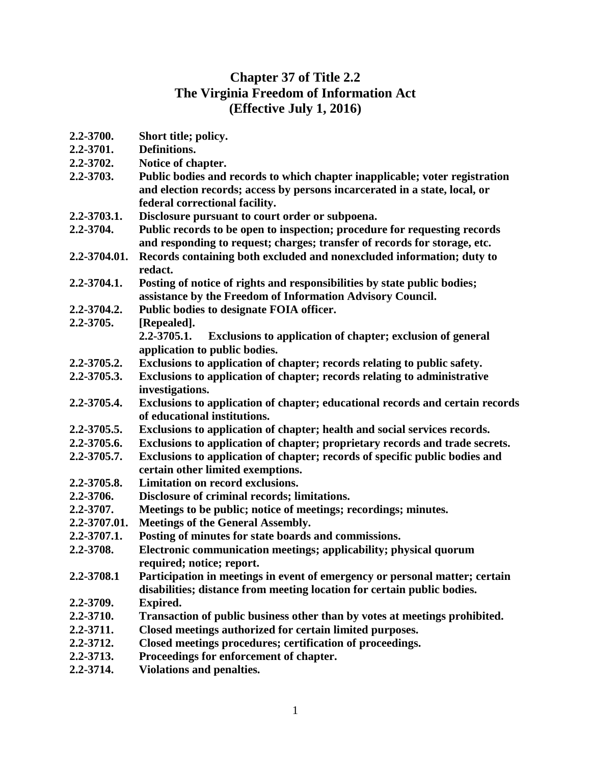# **Chapter 37 of Title 2.2 The Virginia Freedom of Information Act (Effective July 1, 2016)**

| 2.2-3700.    | Short title; policy.                                                          |
|--------------|-------------------------------------------------------------------------------|
| 2.2-3701.    | Definitions.                                                                  |
| 2.2-3702.    | Notice of chapter.                                                            |
| 2.2-3703.    | Public bodies and records to which chapter inapplicable; voter registration   |
|              | and election records; access by persons incarcerated in a state, local, or    |
|              | federal correctional facility.                                                |
| 2.2-3703.1.  | Disclosure pursuant to court order or subpoena.                               |
| 2.2-3704.    | Public records to be open to inspection; procedure for requesting records     |
|              | and responding to request; charges; transfer of records for storage, etc.     |
| 2.2-3704.01. | Records containing both excluded and nonexcluded information; duty to         |
|              | redact.                                                                       |
| 2.2-3704.1.  | Posting of notice of rights and responsibilities by state public bodies;      |
|              | assistance by the Freedom of Information Advisory Council.                    |
| 2.2-3704.2.  | Public bodies to designate FOIA officer.                                      |
| 2.2-3705.    | [Repealed].                                                                   |
|              | 2.2-3705.1.<br>Exclusions to application of chapter; exclusion of general     |
|              | application to public bodies.                                                 |
| 2.2-3705.2.  | Exclusions to application of chapter; records relating to public safety.      |
| 2.2-3705.3.  | Exclusions to application of chapter; records relating to administrative      |
|              | investigations.                                                               |
| 2.2-3705.4.  | Exclusions to application of chapter; educational records and certain records |
|              | of educational institutions.                                                  |
| 2.2-3705.5.  | Exclusions to application of chapter; health and social services records.     |
| 2.2-3705.6.  | Exclusions to application of chapter; proprietary records and trade secrets.  |
| 2.2-3705.7.  | Exclusions to application of chapter; records of specific public bodies and   |
|              | certain other limited exemptions.                                             |
| 2.2-3705.8.  | Limitation on record exclusions.                                              |
| 2.2-3706.    | Disclosure of criminal records; limitations.                                  |
| 2.2-3707.    | Meetings to be public; notice of meetings; recordings; minutes.               |
| 2.2-3707.01. | <b>Meetings of the General Assembly.</b>                                      |
| 2.2-3707.1.  | Posting of minutes for state boards and commissions.                          |
| 2.2-3708.    | Electronic communication meetings; applicability; physical quorum             |
|              | required; notice; report.                                                     |
| 2.2-3708.1   | Participation in meetings in event of emergency or personal matter; certain   |
|              | disabilities; distance from meeting location for certain public bodies.       |
| 2.2-3709.    | Expired.                                                                      |
| 2.2-3710.    | Transaction of public business other than by votes at meetings prohibited.    |
| 2.2-3711.    | Closed meetings authorized for certain limited purposes.                      |
| 2.2-3712.    | Closed meetings procedures; certification of proceedings.                     |
| 2.2-3713.    | Proceedings for enforcement of chapter.                                       |
| 2.2-3714.    | <b>Violations and penalties.</b>                                              |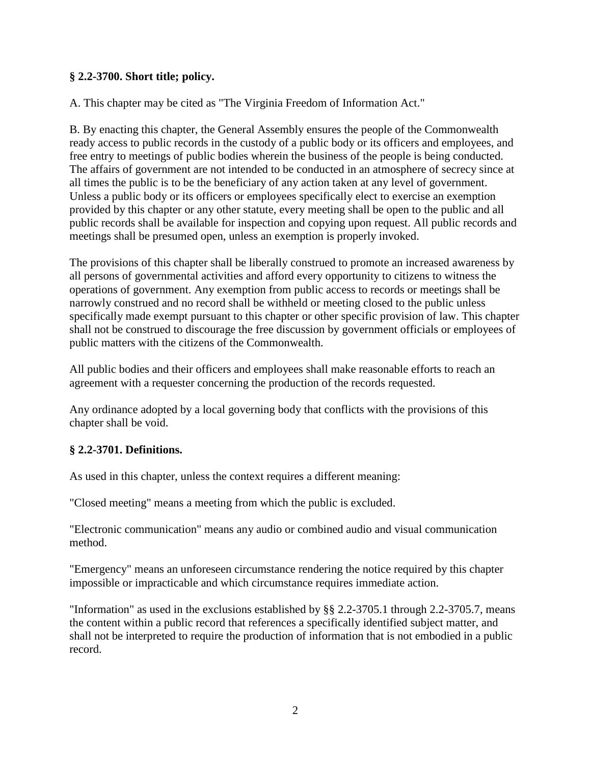#### **§ 2.2-3700. Short title; policy.**

A. This chapter may be cited as "The Virginia Freedom of Information Act."

B. By enacting this chapter, the General Assembly ensures the people of the Commonwealth ready access to public records in the custody of a public body or its officers and employees, and free entry to meetings of public bodies wherein the business of the people is being conducted. The affairs of government are not intended to be conducted in an atmosphere of secrecy since at all times the public is to be the beneficiary of any action taken at any level of government. Unless a public body or its officers or employees specifically elect to exercise an exemption provided by this chapter or any other statute, every meeting shall be open to the public and all public records shall be available for inspection and copying upon request. All public records and meetings shall be presumed open, unless an exemption is properly invoked.

The provisions of this chapter shall be liberally construed to promote an increased awareness by all persons of governmental activities and afford every opportunity to citizens to witness the operations of government. Any exemption from public access to records or meetings shall be narrowly construed and no record shall be withheld or meeting closed to the public unless specifically made exempt pursuant to this chapter or other specific provision of law. This chapter shall not be construed to discourage the free discussion by government officials or employees of public matters with the citizens of the Commonwealth.

All public bodies and their officers and employees shall make reasonable efforts to reach an agreement with a requester concerning the production of the records requested.

Any ordinance adopted by a local governing body that conflicts with the provisions of this chapter shall be void.

#### **§ 2.2-3701. Definitions.**

As used in this chapter, unless the context requires a different meaning:

"Closed meeting" means a meeting from which the public is excluded.

"Electronic communication" means any audio or combined audio and visual communication method.

"Emergency" means an unforeseen circumstance rendering the notice required by this chapter impossible or impracticable and which circumstance requires immediate action.

"Information" as used in the exclusions established by §§ [2.2-3705.1](http://law.lis.virginia.gov/vacode/2.2-3705.1/) through [2.2-3705.7,](http://law.lis.virginia.gov/vacode/2.2-3705.7/) means the content within a public record that references a specifically identified subject matter, and shall not be interpreted to require the production of information that is not embodied in a public record.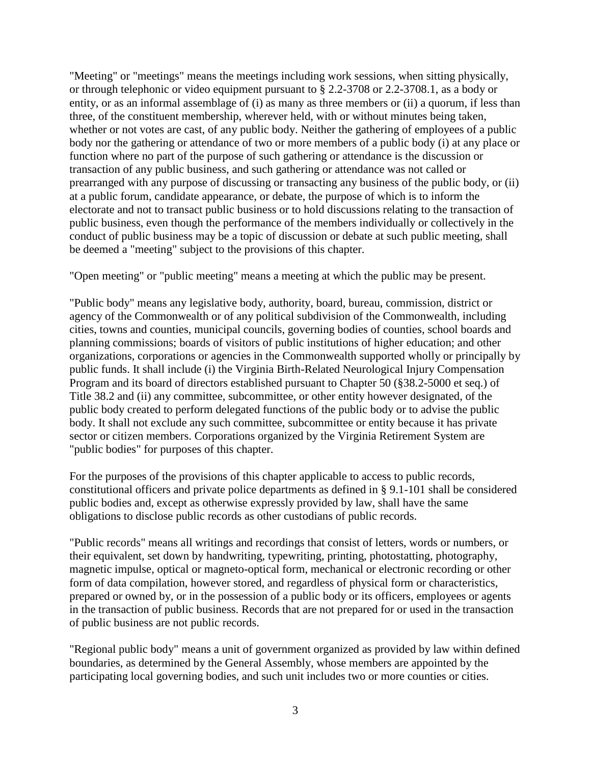"Meeting" or "meetings" means the meetings including work sessions, when sitting physically, or through telephonic or video equipment pursuant to § [2.2-3708](http://law.lis.virginia.gov/vacode/2.2-3708/) or [2.2-3708.1,](http://law.lis.virginia.gov/vacode/2.2-3708.1/) as a body or entity, or as an informal assemblage of (i) as many as three members or (ii) a quorum, if less than three, of the constituent membership, wherever held, with or without minutes being taken, whether or not votes are cast, of any public body. Neither the gathering of employees of a public body nor the gathering or attendance of two or more members of a public body (i) at any place or function where no part of the purpose of such gathering or attendance is the discussion or transaction of any public business, and such gathering or attendance was not called or prearranged with any purpose of discussing or transacting any business of the public body, or (ii) at a public forum, candidate appearance, or debate, the purpose of which is to inform the electorate and not to transact public business or to hold discussions relating to the transaction of public business, even though the performance of the members individually or collectively in the conduct of public business may be a topic of discussion or debate at such public meeting, shall be deemed a "meeting" subject to the provisions of this chapter.

"Open meeting" or "public meeting" means a meeting at which the public may be present.

"Public body" means any legislative body, authority, board, bureau, commission, district or agency of the Commonwealth or of any political subdivision of the Commonwealth, including cities, towns and counties, municipal councils, governing bodies of counties, school boards and planning commissions; boards of visitors of public institutions of higher education; and other organizations, corporations or agencies in the Commonwealth supported wholly or principally by public funds. It shall include (i) the Virginia Birth-Related Neurological Injury Compensation Program and its board of directors established pursuant to Chapter 50 ([§38.2-5000](http://law.lis.virginia.gov/vacode/38.2-5000/) et seq.) of Title 38.2 and (ii) any committee, subcommittee, or other entity however designated, of the public body created to perform delegated functions of the public body or to advise the public body. It shall not exclude any such committee, subcommittee or entity because it has private sector or citizen members. Corporations organized by the Virginia Retirement System are "public bodies" for purposes of this chapter.

For the purposes of the provisions of this chapter applicable to access to public records, constitutional officers and private police departments as defined in § [9.1-101](http://law.lis.virginia.gov/vacode/9.1-101/) shall be considered public bodies and, except as otherwise expressly provided by law, shall have the same obligations to disclose public records as other custodians of public records.

"Public records" means all writings and recordings that consist of letters, words or numbers, or their equivalent, set down by handwriting, typewriting, printing, photostatting, photography, magnetic impulse, optical or magneto-optical form, mechanical or electronic recording or other form of data compilation, however stored, and regardless of physical form or characteristics, prepared or owned by, or in the possession of a public body or its officers, employees or agents in the transaction of public business. Records that are not prepared for or used in the transaction of public business are not public records.

"Regional public body" means a unit of government organized as provided by law within defined boundaries, as determined by the General Assembly, whose members are appointed by the participating local governing bodies, and such unit includes two or more counties or cities.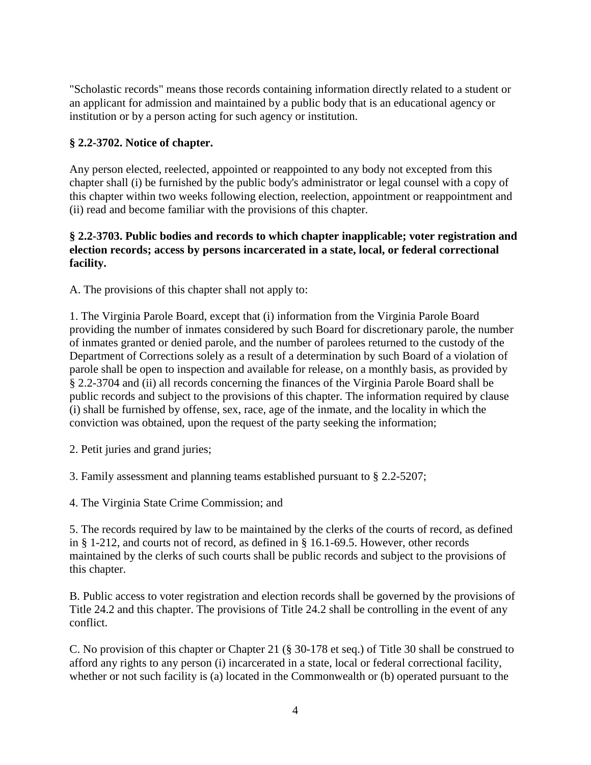"Scholastic records" means those records containing information directly related to a student or an applicant for admission and maintained by a public body that is an educational agency or institution or by a person acting for such agency or institution.

### **§ 2.2-3702. Notice of chapter.**

Any person elected, reelected, appointed or reappointed to any body not excepted from this chapter shall (i) be furnished by the public body's administrator or legal counsel with a copy of this chapter within two weeks following election, reelection, appointment or reappointment and (ii) read and become familiar with the provisions of this chapter.

#### **§ 2.2-3703. Public bodies and records to which chapter inapplicable; voter registration and election records; access by persons incarcerated in a state, local, or federal correctional facility.**

A. The provisions of this chapter shall not apply to:

1. The Virginia Parole Board, except that (i) information from the Virginia Parole Board providing the number of inmates considered by such Board for discretionary parole, the number of inmates granted or denied parole, and the number of parolees returned to the custody of the Department of Corrections solely as a result of a determination by such Board of a violation of parole shall be open to inspection and available for release, on a monthly basis, as provided by § [2.2-3704](http://law.lis.virginia.gov/vacode/2.2-3704/) and (ii) all records concerning the finances of the Virginia Parole Board shall be public records and subject to the provisions of this chapter. The information required by clause (i) shall be furnished by offense, sex, race, age of the inmate, and the locality in which the conviction was obtained, upon the request of the party seeking the information;

2. Petit juries and grand juries;

3. Family assessment and planning teams established pursuant to § [2.2-5207;](http://law.lis.virginia.gov/vacode/2.2-5207/)

4. The Virginia State Crime Commission; and

5. The records required by law to be maintained by the clerks of the courts of record, as defined in § [1-212,](http://law.lis.virginia.gov/vacode/1-212/) and courts not of record, as defined in § [16.1-69.5.](http://law.lis.virginia.gov/vacode/16.1-69.5/) However, other records maintained by the clerks of such courts shall be public records and subject to the provisions of this chapter.

B. Public access to voter registration and election records shall be governed by the provisions of Title 24.2 and this chapter. The provisions of Title 24.2 shall be controlling in the event of any conflict.

C. No provision of this chapter or Chapter 21 (§ [30-178](http://law.lis.virginia.gov/vacode/30-178/) et seq.) of Title 30 shall be construed to afford any rights to any person (i) incarcerated in a state, local or federal correctional facility, whether or not such facility is (a) located in the Commonwealth or (b) operated pursuant to the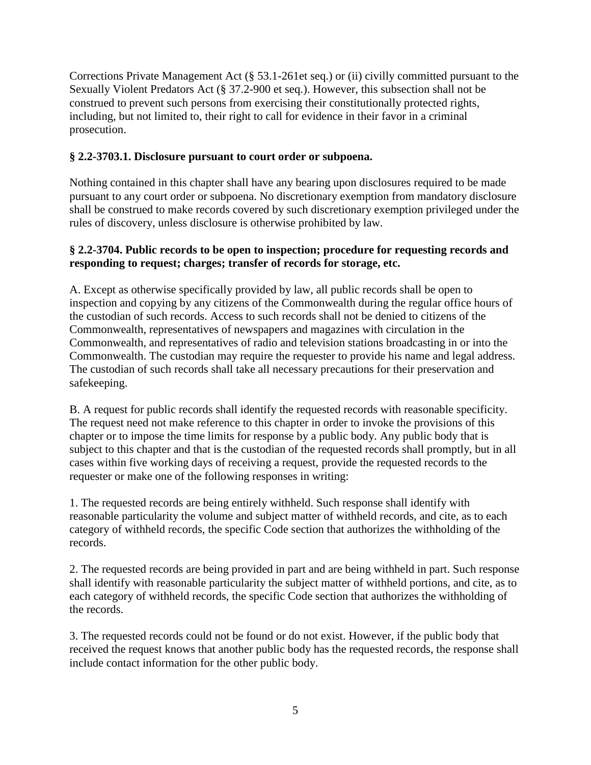Corrections Private Management Act (§ [53.1-261e](http://law.lis.virginia.gov/vacode/53.1-261/)t seq.) or (ii) civilly committed pursuant to the Sexually Violent Predators Act (§ [37.2-900](http://law.lis.virginia.gov/vacode/37.2-900/) et seq.). However, this subsection shall not be construed to prevent such persons from exercising their constitutionally protected rights, including, but not limited to, their right to call for evidence in their favor in a criminal prosecution.

### **§ 2.2-3703.1. Disclosure pursuant to court order or subpoena.**

Nothing contained in this chapter shall have any bearing upon disclosures required to be made pursuant to any court order or subpoena. No discretionary exemption from mandatory disclosure shall be construed to make records covered by such discretionary exemption privileged under the rules of discovery, unless disclosure is otherwise prohibited by law.

#### **§ 2.2-3704. Public records to be open to inspection; procedure for requesting records and responding to request; charges; transfer of records for storage, etc.**

A. Except as otherwise specifically provided by law, all public records shall be open to inspection and copying by any citizens of the Commonwealth during the regular office hours of the custodian of such records. Access to such records shall not be denied to citizens of the Commonwealth, representatives of newspapers and magazines with circulation in the Commonwealth, and representatives of radio and television stations broadcasting in or into the Commonwealth. The custodian may require the requester to provide his name and legal address. The custodian of such records shall take all necessary precautions for their preservation and safekeeping.

B. A request for public records shall identify the requested records with reasonable specificity. The request need not make reference to this chapter in order to invoke the provisions of this chapter or to impose the time limits for response by a public body. Any public body that is subject to this chapter and that is the custodian of the requested records shall promptly, but in all cases within five working days of receiving a request, provide the requested records to the requester or make one of the following responses in writing:

1. The requested records are being entirely withheld. Such response shall identify with reasonable particularity the volume and subject matter of withheld records, and cite, as to each category of withheld records, the specific Code section that authorizes the withholding of the records.

2. The requested records are being provided in part and are being withheld in part. Such response shall identify with reasonable particularity the subject matter of withheld portions, and cite, as to each category of withheld records, the specific Code section that authorizes the withholding of the records.

3. The requested records could not be found or do not exist. However, if the public body that received the request knows that another public body has the requested records, the response shall include contact information for the other public body.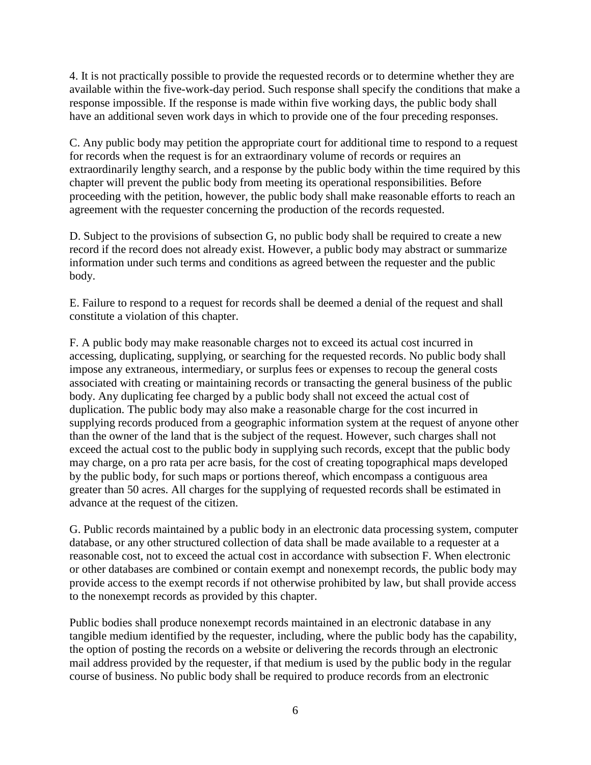4. It is not practically possible to provide the requested records or to determine whether they are available within the five-work-day period. Such response shall specify the conditions that make a response impossible. If the response is made within five working days, the public body shall have an additional seven work days in which to provide one of the four preceding responses.

C. Any public body may petition the appropriate court for additional time to respond to a request for records when the request is for an extraordinary volume of records or requires an extraordinarily lengthy search, and a response by the public body within the time required by this chapter will prevent the public body from meeting its operational responsibilities. Before proceeding with the petition, however, the public body shall make reasonable efforts to reach an agreement with the requester concerning the production of the records requested.

D. Subject to the provisions of subsection G, no public body shall be required to create a new record if the record does not already exist. However, a public body may abstract or summarize information under such terms and conditions as agreed between the requester and the public body.

E. Failure to respond to a request for records shall be deemed a denial of the request and shall constitute a violation of this chapter.

F. A public body may make reasonable charges not to exceed its actual cost incurred in accessing, duplicating, supplying, or searching for the requested records. No public body shall impose any extraneous, intermediary, or surplus fees or expenses to recoup the general costs associated with creating or maintaining records or transacting the general business of the public body. Any duplicating fee charged by a public body shall not exceed the actual cost of duplication. The public body may also make a reasonable charge for the cost incurred in supplying records produced from a geographic information system at the request of anyone other than the owner of the land that is the subject of the request. However, such charges shall not exceed the actual cost to the public body in supplying such records, except that the public body may charge, on a pro rata per acre basis, for the cost of creating topographical maps developed by the public body, for such maps or portions thereof, which encompass a contiguous area greater than 50 acres. All charges for the supplying of requested records shall be estimated in advance at the request of the citizen.

G. Public records maintained by a public body in an electronic data processing system, computer database, or any other structured collection of data shall be made available to a requester at a reasonable cost, not to exceed the actual cost in accordance with subsection F. When electronic or other databases are combined or contain exempt and nonexempt records, the public body may provide access to the exempt records if not otherwise prohibited by law, but shall provide access to the nonexempt records as provided by this chapter.

Public bodies shall produce nonexempt records maintained in an electronic database in any tangible medium identified by the requester, including, where the public body has the capability, the option of posting the records on a website or delivering the records through an electronic mail address provided by the requester, if that medium is used by the public body in the regular course of business. No public body shall be required to produce records from an electronic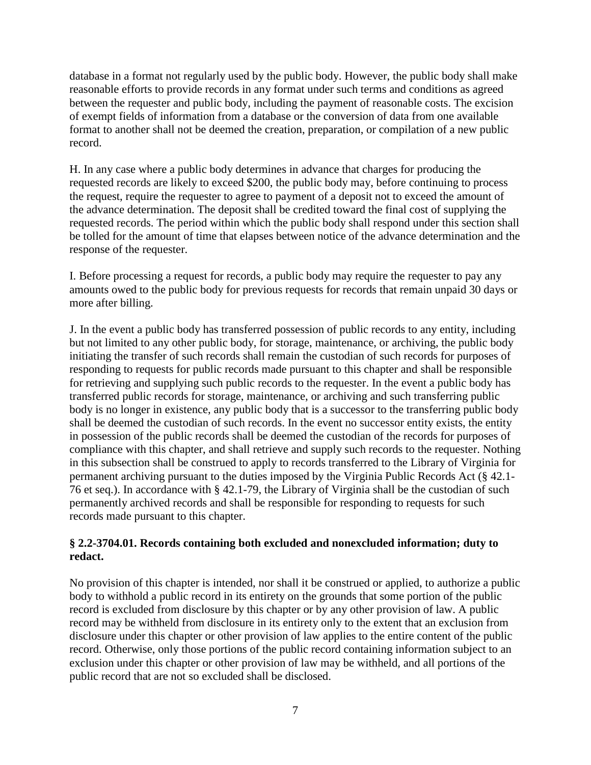database in a format not regularly used by the public body. However, the public body shall make reasonable efforts to provide records in any format under such terms and conditions as agreed between the requester and public body, including the payment of reasonable costs. The excision of exempt fields of information from a database or the conversion of data from one available format to another shall not be deemed the creation, preparation, or compilation of a new public record.

H. In any case where a public body determines in advance that charges for producing the requested records are likely to exceed \$200, the public body may, before continuing to process the request, require the requester to agree to payment of a deposit not to exceed the amount of the advance determination. The deposit shall be credited toward the final cost of supplying the requested records. The period within which the public body shall respond under this section shall be tolled for the amount of time that elapses between notice of the advance determination and the response of the requester.

I. Before processing a request for records, a public body may require the requester to pay any amounts owed to the public body for previous requests for records that remain unpaid 30 days or more after billing.

J. In the event a public body has transferred possession of public records to any entity, including but not limited to any other public body, for storage, maintenance, or archiving, the public body initiating the transfer of such records shall remain the custodian of such records for purposes of responding to requests for public records made pursuant to this chapter and shall be responsible for retrieving and supplying such public records to the requester. In the event a public body has transferred public records for storage, maintenance, or archiving and such transferring public body is no longer in existence, any public body that is a successor to the transferring public body shall be deemed the custodian of such records. In the event no successor entity exists, the entity in possession of the public records shall be deemed the custodian of the records for purposes of compliance with this chapter, and shall retrieve and supply such records to the requester. Nothing in this subsection shall be construed to apply to records transferred to the Library of Virginia for permanent archiving pursuant to the duties imposed by the Virginia Public Records Act (§ [42.1-](http://law.lis.virginia.gov/vacode/42.1-76/) [76](http://law.lis.virginia.gov/vacode/42.1-76/) et seq.). In accordance with § [42.1-79,](http://law.lis.virginia.gov/vacode/42.1-79/) the Library of Virginia shall be the custodian of such permanently archived records and shall be responsible for responding to requests for such records made pursuant to this chapter.

#### **§ 2.2-3704.01. Records containing both excluded and nonexcluded information; duty to redact.**

No provision of this chapter is intended, nor shall it be construed or applied, to authorize a public body to withhold a public record in its entirety on the grounds that some portion of the public record is excluded from disclosure by this chapter or by any other provision of law. A public record may be withheld from disclosure in its entirety only to the extent that an exclusion from disclosure under this chapter or other provision of law applies to the entire content of the public record. Otherwise, only those portions of the public record containing information subject to an exclusion under this chapter or other provision of law may be withheld, and all portions of the public record that are not so excluded shall be disclosed.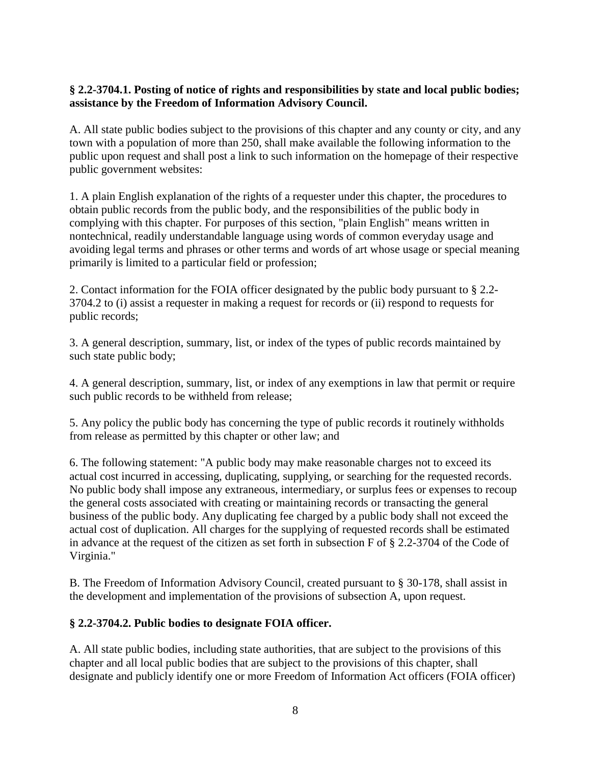#### **§ 2.2-3704.1. Posting of notice of rights and responsibilities by state and local public bodies; assistance by the Freedom of Information Advisory Council.**

A. All state public bodies subject to the provisions of this chapter and any county or city, and any town with a population of more than 250, shall make available the following information to the public upon request and shall post a link to such information on the homepage of their respective public government websites:

1. A plain English explanation of the rights of a requester under this chapter, the procedures to obtain public records from the public body, and the responsibilities of the public body in complying with this chapter. For purposes of this section, "plain English" means written in nontechnical, readily understandable language using words of common everyday usage and avoiding legal terms and phrases or other terms and words of art whose usage or special meaning primarily is limited to a particular field or profession;

2. Contact information for the FOIA officer designated by the public body pursuant to § [2.2-](http://law.lis.virginia.gov/vacode/2.2-3704.2/) [3704.2](http://law.lis.virginia.gov/vacode/2.2-3704.2/) to (i) assist a requester in making a request for records or (ii) respond to requests for public records;

3. A general description, summary, list, or index of the types of public records maintained by such state public body;

4. A general description, summary, list, or index of any exemptions in law that permit or require such public records to be withheld from release;

5. Any policy the public body has concerning the type of public records it routinely withholds from release as permitted by this chapter or other law; and

6. The following statement: "A public body may make reasonable charges not to exceed its actual cost incurred in accessing, duplicating, supplying, or searching for the requested records. No public body shall impose any extraneous, intermediary, or surplus fees or expenses to recoup the general costs associated with creating or maintaining records or transacting the general business of the public body. Any duplicating fee charged by a public body shall not exceed the actual cost of duplication. All charges for the supplying of requested records shall be estimated in advance at the request of the citizen as set forth in subsection F of § [2.2-3704](http://law.lis.virginia.gov/vacode/2.2-3704/) of the Code of Virginia."

B. The Freedom of Information Advisory Council, created pursuant to § [30-178,](http://law.lis.virginia.gov/vacode/30-178/) shall assist in the development and implementation of the provisions of subsection A, upon request.

# **§ 2.2-3704.2. Public bodies to designate FOIA officer.**

A. All state public bodies, including state authorities, that are subject to the provisions of this chapter and all local public bodies that are subject to the provisions of this chapter, shall designate and publicly identify one or more Freedom of Information Act officers (FOIA officer)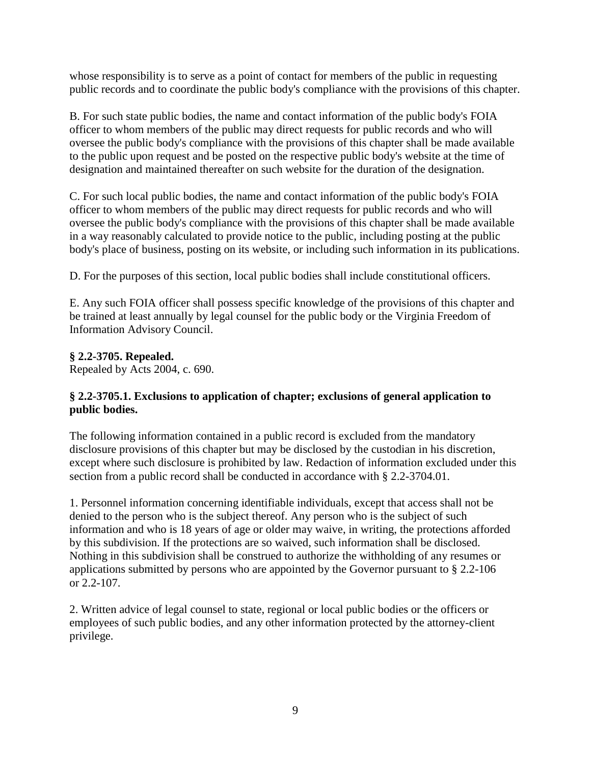whose responsibility is to serve as a point of contact for members of the public in requesting public records and to coordinate the public body's compliance with the provisions of this chapter.

B. For such state public bodies, the name and contact information of the public body's FOIA officer to whom members of the public may direct requests for public records and who will oversee the public body's compliance with the provisions of this chapter shall be made available to the public upon request and be posted on the respective public body's website at the time of designation and maintained thereafter on such website for the duration of the designation.

C. For such local public bodies, the name and contact information of the public body's FOIA officer to whom members of the public may direct requests for public records and who will oversee the public body's compliance with the provisions of this chapter shall be made available in a way reasonably calculated to provide notice to the public, including posting at the public body's place of business, posting on its website, or including such information in its publications.

D. For the purposes of this section, local public bodies shall include constitutional officers.

E. Any such FOIA officer shall possess specific knowledge of the provisions of this chapter and be trained at least annually by legal counsel for the public body or the Virginia Freedom of Information Advisory Council.

# **§ 2.2-3705. Repealed.**

Repealed by Acts 2004, c. [690.](http://lis.virginia.gov/cgi-bin/legp604.exe?041+ful+CHAP0690)

#### **§ 2.2-3705.1. Exclusions to application of chapter; exclusions of general application to public bodies.**

The following information contained in a public record is excluded from the mandatory disclosure provisions of this chapter but may be disclosed by the custodian in his discretion, except where such disclosure is prohibited by law. Redaction of information excluded under this section from a public record shall be conducted in accordance with § [2.2-3704.01.](http://law.lis.virginia.gov/vacode/2.2-3704.01/)

1. Personnel information concerning identifiable individuals, except that access shall not be denied to the person who is the subject thereof. Any person who is the subject of such information and who is 18 years of age or older may waive, in writing, the protections afforded by this subdivision. If the protections are so waived, such information shall be disclosed. Nothing in this subdivision shall be construed to authorize the withholding of any resumes or applications submitted by persons who are appointed by the Governor pursuant to § [2.2-106](http://law.lis.virginia.gov/vacode/2.2-106/) or [2.2-107.](http://law.lis.virginia.gov/vacode/2.2-107/)

2. Written advice of legal counsel to state, regional or local public bodies or the officers or employees of such public bodies, and any other information protected by the attorney-client privilege.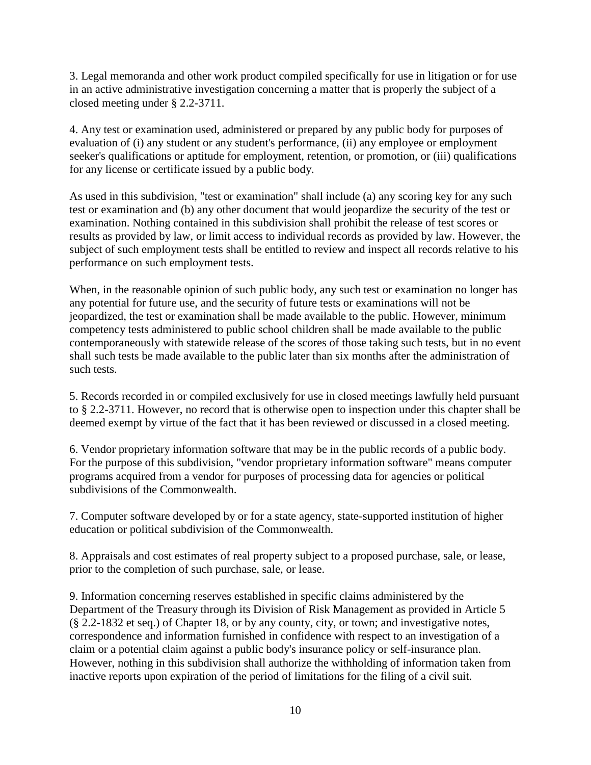3. Legal memoranda and other work product compiled specifically for use in litigation or for use in an active administrative investigation concerning a matter that is properly the subject of a closed meeting under § [2.2-3711.](http://law.lis.virginia.gov/vacode/2.2-3711/)

4. Any test or examination used, administered or prepared by any public body for purposes of evaluation of (i) any student or any student's performance, (ii) any employee or employment seeker's qualifications or aptitude for employment, retention, or promotion, or (iii) qualifications for any license or certificate issued by a public body.

As used in this subdivision, "test or examination" shall include (a) any scoring key for any such test or examination and (b) any other document that would jeopardize the security of the test or examination. Nothing contained in this subdivision shall prohibit the release of test scores or results as provided by law, or limit access to individual records as provided by law. However, the subject of such employment tests shall be entitled to review and inspect all records relative to his performance on such employment tests.

When, in the reasonable opinion of such public body, any such test or examination no longer has any potential for future use, and the security of future tests or examinations will not be jeopardized, the test or examination shall be made available to the public. However, minimum competency tests administered to public school children shall be made available to the public contemporaneously with statewide release of the scores of those taking such tests, but in no event shall such tests be made available to the public later than six months after the administration of such tests.

5. Records recorded in or compiled exclusively for use in closed meetings lawfully held pursuant to § [2.2-3711.](http://law.lis.virginia.gov/vacode/2.2-3711/) However, no record that is otherwise open to inspection under this chapter shall be deemed exempt by virtue of the fact that it has been reviewed or discussed in a closed meeting.

6. Vendor proprietary information software that may be in the public records of a public body. For the purpose of this subdivision, "vendor proprietary information software" means computer programs acquired from a vendor for purposes of processing data for agencies or political subdivisions of the Commonwealth.

7. Computer software developed by or for a state agency, state-supported institution of higher education or political subdivision of the Commonwealth.

8. Appraisals and cost estimates of real property subject to a proposed purchase, sale, or lease, prior to the completion of such purchase, sale, or lease.

9. Information concerning reserves established in specific claims administered by the Department of the Treasury through its Division of Risk Management as provided in Article 5 (§ [2.2-1832](http://law.lis.virginia.gov/vacode/2.2-1832/) et seq.) of Chapter 18, or by any county, city, or town; and investigative notes, correspondence and information furnished in confidence with respect to an investigation of a claim or a potential claim against a public body's insurance policy or self-insurance plan. However, nothing in this subdivision shall authorize the withholding of information taken from inactive reports upon expiration of the period of limitations for the filing of a civil suit.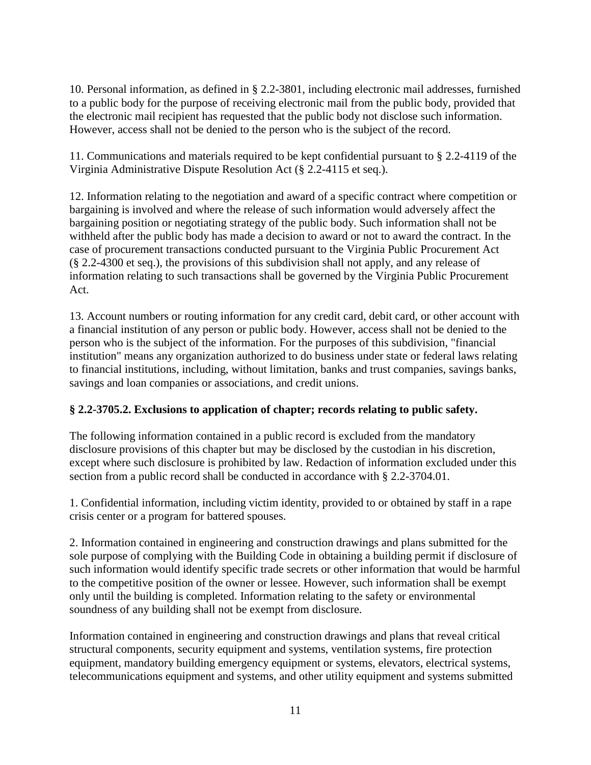10. Personal information, as defined in § [2.2-3801,](http://law.lis.virginia.gov/vacode/2.2-3801/) including electronic mail addresses, furnished to a public body for the purpose of receiving electronic mail from the public body, provided that the electronic mail recipient has requested that the public body not disclose such information. However, access shall not be denied to the person who is the subject of the record.

11. Communications and materials required to be kept confidential pursuant to § [2.2-4119](http://law.lis.virginia.gov/vacode/2.2-4119/) of the Virginia Administrative Dispute Resolution Act (§ [2.2-4115](http://law.lis.virginia.gov/vacode/2.2-4115/) et seq.).

12. Information relating to the negotiation and award of a specific contract where competition or bargaining is involved and where the release of such information would adversely affect the bargaining position or negotiating strategy of the public body. Such information shall not be withheld after the public body has made a decision to award or not to award the contract. In the case of procurement transactions conducted pursuant to the Virginia Public Procurement Act (§ [2.2-4300](http://law.lis.virginia.gov/vacode/2.2-4300/) et seq.), the provisions of this subdivision shall not apply, and any release of information relating to such transactions shall be governed by the Virginia Public Procurement Act.

13. Account numbers or routing information for any credit card, debit card, or other account with a financial institution of any person or public body. However, access shall not be denied to the person who is the subject of the information. For the purposes of this subdivision, "financial institution" means any organization authorized to do business under state or federal laws relating to financial institutions, including, without limitation, banks and trust companies, savings banks, savings and loan companies or associations, and credit unions.

# **§ 2.2-3705.2. Exclusions to application of chapter; records relating to public safety.**

The following information contained in a public record is excluded from the mandatory disclosure provisions of this chapter but may be disclosed by the custodian in his discretion, except where such disclosure is prohibited by law. Redaction of information excluded under this section from a public record shall be conducted in accordance with § [2.2-3704.01.](http://law.lis.virginia.gov/vacode/2.2-3704.01/)

1. Confidential information, including victim identity, provided to or obtained by staff in a rape crisis center or a program for battered spouses.

2. Information contained in engineering and construction drawings and plans submitted for the sole purpose of complying with the Building Code in obtaining a building permit if disclosure of such information would identify specific trade secrets or other information that would be harmful to the competitive position of the owner or lessee. However, such information shall be exempt only until the building is completed. Information relating to the safety or environmental soundness of any building shall not be exempt from disclosure.

Information contained in engineering and construction drawings and plans that reveal critical structural components, security equipment and systems, ventilation systems, fire protection equipment, mandatory building emergency equipment or systems, elevators, electrical systems, telecommunications equipment and systems, and other utility equipment and systems submitted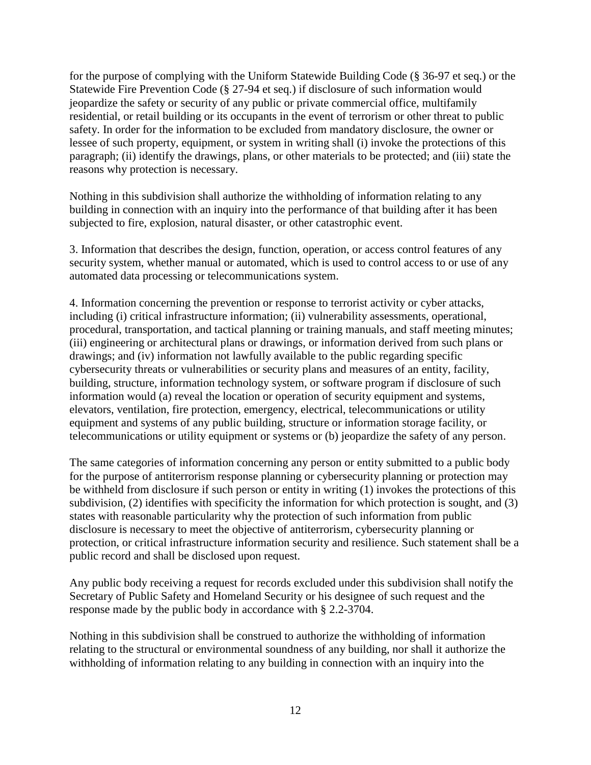for the purpose of complying with the Uniform Statewide Building Code (§ [36-97](http://law.lis.virginia.gov/vacode/36-97/) et seq.) or the Statewide Fire Prevention Code (§ [27-94](http://law.lis.virginia.gov/vacode/27-94/) et seq.) if disclosure of such information would jeopardize the safety or security of any public or private commercial office, multifamily residential, or retail building or its occupants in the event of terrorism or other threat to public safety. In order for the information to be excluded from mandatory disclosure, the owner or lessee of such property, equipment, or system in writing shall (i) invoke the protections of this paragraph; (ii) identify the drawings, plans, or other materials to be protected; and (iii) state the reasons why protection is necessary.

Nothing in this subdivision shall authorize the withholding of information relating to any building in connection with an inquiry into the performance of that building after it has been subjected to fire, explosion, natural disaster, or other catastrophic event.

3. Information that describes the design, function, operation, or access control features of any security system, whether manual or automated, which is used to control access to or use of any automated data processing or telecommunications system.

4. Information concerning the prevention or response to terrorist activity or cyber attacks, including (i) critical infrastructure information; (ii) vulnerability assessments, operational, procedural, transportation, and tactical planning or training manuals, and staff meeting minutes; (iii) engineering or architectural plans or drawings, or information derived from such plans or drawings; and (iv) information not lawfully available to the public regarding specific cybersecurity threats or vulnerabilities or security plans and measures of an entity, facility, building, structure, information technology system, or software program if disclosure of such information would (a) reveal the location or operation of security equipment and systems, elevators, ventilation, fire protection, emergency, electrical, telecommunications or utility equipment and systems of any public building, structure or information storage facility, or telecommunications or utility equipment or systems or (b) jeopardize the safety of any person.

The same categories of information concerning any person or entity submitted to a public body for the purpose of antiterrorism response planning or cybersecurity planning or protection may be withheld from disclosure if such person or entity in writing (1) invokes the protections of this subdivision, (2) identifies with specificity the information for which protection is sought, and (3) states with reasonable particularity why the protection of such information from public disclosure is necessary to meet the objective of antiterrorism, cybersecurity planning or protection, or critical infrastructure information security and resilience. Such statement shall be a public record and shall be disclosed upon request.

Any public body receiving a request for records excluded under this subdivision shall notify the Secretary of Public Safety and Homeland Security or his designee of such request and the response made by the public body in accordance with § [2.2-3704.](http://law.lis.virginia.gov/vacode/2.2-3704/)

Nothing in this subdivision shall be construed to authorize the withholding of information relating to the structural or environmental soundness of any building, nor shall it authorize the withholding of information relating to any building in connection with an inquiry into the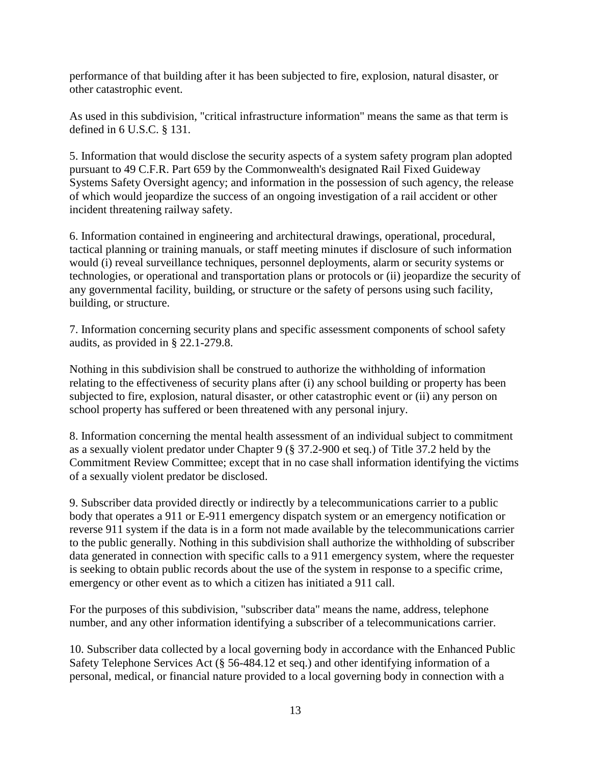performance of that building after it has been subjected to fire, explosion, natural disaster, or other catastrophic event.

As used in this subdivision, "critical infrastructure information" means the same as that term is defined in 6 U.S.C. § 131.

5. Information that would disclose the security aspects of a system safety program plan adopted pursuant to 49 C.F.R. Part 659 by the Commonwealth's designated Rail Fixed Guideway Systems Safety Oversight agency; and information in the possession of such agency, the release of which would jeopardize the success of an ongoing investigation of a rail accident or other incident threatening railway safety.

6. Information contained in engineering and architectural drawings, operational, procedural, tactical planning or training manuals, or staff meeting minutes if disclosure of such information would (i) reveal surveillance techniques, personnel deployments, alarm or security systems or technologies, or operational and transportation plans or protocols or (ii) jeopardize the security of any governmental facility, building, or structure or the safety of persons using such facility, building, or structure.

7. Information concerning security plans and specific assessment components of school safety audits, as provided in § [22.1-279.8.](http://law.lis.virginia.gov/vacode/22.1-279.8/)

Nothing in this subdivision shall be construed to authorize the withholding of information relating to the effectiveness of security plans after (i) any school building or property has been subjected to fire, explosion, natural disaster, or other catastrophic event or (ii) any person on school property has suffered or been threatened with any personal injury.

8. Information concerning the mental health assessment of an individual subject to commitment as a sexually violent predator under Chapter 9 (§ [37.2-900](http://law.lis.virginia.gov/vacode/37.2-900/) et seq.) of Title 37.2 held by the Commitment Review Committee; except that in no case shall information identifying the victims of a sexually violent predator be disclosed.

9. Subscriber data provided directly or indirectly by a telecommunications carrier to a public body that operates a 911 or E-911 emergency dispatch system or an emergency notification or reverse 911 system if the data is in a form not made available by the telecommunications carrier to the public generally. Nothing in this subdivision shall authorize the withholding of subscriber data generated in connection with specific calls to a 911 emergency system, where the requester is seeking to obtain public records about the use of the system in response to a specific crime, emergency or other event as to which a citizen has initiated a 911 call.

For the purposes of this subdivision, "subscriber data" means the name, address, telephone number, and any other information identifying a subscriber of a telecommunications carrier.

10. Subscriber data collected by a local governing body in accordance with the Enhanced Public Safety Telephone Services Act (§ [56-484.12](http://law.lis.virginia.gov/vacode/56-484.12/) et seq.) and other identifying information of a personal, medical, or financial nature provided to a local governing body in connection with a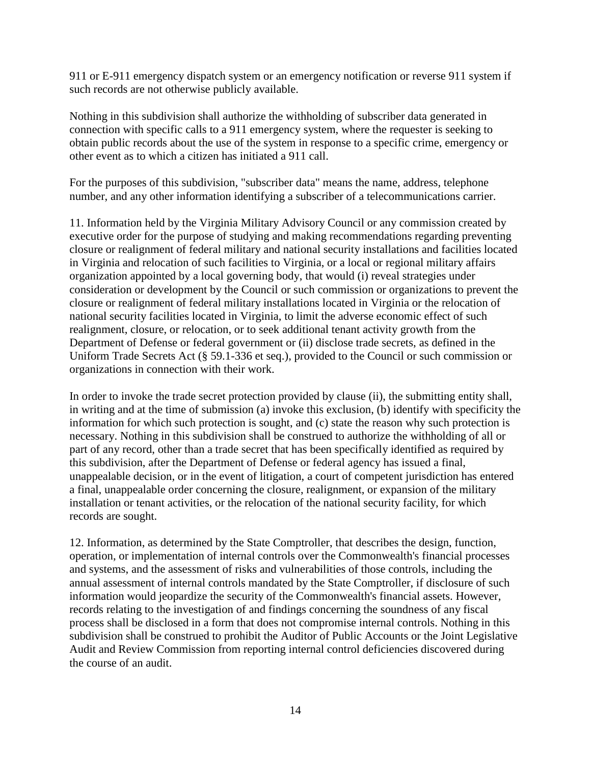911 or E-911 emergency dispatch system or an emergency notification or reverse 911 system if such records are not otherwise publicly available.

Nothing in this subdivision shall authorize the withholding of subscriber data generated in connection with specific calls to a 911 emergency system, where the requester is seeking to obtain public records about the use of the system in response to a specific crime, emergency or other event as to which a citizen has initiated a 911 call.

For the purposes of this subdivision, "subscriber data" means the name, address, telephone number, and any other information identifying a subscriber of a telecommunications carrier.

11. Information held by the Virginia Military Advisory Council or any commission created by executive order for the purpose of studying and making recommendations regarding preventing closure or realignment of federal military and national security installations and facilities located in Virginia and relocation of such facilities to Virginia, or a local or regional military affairs organization appointed by a local governing body, that would (i) reveal strategies under consideration or development by the Council or such commission or organizations to prevent the closure or realignment of federal military installations located in Virginia or the relocation of national security facilities located in Virginia, to limit the adverse economic effect of such realignment, closure, or relocation, or to seek additional tenant activity growth from the Department of Defense or federal government or (ii) disclose trade secrets, as defined in the Uniform Trade Secrets Act (§ [59.1-336](http://law.lis.virginia.gov/vacode/59.1-336/) et seq.), provided to the Council or such commission or organizations in connection with their work.

In order to invoke the trade secret protection provided by clause (ii), the submitting entity shall, in writing and at the time of submission (a) invoke this exclusion, (b) identify with specificity the information for which such protection is sought, and (c) state the reason why such protection is necessary. Nothing in this subdivision shall be construed to authorize the withholding of all or part of any record, other than a trade secret that has been specifically identified as required by this subdivision, after the Department of Defense or federal agency has issued a final, unappealable decision, or in the event of litigation, a court of competent jurisdiction has entered a final, unappealable order concerning the closure, realignment, or expansion of the military installation or tenant activities, or the relocation of the national security facility, for which records are sought.

12. Information, as determined by the State Comptroller, that describes the design, function, operation, or implementation of internal controls over the Commonwealth's financial processes and systems, and the assessment of risks and vulnerabilities of those controls, including the annual assessment of internal controls mandated by the State Comptroller, if disclosure of such information would jeopardize the security of the Commonwealth's financial assets. However, records relating to the investigation of and findings concerning the soundness of any fiscal process shall be disclosed in a form that does not compromise internal controls. Nothing in this subdivision shall be construed to prohibit the Auditor of Public Accounts or the Joint Legislative Audit and Review Commission from reporting internal control deficiencies discovered during the course of an audit.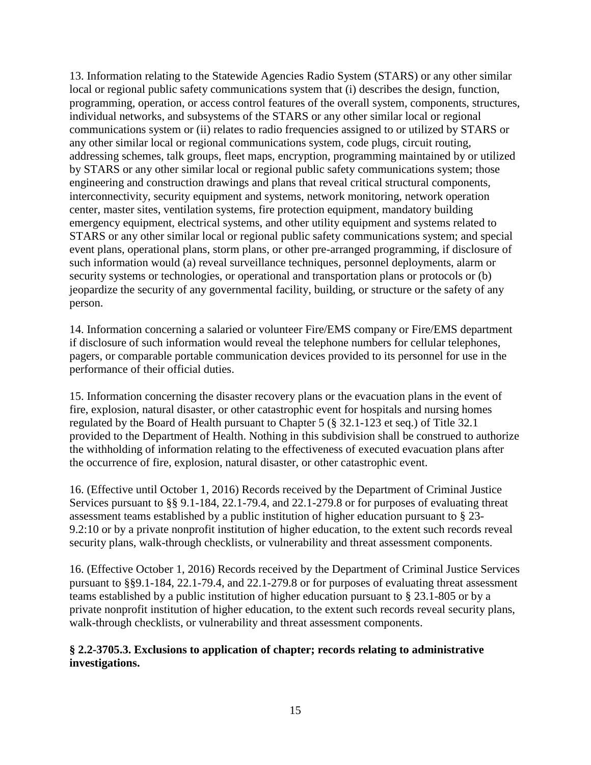13. Information relating to the Statewide Agencies Radio System (STARS) or any other similar local or regional public safety communications system that (i) describes the design, function, programming, operation, or access control features of the overall system, components, structures, individual networks, and subsystems of the STARS or any other similar local or regional communications system or (ii) relates to radio frequencies assigned to or utilized by STARS or any other similar local or regional communications system, code plugs, circuit routing, addressing schemes, talk groups, fleet maps, encryption, programming maintained by or utilized by STARS or any other similar local or regional public safety communications system; those engineering and construction drawings and plans that reveal critical structural components, interconnectivity, security equipment and systems, network monitoring, network operation center, master sites, ventilation systems, fire protection equipment, mandatory building emergency equipment, electrical systems, and other utility equipment and systems related to STARS or any other similar local or regional public safety communications system; and special event plans, operational plans, storm plans, or other pre-arranged programming, if disclosure of such information would (a) reveal surveillance techniques, personnel deployments, alarm or security systems or technologies, or operational and transportation plans or protocols or (b) jeopardize the security of any governmental facility, building, or structure or the safety of any person.

14. Information concerning a salaried or volunteer Fire/EMS company or Fire/EMS department if disclosure of such information would reveal the telephone numbers for cellular telephones, pagers, or comparable portable communication devices provided to its personnel for use in the performance of their official duties.

15. Information concerning the disaster recovery plans or the evacuation plans in the event of fire, explosion, natural disaster, or other catastrophic event for hospitals and nursing homes regulated by the Board of Health pursuant to Chapter 5 (§ [32.1-123](http://law.lis.virginia.gov/vacode/32.1-123/) et seq.) of Title 32.1 provided to the Department of Health. Nothing in this subdivision shall be construed to authorize the withholding of information relating to the effectiveness of executed evacuation plans after the occurrence of fire, explosion, natural disaster, or other catastrophic event.

16. (Effective until October 1, 2016) Records received by the Department of Criminal Justice Services pursuant to §§ [9.1-184,](http://law.lis.virginia.gov/vacode/9.1-184/) [22.1-79.4,](http://law.lis.virginia.gov/vacode/22.1-79.4/) and [22.1-279.8](http://law.lis.virginia.gov/vacode/22.1-279.8/) or for purposes of evaluating threat assessment teams established by a public institution of higher education pursuant to § [23-](http://law.lis.virginia.gov/vacode/23-9.2:10/) [9.2:10](http://law.lis.virginia.gov/vacode/23-9.2:10/) or by a private nonprofit institution of higher education, to the extent such records reveal security plans, walk-through checklists, or vulnerability and threat assessment components.

16. (Effective October 1, 2016) Records received by the Department of Criminal Justice Services pursuant to §[§9.1-184,](http://law.lis.virginia.gov/vacode/9.1-184/) [22.1-79.4,](http://law.lis.virginia.gov/vacode/22.1-79.4/) and [22.1-279.8](http://law.lis.virginia.gov/vacode/22.1-279.8/) or for purposes of evaluating threat assessment teams established by a public institution of higher education pursuant to § [23.1-805](http://law.lis.virginia.gov/vacode/23.1-805/) or by a private nonprofit institution of higher education, to the extent such records reveal security plans, walk-through checklists, or vulnerability and threat assessment components.

#### **§ 2.2-3705.3. Exclusions to application of chapter; records relating to administrative investigations.**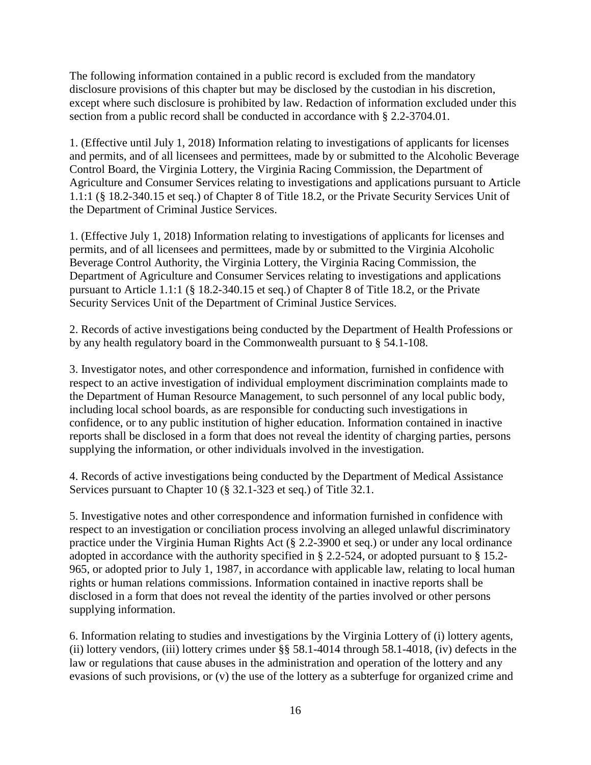The following information contained in a public record is excluded from the mandatory disclosure provisions of this chapter but may be disclosed by the custodian in his discretion, except where such disclosure is prohibited by law. Redaction of information excluded under this section from a public record shall be conducted in accordance with § [2.2-3704.01.](http://law.lis.virginia.gov/vacode/2.2-3704.01/)

1. (Effective until July 1, 2018) Information relating to investigations of applicants for licenses and permits, and of all licensees and permittees, made by or submitted to the Alcoholic Beverage Control Board, the Virginia Lottery, the Virginia Racing Commission, the Department of Agriculture and Consumer Services relating to investigations and applications pursuant to Article 1.1:1 (§ [18.2-340.15](http://law.lis.virginia.gov/vacode/18.2-340.15/) et seq.) of Chapter 8 of Title 18.2, or the Private Security Services Unit of the Department of Criminal Justice Services.

1. (Effective July 1, 2018) Information relating to investigations of applicants for licenses and permits, and of all licensees and permittees, made by or submitted to the Virginia Alcoholic Beverage Control Authority, the Virginia Lottery, the Virginia Racing Commission, the Department of Agriculture and Consumer Services relating to investigations and applications pursuant to Article 1.1:1 (§ [18.2-340.15](http://law.lis.virginia.gov/vacode/18.2-340.15/) et seq.) of Chapter 8 of Title 18.2, or the Private Security Services Unit of the Department of Criminal Justice Services.

2. Records of active investigations being conducted by the Department of Health Professions or by any health regulatory board in the Commonwealth pursuant to § [54.1-108.](http://law.lis.virginia.gov/vacode/54.1-108/)

3. Investigator notes, and other correspondence and information, furnished in confidence with respect to an active investigation of individual employment discrimination complaints made to the Department of Human Resource Management, to such personnel of any local public body, including local school boards, as are responsible for conducting such investigations in confidence, or to any public institution of higher education. Information contained in inactive reports shall be disclosed in a form that does not reveal the identity of charging parties, persons supplying the information, or other individuals involved in the investigation.

4. Records of active investigations being conducted by the Department of Medical Assistance Services pursuant to Chapter 10 (§ [32.1-323](http://law.lis.virginia.gov/vacode/32.1-323/) et seq.) of Title 32.1.

5. Investigative notes and other correspondence and information furnished in confidence with respect to an investigation or conciliation process involving an alleged unlawful discriminatory practice under the Virginia Human Rights Act (§ [2.2-3900](http://law.lis.virginia.gov/vacode/2.2-3900/) et seq.) or under any local ordinance adopted in accordance with the authority specified in § [2.2-524,](http://law.lis.virginia.gov/vacode/2.2-524/) or adopted pursuant to § [15.2-](http://law.lis.virginia.gov/vacode/15.2-965/) [965,](http://law.lis.virginia.gov/vacode/15.2-965/) or adopted prior to July 1, 1987, in accordance with applicable law, relating to local human rights or human relations commissions. Information contained in inactive reports shall be disclosed in a form that does not reveal the identity of the parties involved or other persons supplying information.

6. Information relating to studies and investigations by the Virginia Lottery of (i) lottery agents, (ii) lottery vendors, (iii) lottery crimes under §§ [58.1-4014](http://law.lis.virginia.gov/vacode/58.1-4014/) through [58.1-4018,](http://law.lis.virginia.gov/vacode/58.1-4018/) (iv) defects in the law or regulations that cause abuses in the administration and operation of the lottery and any evasions of such provisions, or (v) the use of the lottery as a subterfuge for organized crime and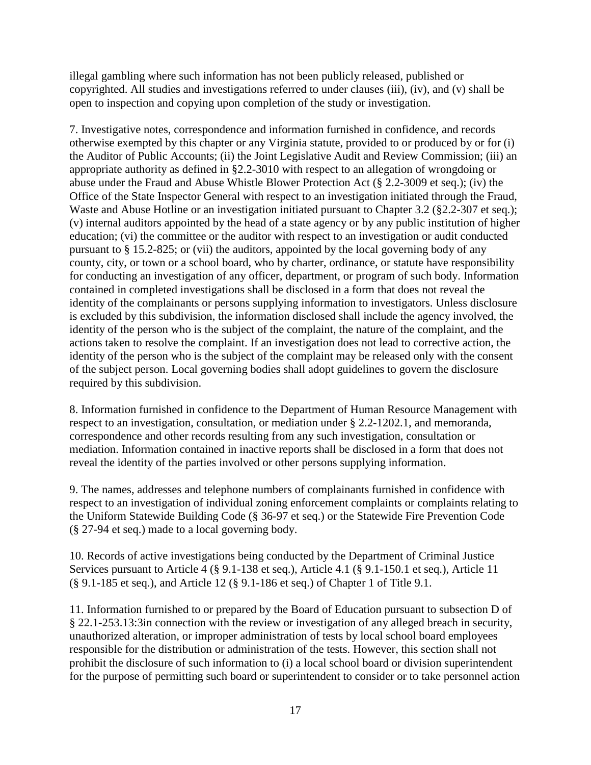illegal gambling where such information has not been publicly released, published or copyrighted. All studies and investigations referred to under clauses (iii), (iv), and (v) shall be open to inspection and copying upon completion of the study or investigation.

7. Investigative notes, correspondence and information furnished in confidence, and records otherwise exempted by this chapter or any Virginia statute, provided to or produced by or for (i) the Auditor of Public Accounts; (ii) the Joint Legislative Audit and Review Commission; (iii) an appropriate authority as defined in [§2.2-3010](http://law.lis.virginia.gov/vacode/2.2-3010/) with respect to an allegation of wrongdoing or abuse under the Fraud and Abuse Whistle Blower Protection Act (§ [2.2-3009](http://law.lis.virginia.gov/vacode/2.2-3009/) et seq.); (iv) the Office of the State Inspector General with respect to an investigation initiated through the Fraud, Waste and Abuse Hotline or an investigation initiated pursuant to Chapter 3.2 ([§2.2-307](http://law.lis.virginia.gov/vacode/2.2-307/) et seq.); (v) internal auditors appointed by the head of a state agency or by any public institution of higher education; (vi) the committee or the auditor with respect to an investigation or audit conducted pursuant to § [15.2-825;](http://law.lis.virginia.gov/vacode/15.2-825/) or (vii) the auditors, appointed by the local governing body of any county, city, or town or a school board, who by charter, ordinance, or statute have responsibility for conducting an investigation of any officer, department, or program of such body. Information contained in completed investigations shall be disclosed in a form that does not reveal the identity of the complainants or persons supplying information to investigators. Unless disclosure is excluded by this subdivision, the information disclosed shall include the agency involved, the identity of the person who is the subject of the complaint, the nature of the complaint, and the actions taken to resolve the complaint. If an investigation does not lead to corrective action, the identity of the person who is the subject of the complaint may be released only with the consent of the subject person. Local governing bodies shall adopt guidelines to govern the disclosure required by this subdivision.

8. Information furnished in confidence to the Department of Human Resource Management with respect to an investigation, consultation, or mediation under § [2.2-1202.1,](http://law.lis.virginia.gov/vacode/2.2-1202.1/) and memoranda, correspondence and other records resulting from any such investigation, consultation or mediation. Information contained in inactive reports shall be disclosed in a form that does not reveal the identity of the parties involved or other persons supplying information.

9. The names, addresses and telephone numbers of complainants furnished in confidence with respect to an investigation of individual zoning enforcement complaints or complaints relating to the Uniform Statewide Building Code (§ [36-97](http://law.lis.virginia.gov/vacode/36-97/) et seq.) or the Statewide Fire Prevention Code (§ [27-94](http://law.lis.virginia.gov/vacode/27-94/) et seq.) made to a local governing body.

10. Records of active investigations being conducted by the Department of Criminal Justice Services pursuant to Article 4 (§ [9.1-138](http://law.lis.virginia.gov/vacode/9.1-138/) et seq.), Article 4.1 (§ [9.1-150.1](http://law.lis.virginia.gov/vacode/9.1-150.1/) et seq.), Article 11 (§ [9.1-185](http://law.lis.virginia.gov/vacode/9.1-185/) et seq.), and Article 12 (§ [9.1-186](http://law.lis.virginia.gov/vacode/9.1-186/) et seq.) of Chapter 1 of Title 9.1.

11. Information furnished to or prepared by the Board of Education pursuant to subsection D of § [22.1-253.13:3i](http://law.lis.virginia.gov/vacode/22.1-253.13:3/)n connection with the review or investigation of any alleged breach in security, unauthorized alteration, or improper administration of tests by local school board employees responsible for the distribution or administration of the tests. However, this section shall not prohibit the disclosure of such information to (i) a local school board or division superintendent for the purpose of permitting such board or superintendent to consider or to take personnel action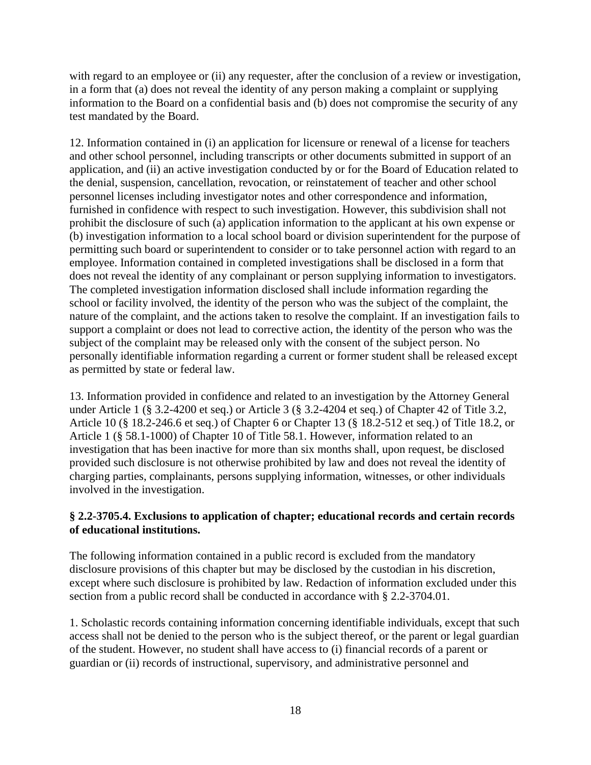with regard to an employee or (ii) any requester, after the conclusion of a review or investigation, in a form that (a) does not reveal the identity of any person making a complaint or supplying information to the Board on a confidential basis and (b) does not compromise the security of any test mandated by the Board.

12. Information contained in (i) an application for licensure or renewal of a license for teachers and other school personnel, including transcripts or other documents submitted in support of an application, and (ii) an active investigation conducted by or for the Board of Education related to the denial, suspension, cancellation, revocation, or reinstatement of teacher and other school personnel licenses including investigator notes and other correspondence and information, furnished in confidence with respect to such investigation. However, this subdivision shall not prohibit the disclosure of such (a) application information to the applicant at his own expense or (b) investigation information to a local school board or division superintendent for the purpose of permitting such board or superintendent to consider or to take personnel action with regard to an employee. Information contained in completed investigations shall be disclosed in a form that does not reveal the identity of any complainant or person supplying information to investigators. The completed investigation information disclosed shall include information regarding the school or facility involved, the identity of the person who was the subject of the complaint, the nature of the complaint, and the actions taken to resolve the complaint. If an investigation fails to support a complaint or does not lead to corrective action, the identity of the person who was the subject of the complaint may be released only with the consent of the subject person. No personally identifiable information regarding a current or former student shall be released except as permitted by state or federal law.

13. Information provided in confidence and related to an investigation by the Attorney General under Article 1 (§ [3.2-4200](http://law.lis.virginia.gov/vacode/3.2-4200/) et seq.) or Article 3 (§ [3.2-4204](http://law.lis.virginia.gov/vacode/3.2-4204/) et seq.) of Chapter 42 of Title 3.2, Article 10 (§ [18.2-246.6](http://law.lis.virginia.gov/vacode/18.2-246.6/) et seq.) of Chapter 6 or Chapter 13 (§ [18.2-512](http://law.lis.virginia.gov/vacode/18.2-512/) et seq.) of Title 18.2, or Article 1 (§ [58.1-1000\)](http://law.lis.virginia.gov/vacode/58.1-1000/) of Chapter 10 of Title 58.1. However, information related to an investigation that has been inactive for more than six months shall, upon request, be disclosed provided such disclosure is not otherwise prohibited by law and does not reveal the identity of charging parties, complainants, persons supplying information, witnesses, or other individuals involved in the investigation.

#### **§ 2.2-3705.4. Exclusions to application of chapter; educational records and certain records of educational institutions.**

The following information contained in a public record is excluded from the mandatory disclosure provisions of this chapter but may be disclosed by the custodian in his discretion, except where such disclosure is prohibited by law. Redaction of information excluded under this section from a public record shall be conducted in accordance with § [2.2-3704.01.](http://law.lis.virginia.gov/vacode/2.2-3704.01/)

1. Scholastic records containing information concerning identifiable individuals, except that such access shall not be denied to the person who is the subject thereof, or the parent or legal guardian of the student. However, no student shall have access to (i) financial records of a parent or guardian or (ii) records of instructional, supervisory, and administrative personnel and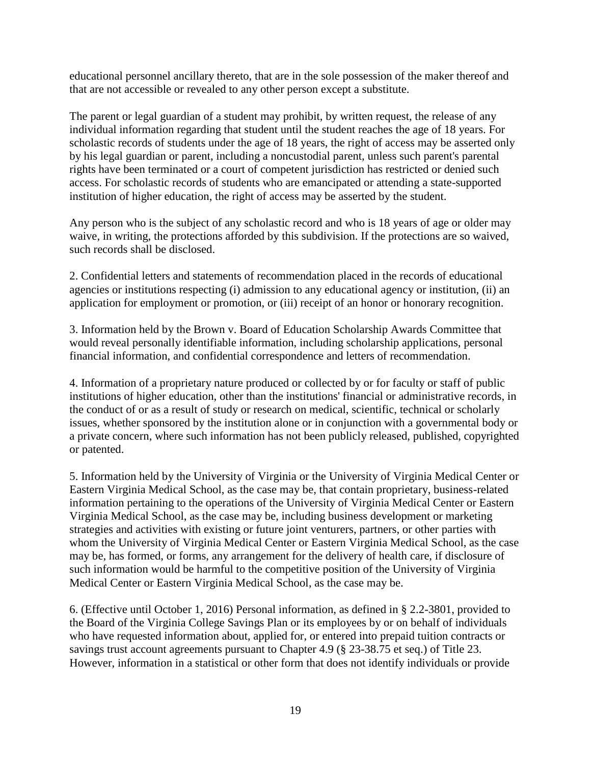educational personnel ancillary thereto, that are in the sole possession of the maker thereof and that are not accessible or revealed to any other person except a substitute.

The parent or legal guardian of a student may prohibit, by written request, the release of any individual information regarding that student until the student reaches the age of 18 years. For scholastic records of students under the age of 18 years, the right of access may be asserted only by his legal guardian or parent, including a noncustodial parent, unless such parent's parental rights have been terminated or a court of competent jurisdiction has restricted or denied such access. For scholastic records of students who are emancipated or attending a state-supported institution of higher education, the right of access may be asserted by the student.

Any person who is the subject of any scholastic record and who is 18 years of age or older may waive, in writing, the protections afforded by this subdivision. If the protections are so waived, such records shall be disclosed.

2. Confidential letters and statements of recommendation placed in the records of educational agencies or institutions respecting (i) admission to any educational agency or institution, (ii) an application for employment or promotion, or (iii) receipt of an honor or honorary recognition.

3. Information held by the Brown v. Board of Education Scholarship Awards Committee that would reveal personally identifiable information, including scholarship applications, personal financial information, and confidential correspondence and letters of recommendation.

4. Information of a proprietary nature produced or collected by or for faculty or staff of public institutions of higher education, other than the institutions' financial or administrative records, in the conduct of or as a result of study or research on medical, scientific, technical or scholarly issues, whether sponsored by the institution alone or in conjunction with a governmental body or a private concern, where such information has not been publicly released, published, copyrighted or patented.

5. Information held by the University of Virginia or the University of Virginia Medical Center or Eastern Virginia Medical School, as the case may be, that contain proprietary, business-related information pertaining to the operations of the University of Virginia Medical Center or Eastern Virginia Medical School, as the case may be, including business development or marketing strategies and activities with existing or future joint venturers, partners, or other parties with whom the University of Virginia Medical Center or Eastern Virginia Medical School, as the case may be, has formed, or forms, any arrangement for the delivery of health care, if disclosure of such information would be harmful to the competitive position of the University of Virginia Medical Center or Eastern Virginia Medical School, as the case may be.

6. (Effective until October 1, 2016) Personal information, as defined in § [2.2-3801,](http://law.lis.virginia.gov/vacode/2.2-3801/) provided to the Board of the Virginia College Savings Plan or its employees by or on behalf of individuals who have requested information about, applied for, or entered into prepaid tuition contracts or savings trust account agreements pursuant to Chapter 4.9 (§ [23-38.75](http://law.lis.virginia.gov/vacode/23-38.75/) et seq.) of Title 23. However, information in a statistical or other form that does not identify individuals or provide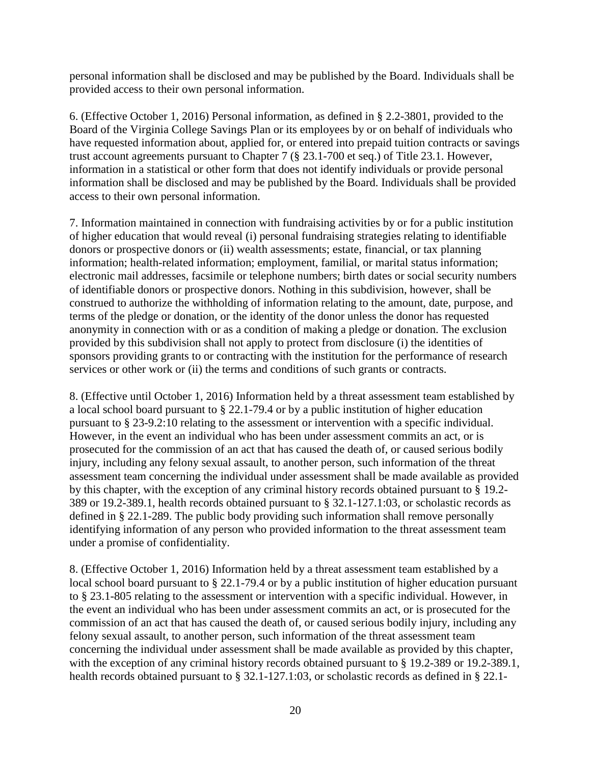personal information shall be disclosed and may be published by the Board. Individuals shall be provided access to their own personal information.

6. (Effective October 1, 2016) Personal information, as defined in § [2.2-3801,](http://law.lis.virginia.gov/vacode/2.2-3801/) provided to the Board of the Virginia College Savings Plan or its employees by or on behalf of individuals who have requested information about, applied for, or entered into prepaid tuition contracts or savings trust account agreements pursuant to Chapter 7 (§ [23.1-700](http://law.lis.virginia.gov/vacode/23.1-700/) et seq.) of Title 23.1. However, information in a statistical or other form that does not identify individuals or provide personal information shall be disclosed and may be published by the Board. Individuals shall be provided access to their own personal information.

7. Information maintained in connection with fundraising activities by or for a public institution of higher education that would reveal (i) personal fundraising strategies relating to identifiable donors or prospective donors or (ii) wealth assessments; estate, financial, or tax planning information; health-related information; employment, familial, or marital status information; electronic mail addresses, facsimile or telephone numbers; birth dates or social security numbers of identifiable donors or prospective donors. Nothing in this subdivision, however, shall be construed to authorize the withholding of information relating to the amount, date, purpose, and terms of the pledge or donation, or the identity of the donor unless the donor has requested anonymity in connection with or as a condition of making a pledge or donation. The exclusion provided by this subdivision shall not apply to protect from disclosure (i) the identities of sponsors providing grants to or contracting with the institution for the performance of research services or other work or (ii) the terms and conditions of such grants or contracts.

8. (Effective until October 1, 2016) Information held by a threat assessment team established by a local school board pursuant to § [22.1-79.4](http://law.lis.virginia.gov/vacode/22.1-79.4/) or by a public institution of higher education pursuant to § [23-9.2:10](http://law.lis.virginia.gov/vacode/23-9.2:10/) relating to the assessment or intervention with a specific individual. However, in the event an individual who has been under assessment commits an act, or is prosecuted for the commission of an act that has caused the death of, or caused serious bodily injury, including any felony sexual assault, to another person, such information of the threat assessment team concerning the individual under assessment shall be made available as provided by this chapter, with the exception of any criminal history records obtained pursuant to § [19.2-](http://law.lis.virginia.gov/vacode/19.2-389/) [389](http://law.lis.virginia.gov/vacode/19.2-389/) or [19.2-389.1,](http://law.lis.virginia.gov/vacode/19.2-389.1/) health records obtained pursuant to § [32.1-127.1:03,](http://law.lis.virginia.gov/vacode/32.1-127.1:03/) or scholastic records as defined in § [22.1-289.](http://law.lis.virginia.gov/vacode/22.1-289/) The public body providing such information shall remove personally identifying information of any person who provided information to the threat assessment team under a promise of confidentiality.

8. (Effective October 1, 2016) Information held by a threat assessment team established by a local school board pursuant to § [22.1-79.4](http://law.lis.virginia.gov/vacode/22.1-79.4/) or by a public institution of higher education pursuant to § [23.1-805](http://law.lis.virginia.gov/vacode/23.1-805/) relating to the assessment or intervention with a specific individual. However, in the event an individual who has been under assessment commits an act, or is prosecuted for the commission of an act that has caused the death of, or caused serious bodily injury, including any felony sexual assault, to another person, such information of the threat assessment team concerning the individual under assessment shall be made available as provided by this chapter, with the exception of any criminal history records obtained pursuant to § [19.2-389](http://law.lis.virginia.gov/vacode/19.2-389/) or [19.2-389.1,](http://law.lis.virginia.gov/vacode/19.2-389.1/) health records obtained pursuant to § [32.1-127.1:03,](http://law.lis.virginia.gov/vacode/32.1-127.1:03/) or scholastic records as defined in § [22.1-](http://law.lis.virginia.gov/vacode/22.1-289/)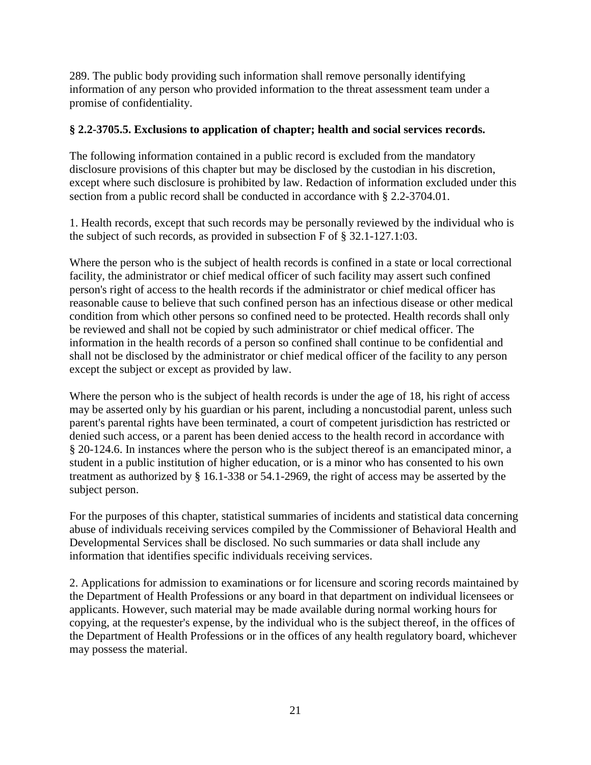[289.](http://law.lis.virginia.gov/vacode/22.1-289/) The public body providing such information shall remove personally identifying information of any person who provided information to the threat assessment team under a promise of confidentiality.

### **§ 2.2-3705.5. Exclusions to application of chapter; health and social services records.**

The following information contained in a public record is excluded from the mandatory disclosure provisions of this chapter but may be disclosed by the custodian in his discretion, except where such disclosure is prohibited by law. Redaction of information excluded under this section from a public record shall be conducted in accordance with § [2.2-3704.01.](http://law.lis.virginia.gov/vacode/2.2-3704.01/)

1. Health records, except that such records may be personally reviewed by the individual who is the subject of such records, as provided in subsection F of § [32.1-127.1:03.](http://law.lis.virginia.gov/vacode/32.1-127.1:03/)

Where the person who is the subject of health records is confined in a state or local correctional facility, the administrator or chief medical officer of such facility may assert such confined person's right of access to the health records if the administrator or chief medical officer has reasonable cause to believe that such confined person has an infectious disease or other medical condition from which other persons so confined need to be protected. Health records shall only be reviewed and shall not be copied by such administrator or chief medical officer. The information in the health records of a person so confined shall continue to be confidential and shall not be disclosed by the administrator or chief medical officer of the facility to any person except the subject or except as provided by law.

Where the person who is the subject of health records is under the age of 18, his right of access may be asserted only by his guardian or his parent, including a noncustodial parent, unless such parent's parental rights have been terminated, a court of competent jurisdiction has restricted or denied such access, or a parent has been denied access to the health record in accordance with § [20-124.6.](http://law.lis.virginia.gov/vacode/20-124.6/) In instances where the person who is the subject thereof is an emancipated minor, a student in a public institution of higher education, or is a minor who has consented to his own treatment as authorized by § [16.1-338](http://law.lis.virginia.gov/vacode/16.1-338/) or [54.1-2969,](http://law.lis.virginia.gov/vacode/54.1-2969/) the right of access may be asserted by the subject person.

For the purposes of this chapter, statistical summaries of incidents and statistical data concerning abuse of individuals receiving services compiled by the Commissioner of Behavioral Health and Developmental Services shall be disclosed. No such summaries or data shall include any information that identifies specific individuals receiving services.

2. Applications for admission to examinations or for licensure and scoring records maintained by the Department of Health Professions or any board in that department on individual licensees or applicants. However, such material may be made available during normal working hours for copying, at the requester's expense, by the individual who is the subject thereof, in the offices of the Department of Health Professions or in the offices of any health regulatory board, whichever may possess the material.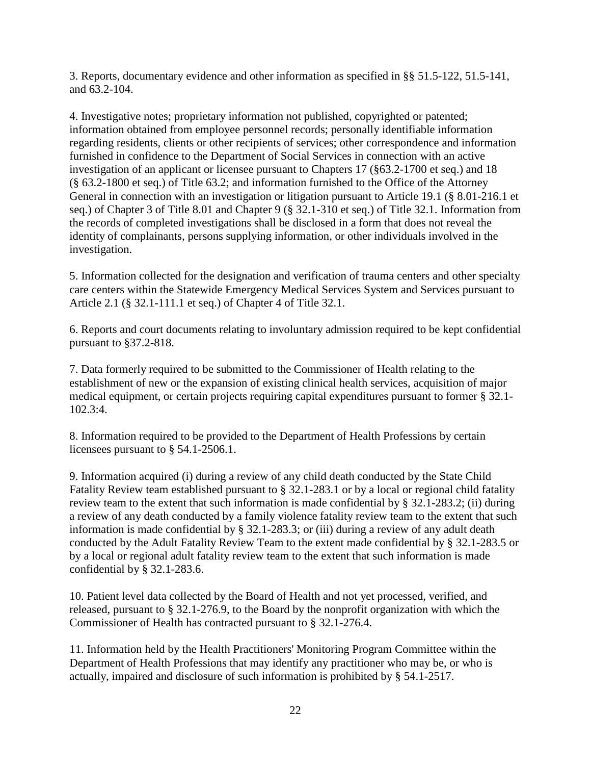3. Reports, documentary evidence and other information as specified in §§ [51.5-122,](http://law.lis.virginia.gov/vacode/51.5-122/) [51.5-141,](http://law.lis.virginia.gov/vacode/51.5-141/) and [63.2-104.](http://law.lis.virginia.gov/vacode/63.2-104/)

4. Investigative notes; proprietary information not published, copyrighted or patented; information obtained from employee personnel records; personally identifiable information regarding residents, clients or other recipients of services; other correspondence and information furnished in confidence to the Department of Social Services in connection with an active investigation of an applicant or licensee pursuant to Chapters 17 ([§63.2-1700](http://law.lis.virginia.gov/vacode/63.2-1700/) et seq.) and 18 (§ [63.2-1800](http://law.lis.virginia.gov/vacode/63.2-1800/) et seq.) of Title 63.2; and information furnished to the Office of the Attorney General in connection with an investigation or litigation pursuant to Article 19.1 (§ [8.01-216.1](http://law.lis.virginia.gov/vacode/8.01-216.1/) et seq.) of Chapter 3 of Title 8.01 and Chapter 9 (§ [32.1-310](http://law.lis.virginia.gov/vacode/32.1-310/) et seq.) of Title 32.1. Information from the records of completed investigations shall be disclosed in a form that does not reveal the identity of complainants, persons supplying information, or other individuals involved in the investigation.

5. Information collected for the designation and verification of trauma centers and other specialty care centers within the Statewide Emergency Medical Services System and Services pursuant to Article 2.1 (§ [32.1-111.1](http://law.lis.virginia.gov/vacode/32.1-111.1/) et seq.) of Chapter 4 of Title 32.1.

6. Reports and court documents relating to involuntary admission required to be kept confidential pursuant to [§37.2-818.](http://law.lis.virginia.gov/vacode/37.2-818/)

7. Data formerly required to be submitted to the Commissioner of Health relating to the establishment of new or the expansion of existing clinical health services, acquisition of major medical equipment, or certain projects requiring capital expenditures pursuant to former § 32.1- 102.3:4.

8. Information required to be provided to the Department of Health Professions by certain licensees pursuant to § [54.1-2506.1.](http://law.lis.virginia.gov/vacode/54.1-2506.1/)

9. Information acquired (i) during a review of any child death conducted by the State Child Fatality Review team established pursuant to § [32.1-283.1](http://law.lis.virginia.gov/vacode/32.1-283.1/) or by a local or regional child fatality review team to the extent that such information is made confidential by § [32.1-283.2;](http://law.lis.virginia.gov/vacode/32.1-283.2/) (ii) during a review of any death conducted by a family violence fatality review team to the extent that such information is made confidential by § [32.1-283.3;](http://law.lis.virginia.gov/vacode/32.1-283.3/) or (iii) during a review of any adult death conducted by the Adult Fatality Review Team to the extent made confidential by § [32.1-283.5](http://law.lis.virginia.gov/vacode/32.1-283.5/) or by a local or regional adult fatality review team to the extent that such information is made confidential by § [32.1-283.6.](http://law.lis.virginia.gov/vacode/32.1-283.6/)

10. Patient level data collected by the Board of Health and not yet processed, verified, and released, pursuant to § [32.1-276.9,](http://law.lis.virginia.gov/vacode/32.1-276.9/) to the Board by the nonprofit organization with which the Commissioner of Health has contracted pursuant to § [32.1-276.4.](http://law.lis.virginia.gov/vacode/32.1-276.4/)

11. Information held by the Health Practitioners' Monitoring Program Committee within the Department of Health Professions that may identify any practitioner who may be, or who is actually, impaired and disclosure of such information is prohibited by § [54.1-2517.](http://law.lis.virginia.gov/vacode/54.1-2517/)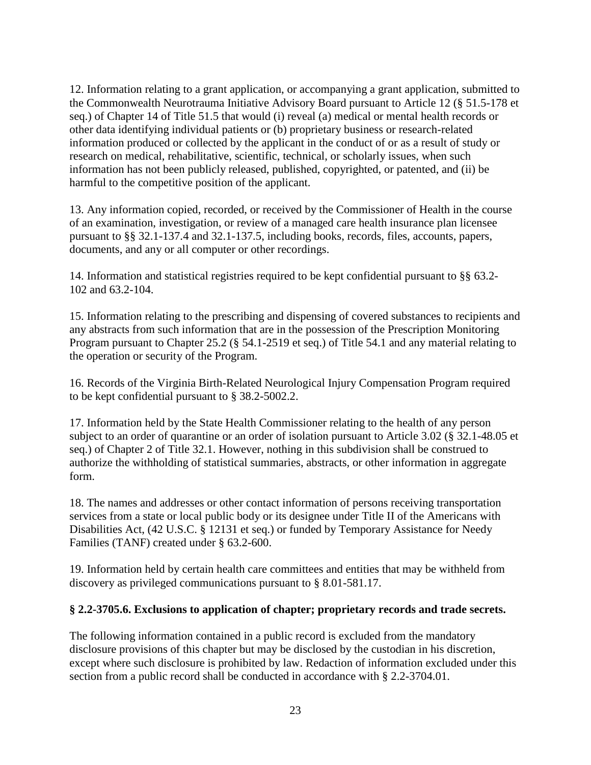12. Information relating to a grant application, or accompanying a grant application, submitted to the Commonwealth Neurotrauma Initiative Advisory Board pursuant to Article 12 (§ [51.5-178](http://law.lis.virginia.gov/vacode/51.5-178/) et seq.) of Chapter 14 of Title 51.5 that would (i) reveal (a) medical or mental health records or other data identifying individual patients or (b) proprietary business or research-related information produced or collected by the applicant in the conduct of or as a result of study or research on medical, rehabilitative, scientific, technical, or scholarly issues, when such information has not been publicly released, published, copyrighted, or patented, and (ii) be harmful to the competitive position of the applicant.

13. Any information copied, recorded, or received by the Commissioner of Health in the course of an examination, investigation, or review of a managed care health insurance plan licensee pursuant to §§ [32.1-137.4](http://law.lis.virginia.gov/vacode/32.1-137.4/) and [32.1-137.5,](http://law.lis.virginia.gov/vacode/32.1-137.5/) including books, records, files, accounts, papers, documents, and any or all computer or other recordings.

14. Information and statistical registries required to be kept confidential pursuant to §§ [63.2-](http://law.lis.virginia.gov/vacode/63.2-102/) [102](http://law.lis.virginia.gov/vacode/63.2-102/) and [63.2-104.](http://law.lis.virginia.gov/vacode/63.2-104/)

15. Information relating to the prescribing and dispensing of covered substances to recipients and any abstracts from such information that are in the possession of the Prescription Monitoring Program pursuant to Chapter 25.2 (§ [54.1-2519](http://law.lis.virginia.gov/vacode/54.1-2519/) et seq.) of Title 54.1 and any material relating to the operation or security of the Program.

16. Records of the Virginia Birth-Related Neurological Injury Compensation Program required to be kept confidential pursuant to § [38.2-5002.2.](http://law.lis.virginia.gov/vacode/38.2-5002.2/)

17. Information held by the State Health Commissioner relating to the health of any person subject to an order of quarantine or an order of isolation pursuant to Article 3.02 (§ [32.1-48.05](http://law.lis.virginia.gov/vacode/32.1-48.05/) et seq.) of Chapter 2 of Title 32.1. However, nothing in this subdivision shall be construed to authorize the withholding of statistical summaries, abstracts, or other information in aggregate form.

18. The names and addresses or other contact information of persons receiving transportation services from a state or local public body or its designee under Title II of the Americans with Disabilities Act, (42 U.S.C. § 12131 et seq.) or funded by Temporary Assistance for Needy Families (TANF) created under § [63.2-600.](http://law.lis.virginia.gov/vacode/63.2-600/)

19. Information held by certain health care committees and entities that may be withheld from discovery as privileged communications pursuant to § [8.01-581.17.](http://law.lis.virginia.gov/vacode/8.01-581.17/)

#### **§ 2.2-3705.6. Exclusions to application of chapter; proprietary records and trade secrets.**

The following information contained in a public record is excluded from the mandatory disclosure provisions of this chapter but may be disclosed by the custodian in his discretion, except where such disclosure is prohibited by law. Redaction of information excluded under this section from a public record shall be conducted in accordance with § [2.2-3704.01.](http://law.lis.virginia.gov/vacode/2.2-3704.01/)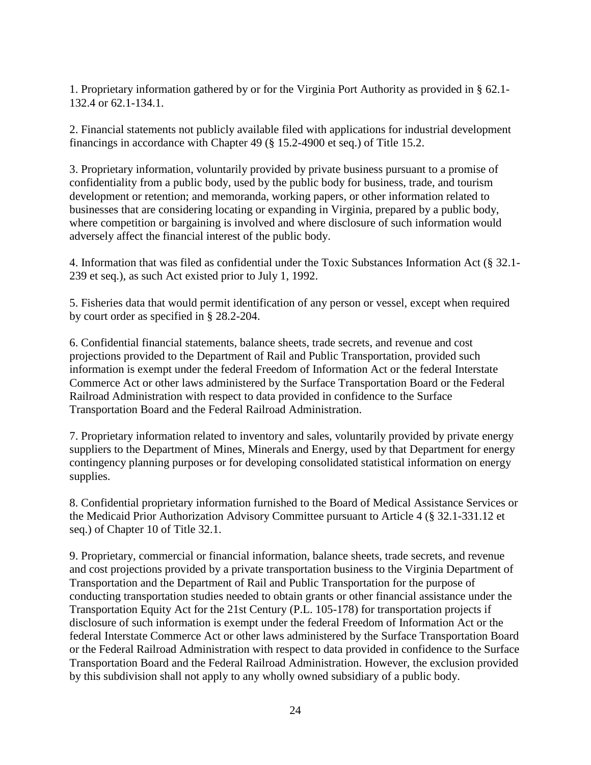1. Proprietary information gathered by or for the Virginia Port Authority as provided in § [62.1-](http://law.lis.virginia.gov/vacode/62.1-132.4/) [132.4](http://law.lis.virginia.gov/vacode/62.1-132.4/) or [62.1-134.1.](http://law.lis.virginia.gov/vacode/62.1-134.1/)

2. Financial statements not publicly available filed with applications for industrial development financings in accordance with Chapter 49 (§ [15.2-4900](http://law.lis.virginia.gov/vacode/15.2-4900/) et seq.) of Title 15.2.

3. Proprietary information, voluntarily provided by private business pursuant to a promise of confidentiality from a public body, used by the public body for business, trade, and tourism development or retention; and memoranda, working papers, or other information related to businesses that are considering locating or expanding in Virginia, prepared by a public body, where competition or bargaining is involved and where disclosure of such information would adversely affect the financial interest of the public body.

4. Information that was filed as confidential under the Toxic Substances Information Act (§ [32.1-](http://law.lis.virginia.gov/vacode/32.1-239/) [239](http://law.lis.virginia.gov/vacode/32.1-239/) et seq.), as such Act existed prior to July 1, 1992.

5. Fisheries data that would permit identification of any person or vessel, except when required by court order as specified in § [28.2-204.](http://law.lis.virginia.gov/vacode/28.2-204/)

6. Confidential financial statements, balance sheets, trade secrets, and revenue and cost projections provided to the Department of Rail and Public Transportation, provided such information is exempt under the federal Freedom of Information Act or the federal Interstate Commerce Act or other laws administered by the Surface Transportation Board or the Federal Railroad Administration with respect to data provided in confidence to the Surface Transportation Board and the Federal Railroad Administration.

7. Proprietary information related to inventory and sales, voluntarily provided by private energy suppliers to the Department of Mines, Minerals and Energy, used by that Department for energy contingency planning purposes or for developing consolidated statistical information on energy supplies.

8. Confidential proprietary information furnished to the Board of Medical Assistance Services or the Medicaid Prior Authorization Advisory Committee pursuant to Article 4 (§ [32.1-331.12](http://law.lis.virginia.gov/vacode/32.1-331.12/) et seq.) of Chapter 10 of Title 32.1.

9. Proprietary, commercial or financial information, balance sheets, trade secrets, and revenue and cost projections provided by a private transportation business to the Virginia Department of Transportation and the Department of Rail and Public Transportation for the purpose of conducting transportation studies needed to obtain grants or other financial assistance under the Transportation Equity Act for the 21st Century (P.L. 105-178) for transportation projects if disclosure of such information is exempt under the federal Freedom of Information Act or the federal Interstate Commerce Act or other laws administered by the Surface Transportation Board or the Federal Railroad Administration with respect to data provided in confidence to the Surface Transportation Board and the Federal Railroad Administration. However, the exclusion provided by this subdivision shall not apply to any wholly owned subsidiary of a public body.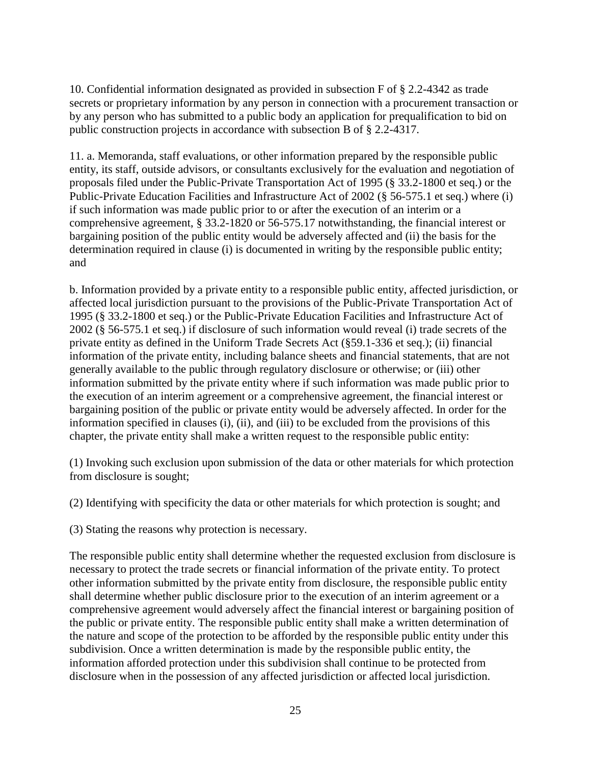10. Confidential information designated as provided in subsection F of § [2.2-4342](http://law.lis.virginia.gov/vacode/2.2-4342/) as trade secrets or proprietary information by any person in connection with a procurement transaction or by any person who has submitted to a public body an application for prequalification to bid on public construction projects in accordance with subsection B of § [2.2-4317.](http://law.lis.virginia.gov/vacode/2.2-4317/)

11. a. Memoranda, staff evaluations, or other information prepared by the responsible public entity, its staff, outside advisors, or consultants exclusively for the evaluation and negotiation of proposals filed under the Public-Private Transportation Act of 1995 (§ [33.2-1800](http://law.lis.virginia.gov/vacode/33.2-1800/) et seq.) or the Public-Private Education Facilities and Infrastructure Act of 2002 (§ [56-575.1](http://law.lis.virginia.gov/vacode/56-575.1/) et seq.) where (i) if such information was made public prior to or after the execution of an interim or a comprehensive agreement, § [33.2-1820](http://law.lis.virginia.gov/vacode/33.2-1820/) or [56-575.17](http://law.lis.virginia.gov/vacode/56-575.17/) notwithstanding, the financial interest or bargaining position of the public entity would be adversely affected and (ii) the basis for the determination required in clause (i) is documented in writing by the responsible public entity; and

b. Information provided by a private entity to a responsible public entity, affected jurisdiction, or affected local jurisdiction pursuant to the provisions of the Public-Private Transportation Act of 1995 (§ [33.2-1800](http://law.lis.virginia.gov/vacode/33.2-1800/) et seq.) or the Public-Private Education Facilities and Infrastructure Act of 2002 (§ [56-575.1](http://law.lis.virginia.gov/vacode/56-575.1/) et seq.) if disclosure of such information would reveal (i) trade secrets of the private entity as defined in the Uniform Trade Secrets Act ([§59.1-336](http://law.lis.virginia.gov/vacode/59.1-336/) et seq.); (ii) financial information of the private entity, including balance sheets and financial statements, that are not generally available to the public through regulatory disclosure or otherwise; or (iii) other information submitted by the private entity where if such information was made public prior to the execution of an interim agreement or a comprehensive agreement, the financial interest or bargaining position of the public or private entity would be adversely affected. In order for the information specified in clauses (i), (ii), and (iii) to be excluded from the provisions of this chapter, the private entity shall make a written request to the responsible public entity:

(1) Invoking such exclusion upon submission of the data or other materials for which protection from disclosure is sought;

(2) Identifying with specificity the data or other materials for which protection is sought; and

(3) Stating the reasons why protection is necessary.

The responsible public entity shall determine whether the requested exclusion from disclosure is necessary to protect the trade secrets or financial information of the private entity. To protect other information submitted by the private entity from disclosure, the responsible public entity shall determine whether public disclosure prior to the execution of an interim agreement or a comprehensive agreement would adversely affect the financial interest or bargaining position of the public or private entity. The responsible public entity shall make a written determination of the nature and scope of the protection to be afforded by the responsible public entity under this subdivision. Once a written determination is made by the responsible public entity, the information afforded protection under this subdivision shall continue to be protected from disclosure when in the possession of any affected jurisdiction or affected local jurisdiction.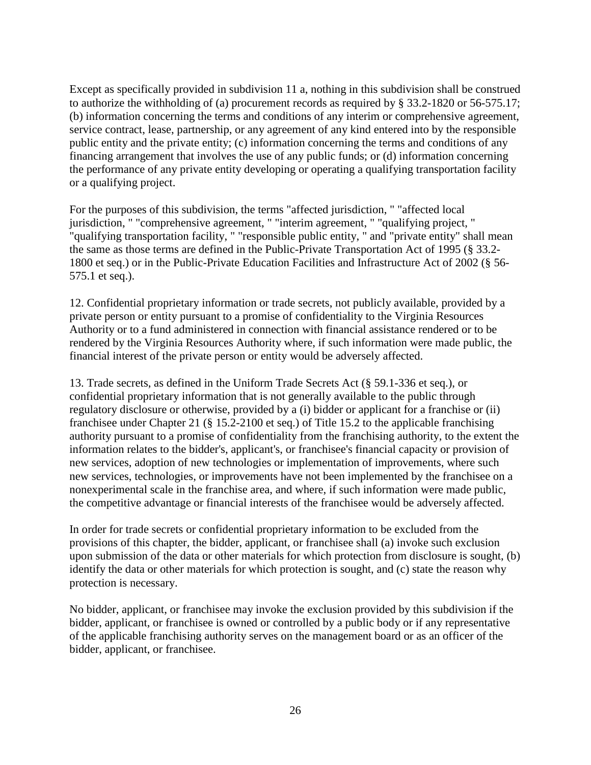Except as specifically provided in subdivision 11 a, nothing in this subdivision shall be construed to authorize the withholding of (a) procurement records as required by § [33.2-1820](http://law.lis.virginia.gov/vacode/33.2-1820/) or [56-575.17;](http://law.lis.virginia.gov/vacode/56-575.17/) (b) information concerning the terms and conditions of any interim or comprehensive agreement, service contract, lease, partnership, or any agreement of any kind entered into by the responsible public entity and the private entity; (c) information concerning the terms and conditions of any financing arrangement that involves the use of any public funds; or (d) information concerning the performance of any private entity developing or operating a qualifying transportation facility or a qualifying project.

For the purposes of this subdivision, the terms "affected jurisdiction, " "affected local jurisdiction, " "comprehensive agreement, " "interim agreement, " "qualifying project, " "qualifying transportation facility, " "responsible public entity, " and "private entity" shall mean the same as those terms are defined in the Public-Private Transportation Act of 1995 (§ [33.2-](http://law.lis.virginia.gov/vacode/33.2-1800/) [1800](http://law.lis.virginia.gov/vacode/33.2-1800/) et seq.) or in the Public-Private Education Facilities and Infrastructure Act of 2002 (§ [56-](http://law.lis.virginia.gov/vacode/56-575.1/) [575.1](http://law.lis.virginia.gov/vacode/56-575.1/) et seq.).

12. Confidential proprietary information or trade secrets, not publicly available, provided by a private person or entity pursuant to a promise of confidentiality to the Virginia Resources Authority or to a fund administered in connection with financial assistance rendered or to be rendered by the Virginia Resources Authority where, if such information were made public, the financial interest of the private person or entity would be adversely affected.

13. Trade secrets, as defined in the Uniform Trade Secrets Act (§ [59.1-336](http://law.lis.virginia.gov/vacode/59.1-336/) et seq.), or confidential proprietary information that is not generally available to the public through regulatory disclosure or otherwise, provided by a (i) bidder or applicant for a franchise or (ii) franchisee under Chapter 21 (§ [15.2-2100](http://law.lis.virginia.gov/vacode/15.2-2100/) et seq.) of Title 15.2 to the applicable franchising authority pursuant to a promise of confidentiality from the franchising authority, to the extent the information relates to the bidder's, applicant's, or franchisee's financial capacity or provision of new services, adoption of new technologies or implementation of improvements, where such new services, technologies, or improvements have not been implemented by the franchisee on a nonexperimental scale in the franchise area, and where, if such information were made public, the competitive advantage or financial interests of the franchisee would be adversely affected.

In order for trade secrets or confidential proprietary information to be excluded from the provisions of this chapter, the bidder, applicant, or franchisee shall (a) invoke such exclusion upon submission of the data or other materials for which protection from disclosure is sought, (b) identify the data or other materials for which protection is sought, and (c) state the reason why protection is necessary.

No bidder, applicant, or franchisee may invoke the exclusion provided by this subdivision if the bidder, applicant, or franchisee is owned or controlled by a public body or if any representative of the applicable franchising authority serves on the management board or as an officer of the bidder, applicant, or franchisee.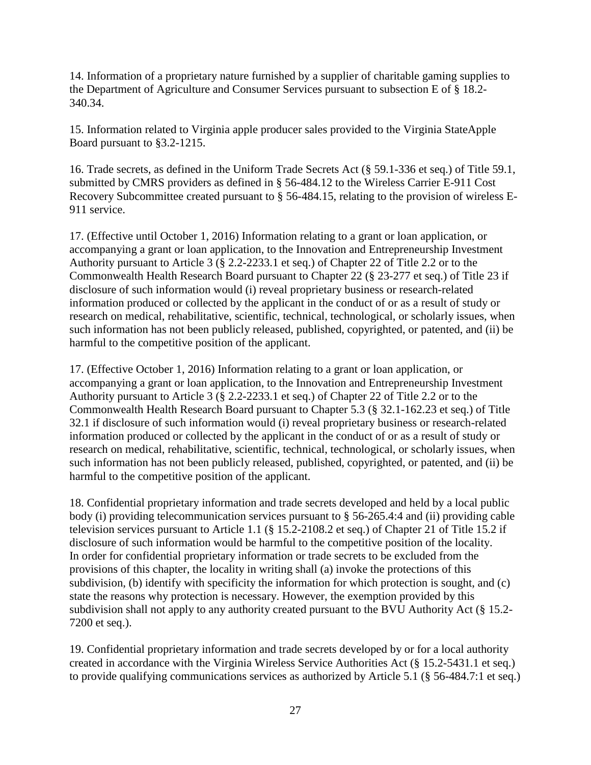14. Information of a proprietary nature furnished by a supplier of charitable gaming supplies to the Department of Agriculture and Consumer Services pursuant to subsection E of § [18.2-](http://law.lis.virginia.gov/vacode/18.2-340.34/) [340.34.](http://law.lis.virginia.gov/vacode/18.2-340.34/)

15. Information related to Virginia apple producer sales provided to the Virginia StateApple Board pursuant to [§3.2-1215.](http://law.lis.virginia.gov/vacode/3.2-1215/)

16. Trade secrets, as defined in the Uniform Trade Secrets Act (§ [59.1-336](http://law.lis.virginia.gov/vacode/59.1-336/) et seq.) of Title 59.1, submitted by CMRS providers as defined in § [56-484.12](http://law.lis.virginia.gov/vacode/56-484.12/) to the Wireless Carrier E-911 Cost Recovery Subcommittee created pursuant to § [56-484.15,](http://law.lis.virginia.gov/vacode/56-484.15/) relating to the provision of wireless E-911 service.

17. (Effective until October 1, 2016) Information relating to a grant or loan application, or accompanying a grant or loan application, to the Innovation and Entrepreneurship Investment Authority pursuant to Article 3 (§ [2.2-2233.1](http://law.lis.virginia.gov/vacode/2.2-2233.1/) et seq.) of Chapter 22 of Title 2.2 or to the Commonwealth Health Research Board pursuant to Chapter 22 (§ [23-277](http://law.lis.virginia.gov/vacode/23-277/) et seq.) of Title 23 if disclosure of such information would (i) reveal proprietary business or research-related information produced or collected by the applicant in the conduct of or as a result of study or research on medical, rehabilitative, scientific, technical, technological, or scholarly issues, when such information has not been publicly released, published, copyrighted, or patented, and (ii) be harmful to the competitive position of the applicant.

17. (Effective October 1, 2016) Information relating to a grant or loan application, or accompanying a grant or loan application, to the Innovation and Entrepreneurship Investment Authority pursuant to Article 3 (§ [2.2-2233.1](http://law.lis.virginia.gov/vacode/2.2-2233.1/) et seq.) of Chapter 22 of Title 2.2 or to the Commonwealth Health Research Board pursuant to Chapter 5.3 (§ [32.1-162.23](http://law.lis.virginia.gov/vacode/32.1-162.23/) et seq.) of Title 32.1 if disclosure of such information would (i) reveal proprietary business or research-related information produced or collected by the applicant in the conduct of or as a result of study or research on medical, rehabilitative, scientific, technical, technological, or scholarly issues, when such information has not been publicly released, published, copyrighted, or patented, and (ii) be harmful to the competitive position of the applicant.

18. Confidential proprietary information and trade secrets developed and held by a local public body (i) providing telecommunication services pursuant to § [56-265.4:4](http://law.lis.virginia.gov/vacode/56-265.4:4/) and (ii) providing cable television services pursuant to Article 1.1 (§ [15.2-2108.2](http://law.lis.virginia.gov/vacode/15.2-2108.2/) et seq.) of Chapter 21 of Title 15.2 if disclosure of such information would be harmful to the competitive position of the locality. In order for confidential proprietary information or trade secrets to be excluded from the provisions of this chapter, the locality in writing shall (a) invoke the protections of this subdivision, (b) identify with specificity the information for which protection is sought, and (c) state the reasons why protection is necessary. However, the exemption provided by this subdivision shall not apply to any authority created pursuant to the BVU Authority Act (§ [15.2-](http://law.lis.virginia.gov/vacode/15.2-7200/) [7200](http://law.lis.virginia.gov/vacode/15.2-7200/) et seq.).

19. Confidential proprietary information and trade secrets developed by or for a local authority created in accordance with the Virginia Wireless Service Authorities Act (§ [15.2-5431.1](http://law.lis.virginia.gov/vacode/15.2-5431.1/) et seq.) to provide qualifying communications services as authorized by Article 5.1 (§ [56-484.7:1](http://law.lis.virginia.gov/vacode/56-484.7:1/) et seq.)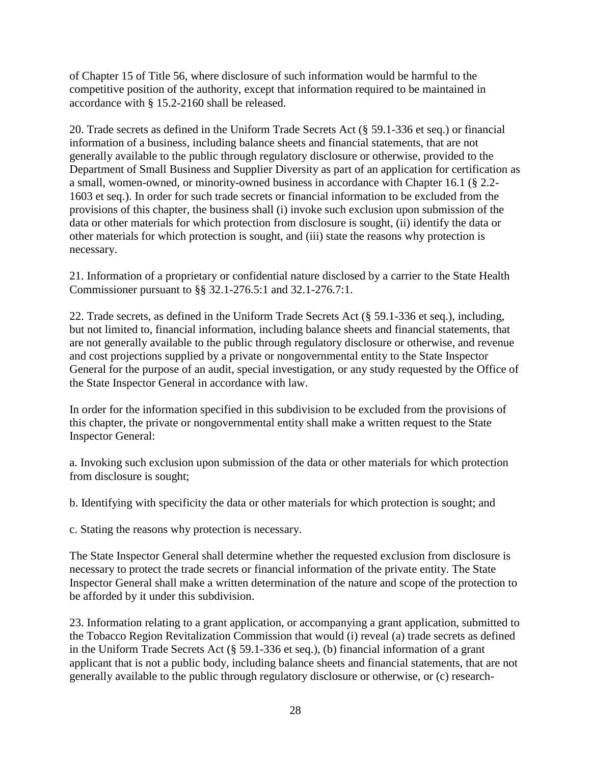of Chapter 15 of Title 56, where disclosure of such information would be harmful to the competitive position of the authority, except that information required to be maintained in accordance with § [15.2-2160](http://law.lis.virginia.gov/vacode/15.2-2160/) shall be released.

20. Trade secrets as defined in the Uniform Trade Secrets Act (§ [59.1-336](http://law.lis.virginia.gov/vacode/59.1-336/) et seq.) or financial information of a business, including balance sheets and financial statements, that are not generally available to the public through regulatory disclosure or otherwise, provided to the Department of Small Business and Supplier Diversity as part of an application for certification as a small, women-owned, or minority-owned business in accordance with Chapter 16.1 (§ [2.2-](http://law.lis.virginia.gov/vacode/2.2-1603/) [1603](http://law.lis.virginia.gov/vacode/2.2-1603/) et seq.). In order for such trade secrets or financial information to be excluded from the provisions of this chapter, the business shall (i) invoke such exclusion upon submission of the data or other materials for which protection from disclosure is sought, (ii) identify the data or other materials for which protection is sought, and (iii) state the reasons why protection is necessary.

21. Information of a proprietary or confidential nature disclosed by a carrier to the State Health Commissioner pursuant to §§ [32.1-276.5:1](http://law.lis.virginia.gov/vacode/32.1-276.5:1/) and [32.1-276.7:1.](http://law.lis.virginia.gov/vacode/32.1-276.7:1/)

22. Trade secrets, as defined in the Uniform Trade Secrets Act (§ [59.1-336](http://law.lis.virginia.gov/vacode/59.1-336/) et seq.), including, but not limited to, financial information, including balance sheets and financial statements, that are not generally available to the public through regulatory disclosure or otherwise, and revenue and cost projections supplied by a private or nongovernmental entity to the State Inspector General for the purpose of an audit, special investigation, or any study requested by the Office of the State Inspector General in accordance with law.

In order for the information specified in this subdivision to be excluded from the provisions of this chapter, the private or nongovernmental entity shall make a written request to the State Inspector General:

a. Invoking such exclusion upon submission of the data or other materials for which protection from disclosure is sought;

b. Identifying with specificity the data or other materials for which protection is sought; and

c. Stating the reasons why protection is necessary.

The State Inspector General shall determine whether the requested exclusion from disclosure is necessary to protect the trade secrets or financial information of the private entity. The State Inspector General shall make a written determination of the nature and scope of the protection to be afforded by it under this subdivision.

23. Information relating to a grant application, or accompanying a grant application, submitted to the Tobacco Region Revitalization Commission that would (i) reveal (a) trade secrets as defined in the Uniform Trade Secrets Act (§ [59.1-336](http://law.lis.virginia.gov/vacode/59.1-336/) et seq.), (b) financial information of a grant applicant that is not a public body, including balance sheets and financial statements, that are not generally available to the public through regulatory disclosure or otherwise, or (c) research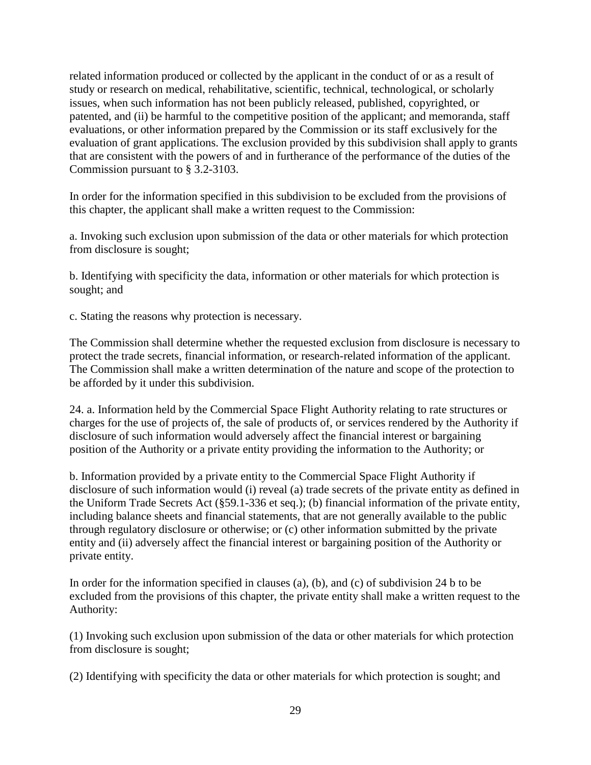related information produced or collected by the applicant in the conduct of or as a result of study or research on medical, rehabilitative, scientific, technical, technological, or scholarly issues, when such information has not been publicly released, published, copyrighted, or patented, and (ii) be harmful to the competitive position of the applicant; and memoranda, staff evaluations, or other information prepared by the Commission or its staff exclusively for the evaluation of grant applications. The exclusion provided by this subdivision shall apply to grants that are consistent with the powers of and in furtherance of the performance of the duties of the Commission pursuant to § [3.2-3103.](http://law.lis.virginia.gov/vacode/3.2-3103/)

In order for the information specified in this subdivision to be excluded from the provisions of this chapter, the applicant shall make a written request to the Commission:

a. Invoking such exclusion upon submission of the data or other materials for which protection from disclosure is sought;

b. Identifying with specificity the data, information or other materials for which protection is sought; and

c. Stating the reasons why protection is necessary.

The Commission shall determine whether the requested exclusion from disclosure is necessary to protect the trade secrets, financial information, or research-related information of the applicant. The Commission shall make a written determination of the nature and scope of the protection to be afforded by it under this subdivision.

24. a. Information held by the Commercial Space Flight Authority relating to rate structures or charges for the use of projects of, the sale of products of, or services rendered by the Authority if disclosure of such information would adversely affect the financial interest or bargaining position of the Authority or a private entity providing the information to the Authority; or

b. Information provided by a private entity to the Commercial Space Flight Authority if disclosure of such information would (i) reveal (a) trade secrets of the private entity as defined in the Uniform Trade Secrets Act ([§59.1-336](http://law.lis.virginia.gov/vacode/59.1-336/) et seq.); (b) financial information of the private entity, including balance sheets and financial statements, that are not generally available to the public through regulatory disclosure or otherwise; or (c) other information submitted by the private entity and (ii) adversely affect the financial interest or bargaining position of the Authority or private entity.

In order for the information specified in clauses (a), (b), and (c) of subdivision 24 b to be excluded from the provisions of this chapter, the private entity shall make a written request to the Authority:

(1) Invoking such exclusion upon submission of the data or other materials for which protection from disclosure is sought;

(2) Identifying with specificity the data or other materials for which protection is sought; and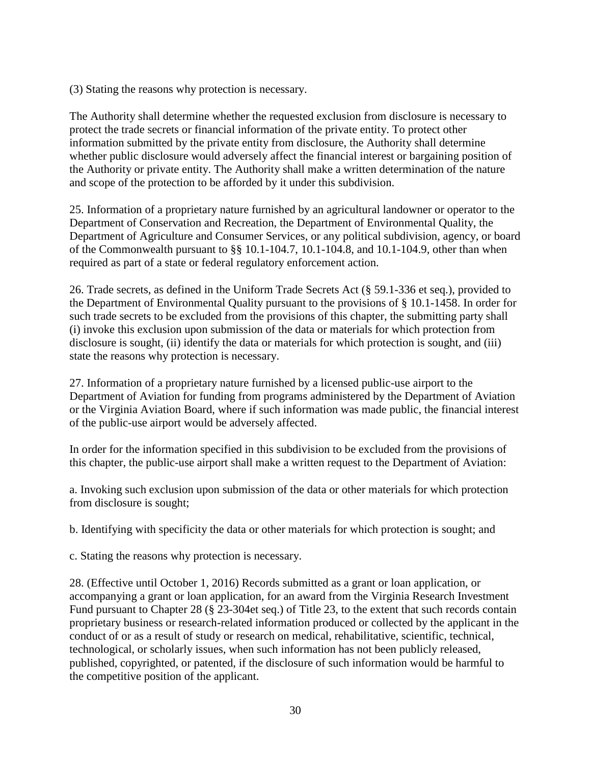(3) Stating the reasons why protection is necessary.

The Authority shall determine whether the requested exclusion from disclosure is necessary to protect the trade secrets or financial information of the private entity. To protect other information submitted by the private entity from disclosure, the Authority shall determine whether public disclosure would adversely affect the financial interest or bargaining position of the Authority or private entity. The Authority shall make a written determination of the nature and scope of the protection to be afforded by it under this subdivision.

25. Information of a proprietary nature furnished by an agricultural landowner or operator to the Department of Conservation and Recreation, the Department of Environmental Quality, the Department of Agriculture and Consumer Services, or any political subdivision, agency, or board of the Commonwealth pursuant to §§ [10.1-104.7,](http://law.lis.virginia.gov/vacode/10.1-104.7/) [10.1-104.8,](http://law.lis.virginia.gov/vacode/10.1-104.8/) and [10.1-104.9,](http://law.lis.virginia.gov/vacode/10.1-104.9/) other than when required as part of a state or federal regulatory enforcement action.

26. Trade secrets, as defined in the Uniform Trade Secrets Act (§ [59.1-336](http://law.lis.virginia.gov/vacode/59.1-336/) et seq.), provided to the Department of Environmental Quality pursuant to the provisions of § [10.1-1458.](http://law.lis.virginia.gov/vacode/10.1-1458/) In order for such trade secrets to be excluded from the provisions of this chapter, the submitting party shall (i) invoke this exclusion upon submission of the data or materials for which protection from disclosure is sought, (ii) identify the data or materials for which protection is sought, and (iii) state the reasons why protection is necessary.

27. Information of a proprietary nature furnished by a licensed public-use airport to the Department of Aviation for funding from programs administered by the Department of Aviation or the Virginia Aviation Board, where if such information was made public, the financial interest of the public-use airport would be adversely affected.

In order for the information specified in this subdivision to be excluded from the provisions of this chapter, the public-use airport shall make a written request to the Department of Aviation:

a. Invoking such exclusion upon submission of the data or other materials for which protection from disclosure is sought;

b. Identifying with specificity the data or other materials for which protection is sought; and

c. Stating the reasons why protection is necessary.

28. (Effective until October 1, 2016) Records submitted as a grant or loan application, or accompanying a grant or loan application, for an award from the Virginia Research Investment Fund pursuant to Chapter 28 (§ [23-304e](http://law.lis.virginia.gov/vacode/23-304/)t seq.) of Title 23, to the extent that such records contain proprietary business or research-related information produced or collected by the applicant in the conduct of or as a result of study or research on medical, rehabilitative, scientific, technical, technological, or scholarly issues, when such information has not been publicly released, published, copyrighted, or patented, if the disclosure of such information would be harmful to the competitive position of the applicant.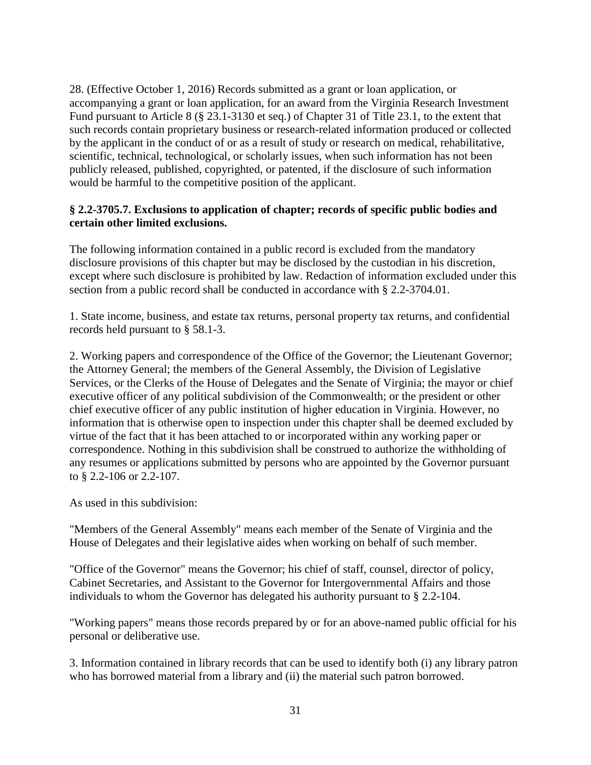28. (Effective October 1, 2016) Records submitted as a grant or loan application, or accompanying a grant or loan application, for an award from the Virginia Research Investment Fund pursuant to Article 8 (§ [23.1-3130](http://law.lis.virginia.gov/vacode/23.1-3130/) et seq.) of Chapter 31 of Title 23.1, to the extent that such records contain proprietary business or research-related information produced or collected by the applicant in the conduct of or as a result of study or research on medical, rehabilitative, scientific, technical, technological, or scholarly issues, when such information has not been publicly released, published, copyrighted, or patented, if the disclosure of such information would be harmful to the competitive position of the applicant.

#### **§ 2.2-3705.7. Exclusions to application of chapter; records of specific public bodies and certain other limited exclusions.**

The following information contained in a public record is excluded from the mandatory disclosure provisions of this chapter but may be disclosed by the custodian in his discretion, except where such disclosure is prohibited by law. Redaction of information excluded under this section from a public record shall be conducted in accordance with § [2.2-3704.01.](http://law.lis.virginia.gov/vacode/2.2-3704.01/)

1. State income, business, and estate tax returns, personal property tax returns, and confidential records held pursuant to § [58.1-3.](http://law.lis.virginia.gov/vacode/58.1-3/)

2. Working papers and correspondence of the Office of the Governor; the Lieutenant Governor; the Attorney General; the members of the General Assembly, the Division of Legislative Services, or the Clerks of the House of Delegates and the Senate of Virginia; the mayor or chief executive officer of any political subdivision of the Commonwealth; or the president or other chief executive officer of any public institution of higher education in Virginia. However, no information that is otherwise open to inspection under this chapter shall be deemed excluded by virtue of the fact that it has been attached to or incorporated within any working paper or correspondence. Nothing in this subdivision shall be construed to authorize the withholding of any resumes or applications submitted by persons who are appointed by the Governor pursuant to § [2.2-106](http://law.lis.virginia.gov/vacode/2.2-106/) or [2.2-107.](http://law.lis.virginia.gov/vacode/2.2-107/)

As used in this subdivision:

"Members of the General Assembly" means each member of the Senate of Virginia and the House of Delegates and their legislative aides when working on behalf of such member.

"Office of the Governor" means the Governor; his chief of staff, counsel, director of policy, Cabinet Secretaries, and Assistant to the Governor for Intergovernmental Affairs and those individuals to whom the Governor has delegated his authority pursuant to § [2.2-104.](http://law.lis.virginia.gov/vacode/2.2-104/)

"Working papers" means those records prepared by or for an above-named public official for his personal or deliberative use.

3. Information contained in library records that can be used to identify both (i) any library patron who has borrowed material from a library and (ii) the material such patron borrowed.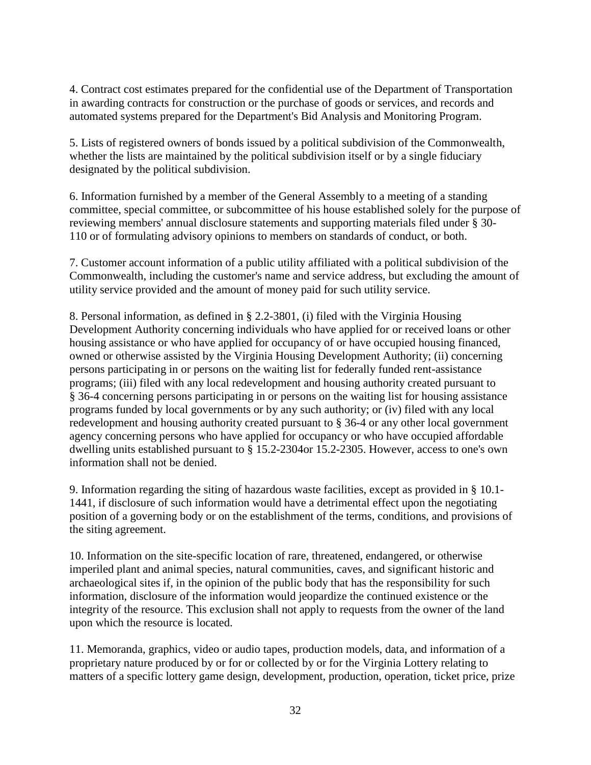4. Contract cost estimates prepared for the confidential use of the Department of Transportation in awarding contracts for construction or the purchase of goods or services, and records and automated systems prepared for the Department's Bid Analysis and Monitoring Program.

5. Lists of registered owners of bonds issued by a political subdivision of the Commonwealth, whether the lists are maintained by the political subdivision itself or by a single fiduciary designated by the political subdivision.

6. Information furnished by a member of the General Assembly to a meeting of a standing committee, special committee, or subcommittee of his house established solely for the purpose of reviewing members' annual disclosure statements and supporting materials filed under § [30-](http://law.lis.virginia.gov/vacode/30-110/) [110](http://law.lis.virginia.gov/vacode/30-110/) or of formulating advisory opinions to members on standards of conduct, or both.

7. Customer account information of a public utility affiliated with a political subdivision of the Commonwealth, including the customer's name and service address, but excluding the amount of utility service provided and the amount of money paid for such utility service.

8. Personal information, as defined in § [2.2-3801,](http://law.lis.virginia.gov/vacode/2.2-3801/) (i) filed with the Virginia Housing Development Authority concerning individuals who have applied for or received loans or other housing assistance or who have applied for occupancy of or have occupied housing financed, owned or otherwise assisted by the Virginia Housing Development Authority; (ii) concerning persons participating in or persons on the waiting list for federally funded rent-assistance programs; (iii) filed with any local redevelopment and housing authority created pursuant to § [36-4](http://law.lis.virginia.gov/vacode/36-4/) concerning persons participating in or persons on the waiting list for housing assistance programs funded by local governments or by any such authority; or (iv) filed with any local redevelopment and housing authority created pursuant to § [36-4](http://law.lis.virginia.gov/vacode/36-4/) or any other local government agency concerning persons who have applied for occupancy or who have occupied affordable dwelling units established pursuant to § [15.2-2304o](http://law.lis.virginia.gov/vacode/15.2-2304/)r [15.2-2305.](http://law.lis.virginia.gov/vacode/15.2-2305/) However, access to one's own information shall not be denied.

9. Information regarding the siting of hazardous waste facilities, except as provided in § [10.1-](http://law.lis.virginia.gov/vacode/10.1-1441/) [1441,](http://law.lis.virginia.gov/vacode/10.1-1441/) if disclosure of such information would have a detrimental effect upon the negotiating position of a governing body or on the establishment of the terms, conditions, and provisions of the siting agreement.

10. Information on the site-specific location of rare, threatened, endangered, or otherwise imperiled plant and animal species, natural communities, caves, and significant historic and archaeological sites if, in the opinion of the public body that has the responsibility for such information, disclosure of the information would jeopardize the continued existence or the integrity of the resource. This exclusion shall not apply to requests from the owner of the land upon which the resource is located.

11. Memoranda, graphics, video or audio tapes, production models, data, and information of a proprietary nature produced by or for or collected by or for the Virginia Lottery relating to matters of a specific lottery game design, development, production, operation, ticket price, prize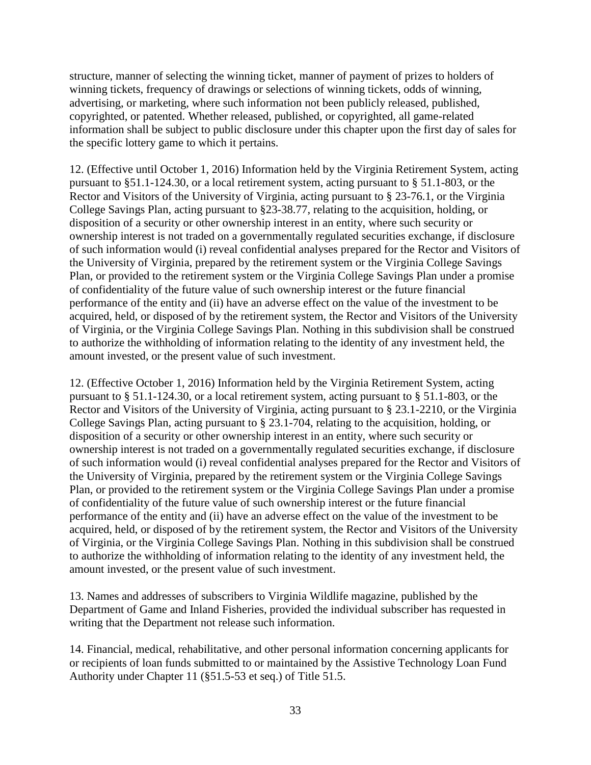structure, manner of selecting the winning ticket, manner of payment of prizes to holders of winning tickets, frequency of drawings or selections of winning tickets, odds of winning, advertising, or marketing, where such information not been publicly released, published, copyrighted, or patented. Whether released, published, or copyrighted, all game-related information shall be subject to public disclosure under this chapter upon the first day of sales for the specific lottery game to which it pertains.

12. (Effective until October 1, 2016) Information held by the Virginia Retirement System, acting pursuant to [§51.1-124.30,](http://law.lis.virginia.gov/vacode/51.1-124.30/) or a local retirement system, acting pursuant to § [51.1-803,](http://law.lis.virginia.gov/vacode/51.1-803/) or the Rector and Visitors of the University of Virginia, acting pursuant to § [23-76.1,](http://law.lis.virginia.gov/vacode/23-76.1/) or the Virginia College Savings Plan, acting pursuant to [§23-38.77,](http://law.lis.virginia.gov/vacode/23-38.77/) relating to the acquisition, holding, or disposition of a security or other ownership interest in an entity, where such security or ownership interest is not traded on a governmentally regulated securities exchange, if disclosure of such information would (i) reveal confidential analyses prepared for the Rector and Visitors of the University of Virginia, prepared by the retirement system or the Virginia College Savings Plan, or provided to the retirement system or the Virginia College Savings Plan under a promise of confidentiality of the future value of such ownership interest or the future financial performance of the entity and (ii) have an adverse effect on the value of the investment to be acquired, held, or disposed of by the retirement system, the Rector and Visitors of the University of Virginia, or the Virginia College Savings Plan. Nothing in this subdivision shall be construed to authorize the withholding of information relating to the identity of any investment held, the amount invested, or the present value of such investment.

12. (Effective October 1, 2016) Information held by the Virginia Retirement System, acting pursuant to  $\S$  [51.1-124.30,](http://law.lis.virginia.gov/vacode/51.1-124.30/) or a local retirement system, acting pursuant to  $\S$  [51.1-803,](http://law.lis.virginia.gov/vacode/51.1-803/) or the Rector and Visitors of the University of Virginia, acting pursuant to § [23.1-2210,](http://law.lis.virginia.gov/vacode/23.1-2210/) or the Virginia College Savings Plan, acting pursuant to § [23.1-704,](http://law.lis.virginia.gov/vacode/23.1-704/) relating to the acquisition, holding, or disposition of a security or other ownership interest in an entity, where such security or ownership interest is not traded on a governmentally regulated securities exchange, if disclosure of such information would (i) reveal confidential analyses prepared for the Rector and Visitors of the University of Virginia, prepared by the retirement system or the Virginia College Savings Plan, or provided to the retirement system or the Virginia College Savings Plan under a promise of confidentiality of the future value of such ownership interest or the future financial performance of the entity and (ii) have an adverse effect on the value of the investment to be acquired, held, or disposed of by the retirement system, the Rector and Visitors of the University of Virginia, or the Virginia College Savings Plan. Nothing in this subdivision shall be construed to authorize the withholding of information relating to the identity of any investment held, the amount invested, or the present value of such investment.

13. Names and addresses of subscribers to Virginia Wildlife magazine, published by the Department of Game and Inland Fisheries, provided the individual subscriber has requested in writing that the Department not release such information.

14. Financial, medical, rehabilitative, and other personal information concerning applicants for or recipients of loan funds submitted to or maintained by the Assistive Technology Loan Fund Authority under Chapter 11 ([§51.5-53](http://law.lis.virginia.gov/vacode/51.5-53/) et seq.) of Title 51.5.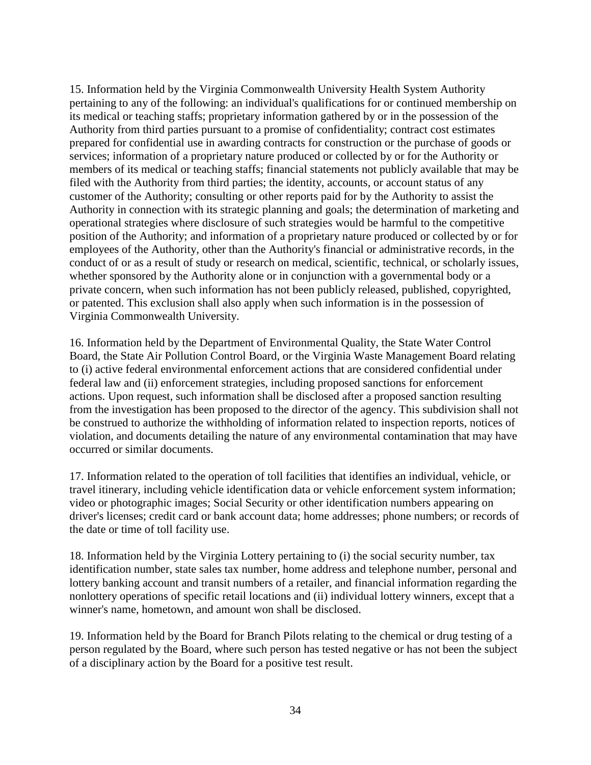15. Information held by the Virginia Commonwealth University Health System Authority pertaining to any of the following: an individual's qualifications for or continued membership on its medical or teaching staffs; proprietary information gathered by or in the possession of the Authority from third parties pursuant to a promise of confidentiality; contract cost estimates prepared for confidential use in awarding contracts for construction or the purchase of goods or services; information of a proprietary nature produced or collected by or for the Authority or members of its medical or teaching staffs; financial statements not publicly available that may be filed with the Authority from third parties; the identity, accounts, or account status of any customer of the Authority; consulting or other reports paid for by the Authority to assist the Authority in connection with its strategic planning and goals; the determination of marketing and operational strategies where disclosure of such strategies would be harmful to the competitive position of the Authority; and information of a proprietary nature produced or collected by or for employees of the Authority, other than the Authority's financial or administrative records, in the conduct of or as a result of study or research on medical, scientific, technical, or scholarly issues, whether sponsored by the Authority alone or in conjunction with a governmental body or a private concern, when such information has not been publicly released, published, copyrighted, or patented. This exclusion shall also apply when such information is in the possession of Virginia Commonwealth University.

16. Information held by the Department of Environmental Quality, the State Water Control Board, the State Air Pollution Control Board, or the Virginia Waste Management Board relating to (i) active federal environmental enforcement actions that are considered confidential under federal law and (ii) enforcement strategies, including proposed sanctions for enforcement actions. Upon request, such information shall be disclosed after a proposed sanction resulting from the investigation has been proposed to the director of the agency. This subdivision shall not be construed to authorize the withholding of information related to inspection reports, notices of violation, and documents detailing the nature of any environmental contamination that may have occurred or similar documents.

17. Information related to the operation of toll facilities that identifies an individual, vehicle, or travel itinerary, including vehicle identification data or vehicle enforcement system information; video or photographic images; Social Security or other identification numbers appearing on driver's licenses; credit card or bank account data; home addresses; phone numbers; or records of the date or time of toll facility use.

18. Information held by the Virginia Lottery pertaining to (i) the social security number, tax identification number, state sales tax number, home address and telephone number, personal and lottery banking account and transit numbers of a retailer, and financial information regarding the nonlottery operations of specific retail locations and (ii) individual lottery winners, except that a winner's name, hometown, and amount won shall be disclosed.

19. Information held by the Board for Branch Pilots relating to the chemical or drug testing of a person regulated by the Board, where such person has tested negative or has not been the subject of a disciplinary action by the Board for a positive test result.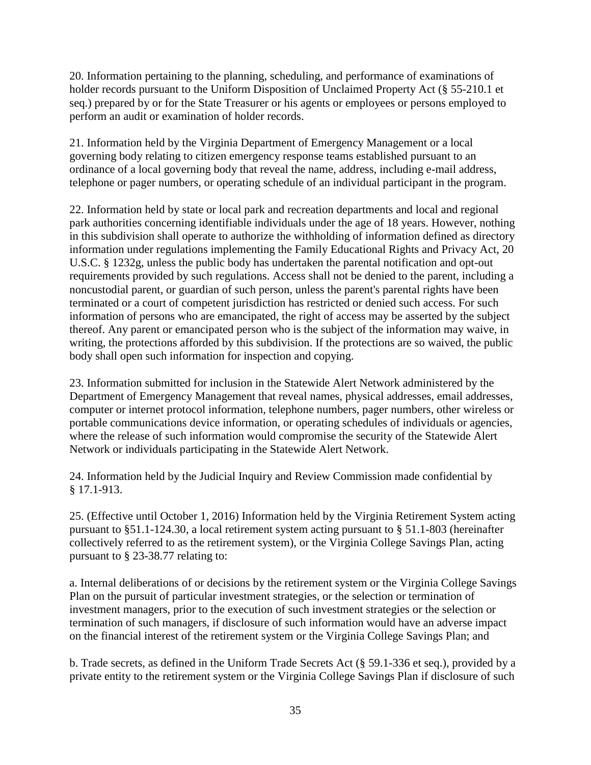20. Information pertaining to the planning, scheduling, and performance of examinations of holder records pursuant to the Uniform Disposition of Unclaimed Property Act (§ [55-210.1](http://law.lis.virginia.gov/vacode/55-210.1/) et seq.) prepared by or for the State Treasurer or his agents or employees or persons employed to perform an audit or examination of holder records.

21. Information held by the Virginia Department of Emergency Management or a local governing body relating to citizen emergency response teams established pursuant to an ordinance of a local governing body that reveal the name, address, including e-mail address, telephone or pager numbers, or operating schedule of an individual participant in the program.

22. Information held by state or local park and recreation departments and local and regional park authorities concerning identifiable individuals under the age of 18 years. However, nothing in this subdivision shall operate to authorize the withholding of information defined as directory information under regulations implementing the Family Educational Rights and Privacy Act, 20 U.S.C. § 1232g, unless the public body has undertaken the parental notification and opt-out requirements provided by such regulations. Access shall not be denied to the parent, including a noncustodial parent, or guardian of such person, unless the parent's parental rights have been terminated or a court of competent jurisdiction has restricted or denied such access. For such information of persons who are emancipated, the right of access may be asserted by the subject thereof. Any parent or emancipated person who is the subject of the information may waive, in writing, the protections afforded by this subdivision. If the protections are so waived, the public body shall open such information for inspection and copying.

23. Information submitted for inclusion in the Statewide Alert Network administered by the Department of Emergency Management that reveal names, physical addresses, email addresses, computer or internet protocol information, telephone numbers, pager numbers, other wireless or portable communications device information, or operating schedules of individuals or agencies, where the release of such information would compromise the security of the Statewide Alert Network or individuals participating in the Statewide Alert Network.

24. Information held by the Judicial Inquiry and Review Commission made confidential by § [17.1-913.](http://law.lis.virginia.gov/vacode/17.1-913/)

25. (Effective until October 1, 2016) Information held by the Virginia Retirement System acting pursuant to [§51.1-124.30,](http://law.lis.virginia.gov/vacode/51.1-124.30/) a local retirement system acting pursuant to § [51.1-803](http://law.lis.virginia.gov/vacode/51.1-803/) (hereinafter collectively referred to as the retirement system), or the Virginia College Savings Plan, acting pursuant to § [23-38.77](http://law.lis.virginia.gov/vacode/23-38.77/) relating to:

a. Internal deliberations of or decisions by the retirement system or the Virginia College Savings Plan on the pursuit of particular investment strategies, or the selection or termination of investment managers, prior to the execution of such investment strategies or the selection or termination of such managers, if disclosure of such information would have an adverse impact on the financial interest of the retirement system or the Virginia College Savings Plan; and

b. Trade secrets, as defined in the Uniform Trade Secrets Act (§ [59.1-336](http://law.lis.virginia.gov/vacode/59.1-336/) et seq.), provided by a private entity to the retirement system or the Virginia College Savings Plan if disclosure of such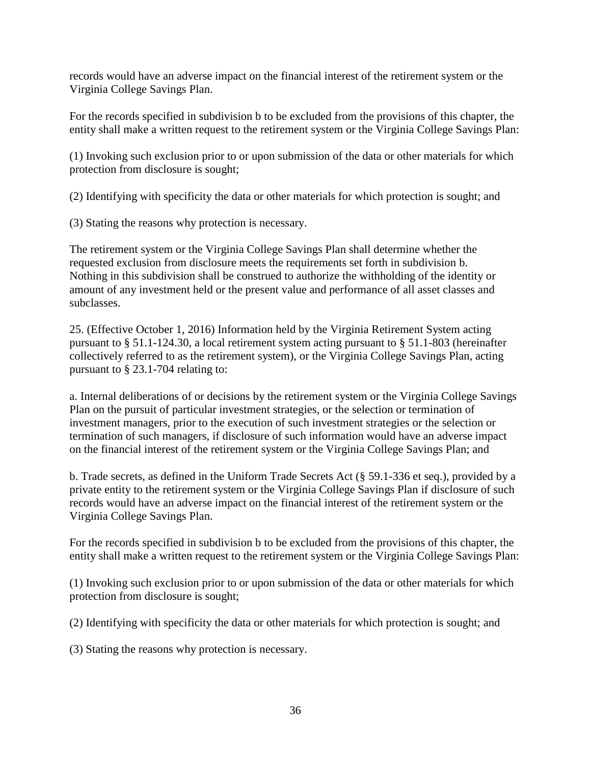records would have an adverse impact on the financial interest of the retirement system or the Virginia College Savings Plan.

For the records specified in subdivision b to be excluded from the provisions of this chapter, the entity shall make a written request to the retirement system or the Virginia College Savings Plan:

(1) Invoking such exclusion prior to or upon submission of the data or other materials for which protection from disclosure is sought;

(2) Identifying with specificity the data or other materials for which protection is sought; and

(3) Stating the reasons why protection is necessary.

The retirement system or the Virginia College Savings Plan shall determine whether the requested exclusion from disclosure meets the requirements set forth in subdivision b. Nothing in this subdivision shall be construed to authorize the withholding of the identity or amount of any investment held or the present value and performance of all asset classes and subclasses.

25. (Effective October 1, 2016) Information held by the Virginia Retirement System acting pursuant to § [51.1-124.30,](http://law.lis.virginia.gov/vacode/51.1-124.30/) a local retirement system acting pursuant to § [51.1-803](http://law.lis.virginia.gov/vacode/51.1-803/) (hereinafter collectively referred to as the retirement system), or the Virginia College Savings Plan, acting pursuant to § [23.1-704](http://law.lis.virginia.gov/vacode/23.1-704/) relating to:

a. Internal deliberations of or decisions by the retirement system or the Virginia College Savings Plan on the pursuit of particular investment strategies, or the selection or termination of investment managers, prior to the execution of such investment strategies or the selection or termination of such managers, if disclosure of such information would have an adverse impact on the financial interest of the retirement system or the Virginia College Savings Plan; and

b. Trade secrets, as defined in the Uniform Trade Secrets Act (§ [59.1-336](http://law.lis.virginia.gov/vacode/59.1-336/) et seq.), provided by a private entity to the retirement system or the Virginia College Savings Plan if disclosure of such records would have an adverse impact on the financial interest of the retirement system or the Virginia College Savings Plan.

For the records specified in subdivision b to be excluded from the provisions of this chapter, the entity shall make a written request to the retirement system or the Virginia College Savings Plan:

(1) Invoking such exclusion prior to or upon submission of the data or other materials for which protection from disclosure is sought;

(2) Identifying with specificity the data or other materials for which protection is sought; and

(3) Stating the reasons why protection is necessary.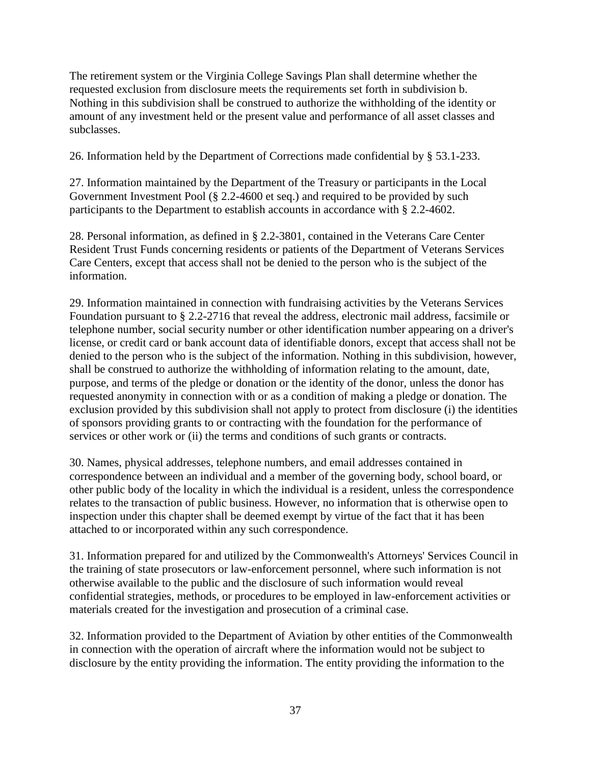The retirement system or the Virginia College Savings Plan shall determine whether the requested exclusion from disclosure meets the requirements set forth in subdivision b. Nothing in this subdivision shall be construed to authorize the withholding of the identity or amount of any investment held or the present value and performance of all asset classes and subclasses.

26. Information held by the Department of Corrections made confidential by § [53.1-233.](http://law.lis.virginia.gov/vacode/53.1-233/)

27. Information maintained by the Department of the Treasury or participants in the Local Government Investment Pool (§ [2.2-4600](http://law.lis.virginia.gov/vacode/2.2-4600/) et seq.) and required to be provided by such participants to the Department to establish accounts in accordance with § [2.2-4602.](http://law.lis.virginia.gov/vacode/2.2-4602/)

28. Personal information, as defined in § [2.2-3801,](http://law.lis.virginia.gov/vacode/2.2-3801/) contained in the Veterans Care Center Resident Trust Funds concerning residents or patients of the Department of Veterans Services Care Centers, except that access shall not be denied to the person who is the subject of the information.

29. Information maintained in connection with fundraising activities by the Veterans Services Foundation pursuant to § [2.2-2716](http://law.lis.virginia.gov/vacode/2.2-2716/) that reveal the address, electronic mail address, facsimile or telephone number, social security number or other identification number appearing on a driver's license, or credit card or bank account data of identifiable donors, except that access shall not be denied to the person who is the subject of the information. Nothing in this subdivision, however, shall be construed to authorize the withholding of information relating to the amount, date, purpose, and terms of the pledge or donation or the identity of the donor, unless the donor has requested anonymity in connection with or as a condition of making a pledge or donation. The exclusion provided by this subdivision shall not apply to protect from disclosure (i) the identities of sponsors providing grants to or contracting with the foundation for the performance of services or other work or (ii) the terms and conditions of such grants or contracts.

30. Names, physical addresses, telephone numbers, and email addresses contained in correspondence between an individual and a member of the governing body, school board, or other public body of the locality in which the individual is a resident, unless the correspondence relates to the transaction of public business. However, no information that is otherwise open to inspection under this chapter shall be deemed exempt by virtue of the fact that it has been attached to or incorporated within any such correspondence.

31. Information prepared for and utilized by the Commonwealth's Attorneys' Services Council in the training of state prosecutors or law-enforcement personnel, where such information is not otherwise available to the public and the disclosure of such information would reveal confidential strategies, methods, or procedures to be employed in law-enforcement activities or materials created for the investigation and prosecution of a criminal case.

32. Information provided to the Department of Aviation by other entities of the Commonwealth in connection with the operation of aircraft where the information would not be subject to disclosure by the entity providing the information. The entity providing the information to the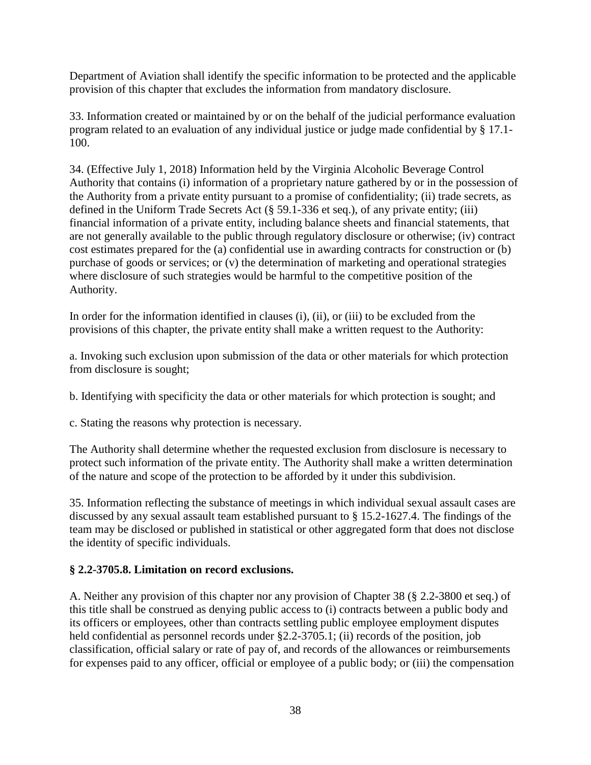Department of Aviation shall identify the specific information to be protected and the applicable provision of this chapter that excludes the information from mandatory disclosure.

33. Information created or maintained by or on the behalf of the judicial performance evaluation program related to an evaluation of any individual justice or judge made confidential by § [17.1-](http://law.lis.virginia.gov/vacode/17.1-100/) [100.](http://law.lis.virginia.gov/vacode/17.1-100/)

34. (Effective July 1, 2018) Information held by the Virginia Alcoholic Beverage Control Authority that contains (i) information of a proprietary nature gathered by or in the possession of the Authority from a private entity pursuant to a promise of confidentiality; (ii) trade secrets, as defined in the Uniform Trade Secrets Act (§ [59.1-336](http://law.lis.virginia.gov/vacode/59.1-336/) et seq.), of any private entity; (iii) financial information of a private entity, including balance sheets and financial statements, that are not generally available to the public through regulatory disclosure or otherwise; (iv) contract cost estimates prepared for the (a) confidential use in awarding contracts for construction or (b) purchase of goods or services; or (v) the determination of marketing and operational strategies where disclosure of such strategies would be harmful to the competitive position of the Authority.

In order for the information identified in clauses (i), (ii), or (iii) to be excluded from the provisions of this chapter, the private entity shall make a written request to the Authority:

a. Invoking such exclusion upon submission of the data or other materials for which protection from disclosure is sought;

b. Identifying with specificity the data or other materials for which protection is sought; and

c. Stating the reasons why protection is necessary.

The Authority shall determine whether the requested exclusion from disclosure is necessary to protect such information of the private entity. The Authority shall make a written determination of the nature and scope of the protection to be afforded by it under this subdivision.

35. Information reflecting the substance of meetings in which individual sexual assault cases are discussed by any sexual assault team established pursuant to § [15.2-1627.4.](http://law.lis.virginia.gov/vacode/15.2-1627.4/) The findings of the team may be disclosed or published in statistical or other aggregated form that does not disclose the identity of specific individuals.

# **§ 2.2-3705.8. Limitation on record exclusions.**

A. Neither any provision of this chapter nor any provision of Chapter 38 (§ [2.2-3800](http://law.lis.virginia.gov/vacode/2.2-3800/) et seq.) of this title shall be construed as denying public access to (i) contracts between a public body and its officers or employees, other than contracts settling public employee employment disputes held confidential as personnel records under [§2.2-3705.1;](http://law.lis.virginia.gov/vacode/2.2-3705.1/) (ii) records of the position, job classification, official salary or rate of pay of, and records of the allowances or reimbursements for expenses paid to any officer, official or employee of a public body; or (iii) the compensation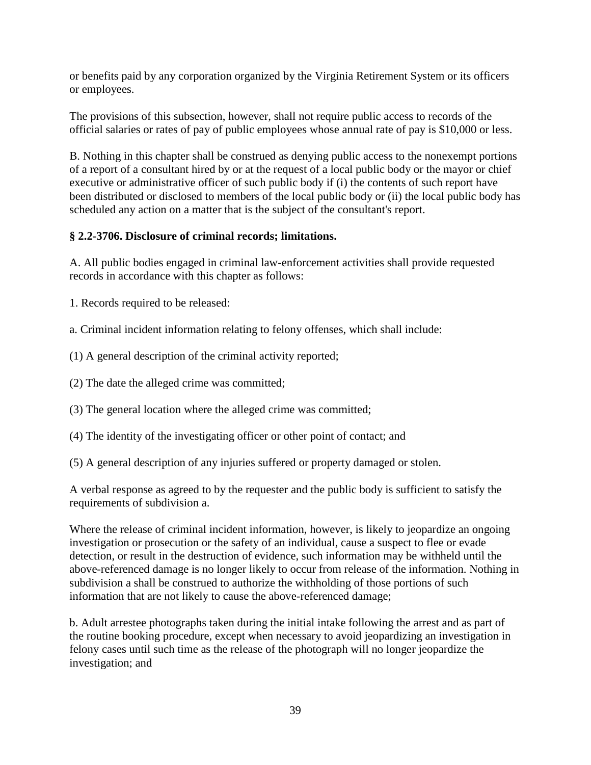or benefits paid by any corporation organized by the Virginia Retirement System or its officers or employees.

The provisions of this subsection, however, shall not require public access to records of the official salaries or rates of pay of public employees whose annual rate of pay is \$10,000 or less.

B. Nothing in this chapter shall be construed as denying public access to the nonexempt portions of a report of a consultant hired by or at the request of a local public body or the mayor or chief executive or administrative officer of such public body if (i) the contents of such report have been distributed or disclosed to members of the local public body or (ii) the local public body has scheduled any action on a matter that is the subject of the consultant's report.

### **§ 2.2-3706. Disclosure of criminal records; limitations.**

A. All public bodies engaged in criminal law-enforcement activities shall provide requested records in accordance with this chapter as follows:

1. Records required to be released:

a. Criminal incident information relating to felony offenses, which shall include:

(1) A general description of the criminal activity reported;

(2) The date the alleged crime was committed;

(3) The general location where the alleged crime was committed;

(4) The identity of the investigating officer or other point of contact; and

(5) A general description of any injuries suffered or property damaged or stolen.

A verbal response as agreed to by the requester and the public body is sufficient to satisfy the requirements of subdivision a.

Where the release of criminal incident information, however, is likely to jeopardize an ongoing investigation or prosecution or the safety of an individual, cause a suspect to flee or evade detection, or result in the destruction of evidence, such information may be withheld until the above-referenced damage is no longer likely to occur from release of the information. Nothing in subdivision a shall be construed to authorize the withholding of those portions of such information that are not likely to cause the above-referenced damage;

b. Adult arrestee photographs taken during the initial intake following the arrest and as part of the routine booking procedure, except when necessary to avoid jeopardizing an investigation in felony cases until such time as the release of the photograph will no longer jeopardize the investigation; and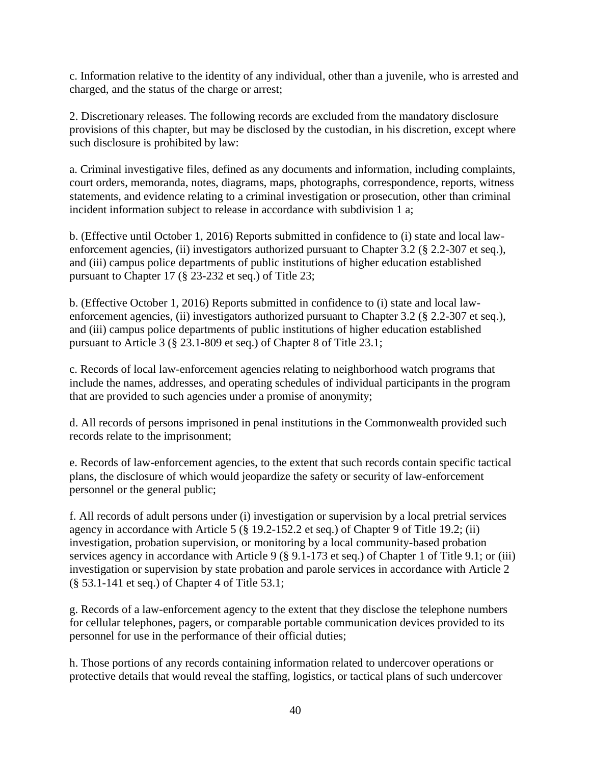c. Information relative to the identity of any individual, other than a juvenile, who is arrested and charged, and the status of the charge or arrest;

2. Discretionary releases. The following records are excluded from the mandatory disclosure provisions of this chapter, but may be disclosed by the custodian, in his discretion, except where such disclosure is prohibited by law:

a. Criminal investigative files, defined as any documents and information, including complaints, court orders, memoranda, notes, diagrams, maps, photographs, correspondence, reports, witness statements, and evidence relating to a criminal investigation or prosecution, other than criminal incident information subject to release in accordance with subdivision 1 a;

b. (Effective until October 1, 2016) Reports submitted in confidence to (i) state and local law-enforcement agencies, (ii) investigators authorized pursuant to Chapter 3.2 (§ [2.2-307](http://law.lis.virginia.gov/vacode/2.2-307/) et seq.), and (iii) campus police departments of public institutions of higher education established pursuant to Chapter 17 (§ [23-232](http://law.lis.virginia.gov/vacode/23-232/) et seq.) of Title 23;

b. (Effective October 1, 2016) Reports submitted in confidence to (i) state and local law-enforcement agencies, (ii) investigators authorized pursuant to Chapter 3.2 (§ [2.2-307](http://law.lis.virginia.gov/vacode/2.2-307/) et seq.), and (iii) campus police departments of public institutions of higher education established pursuant to Article 3 (§ [23.1-809](http://law.lis.virginia.gov/vacode/23.1-809/) et seq.) of Chapter 8 of Title 23.1;

c. Records of local law-enforcement agencies relating to neighborhood watch programs that include the names, addresses, and operating schedules of individual participants in the program that are provided to such agencies under a promise of anonymity;

d. All records of persons imprisoned in penal institutions in the Commonwealth provided such records relate to the imprisonment;

e. Records of law-enforcement agencies, to the extent that such records contain specific tactical plans, the disclosure of which would jeopardize the safety or security of law-enforcement personnel or the general public;

f. All records of adult persons under (i) investigation or supervision by a local pretrial services agency in accordance with Article 5 (§ [19.2-152.2](http://law.lis.virginia.gov/vacode/19.2-152.2/) et seq.) of Chapter 9 of Title 19.2; (ii) investigation, probation supervision, or monitoring by a local community-based probation services agency in accordance with Article 9 (§ [9.1-173](http://law.lis.virginia.gov/vacode/9.1-173/) et seq.) of Chapter 1 of Title 9.1; or (iii) investigation or supervision by state probation and parole services in accordance with Article 2 (§ [53.1-141](http://law.lis.virginia.gov/vacode/53.1-141/) et seq.) of Chapter 4 of Title 53.1;

g. Records of a law-enforcement agency to the extent that they disclose the telephone numbers for cellular telephones, pagers, or comparable portable communication devices provided to its personnel for use in the performance of their official duties;

h. Those portions of any records containing information related to undercover operations or protective details that would reveal the staffing, logistics, or tactical plans of such undercover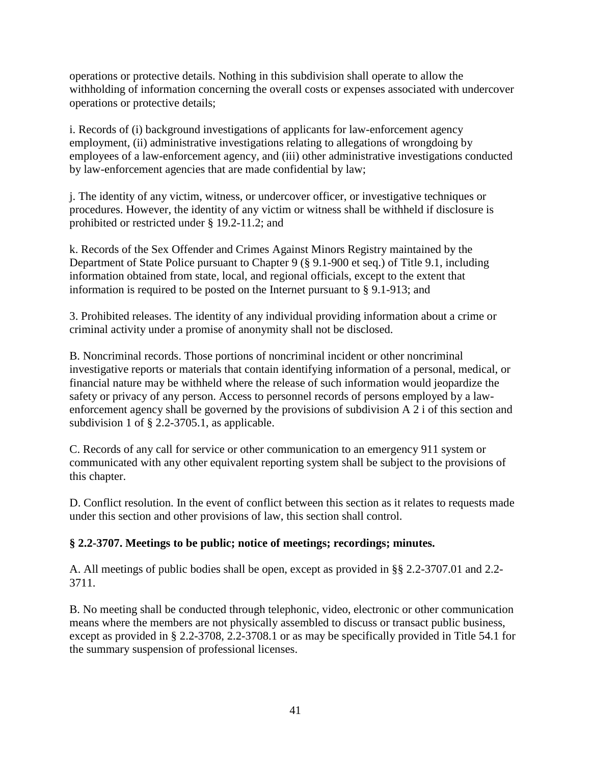operations or protective details. Nothing in this subdivision shall operate to allow the withholding of information concerning the overall costs or expenses associated with undercover operations or protective details;

i. Records of (i) background investigations of applicants for law-enforcement agency employment, (ii) administrative investigations relating to allegations of wrongdoing by employees of a law-enforcement agency, and (iii) other administrative investigations conducted by law-enforcement agencies that are made confidential by law;

j. The identity of any victim, witness, or undercover officer, or investigative techniques or procedures. However, the identity of any victim or witness shall be withheld if disclosure is prohibited or restricted under § [19.2-11.2;](http://law.lis.virginia.gov/vacode/19.2-11.2/) and

k. Records of the Sex Offender and Crimes Against Minors Registry maintained by the Department of State Police pursuant to Chapter 9 (§ [9.1-900](http://law.lis.virginia.gov/vacode/9.1-900/) et seq.) of Title 9.1, including information obtained from state, local, and regional officials, except to the extent that information is required to be posted on the Internet pursuant to § [9.1-913;](http://law.lis.virginia.gov/vacode/9.1-913/) and

3. Prohibited releases. The identity of any individual providing information about a crime or criminal activity under a promise of anonymity shall not be disclosed.

B. Noncriminal records. Those portions of noncriminal incident or other noncriminal investigative reports or materials that contain identifying information of a personal, medical, or financial nature may be withheld where the release of such information would jeopardize the safety or privacy of any person. Access to personnel records of persons employed by a lawenforcement agency shall be governed by the provisions of subdivision A 2 i of this section and subdivision 1 of § [2.2-3705.1,](http://law.lis.virginia.gov/vacode/2.2-3705.1/) as applicable.

C. Records of any call for service or other communication to an emergency 911 system or communicated with any other equivalent reporting system shall be subject to the provisions of this chapter.

D. Conflict resolution. In the event of conflict between this section as it relates to requests made under this section and other provisions of law, this section shall control.

#### **§ 2.2-3707. Meetings to be public; notice of meetings; recordings; minutes.**

A. All meetings of public bodies shall be open, except as provided in §§ [2.2-3707.01](http://law.lis.virginia.gov/vacode/2.2-3707.01/) and [2.2-](http://law.lis.virginia.gov/vacode/2.2-3711/) [3711.](http://law.lis.virginia.gov/vacode/2.2-3711/)

B. No meeting shall be conducted through telephonic, video, electronic or other communication means where the members are not physically assembled to discuss or transact public business, except as provided in § [2.2-3708,](http://law.lis.virginia.gov/vacode/2.2-3708/) [2.2-3708.1](http://law.lis.virginia.gov/vacode/2.2-3708.1/) or as may be specifically provided in Title 54.1 for the summary suspension of professional licenses.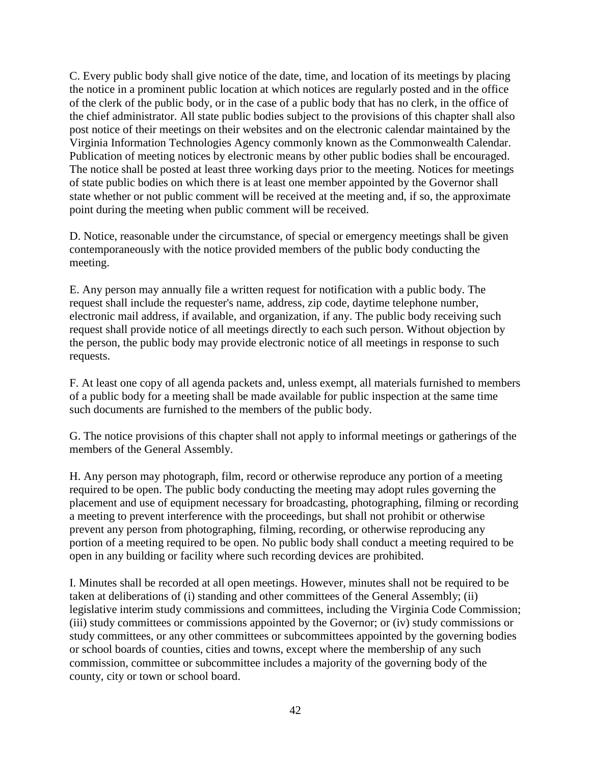C. Every public body shall give notice of the date, time, and location of its meetings by placing the notice in a prominent public location at which notices are regularly posted and in the office of the clerk of the public body, or in the case of a public body that has no clerk, in the office of the chief administrator. All state public bodies subject to the provisions of this chapter shall also post notice of their meetings on their websites and on the electronic calendar maintained by the Virginia Information Technologies Agency commonly known as the Commonwealth Calendar. Publication of meeting notices by electronic means by other public bodies shall be encouraged. The notice shall be posted at least three working days prior to the meeting. Notices for meetings of state public bodies on which there is at least one member appointed by the Governor shall state whether or not public comment will be received at the meeting and, if so, the approximate point during the meeting when public comment will be received.

D. Notice, reasonable under the circumstance, of special or emergency meetings shall be given contemporaneously with the notice provided members of the public body conducting the meeting.

E. Any person may annually file a written request for notification with a public body. The request shall include the requester's name, address, zip code, daytime telephone number, electronic mail address, if available, and organization, if any. The public body receiving such request shall provide notice of all meetings directly to each such person. Without objection by the person, the public body may provide electronic notice of all meetings in response to such requests.

F. At least one copy of all agenda packets and, unless exempt, all materials furnished to members of a public body for a meeting shall be made available for public inspection at the same time such documents are furnished to the members of the public body.

G. The notice provisions of this chapter shall not apply to informal meetings or gatherings of the members of the General Assembly.

H. Any person may photograph, film, record or otherwise reproduce any portion of a meeting required to be open. The public body conducting the meeting may adopt rules governing the placement and use of equipment necessary for broadcasting, photographing, filming or recording a meeting to prevent interference with the proceedings, but shall not prohibit or otherwise prevent any person from photographing, filming, recording, or otherwise reproducing any portion of a meeting required to be open. No public body shall conduct a meeting required to be open in any building or facility where such recording devices are prohibited.

I. Minutes shall be recorded at all open meetings. However, minutes shall not be required to be taken at deliberations of (i) standing and other committees of the General Assembly; (ii) legislative interim study commissions and committees, including the Virginia Code Commission; (iii) study committees or commissions appointed by the Governor; or (iv) study commissions or study committees, or any other committees or subcommittees appointed by the governing bodies or school boards of counties, cities and towns, except where the membership of any such commission, committee or subcommittee includes a majority of the governing body of the county, city or town or school board.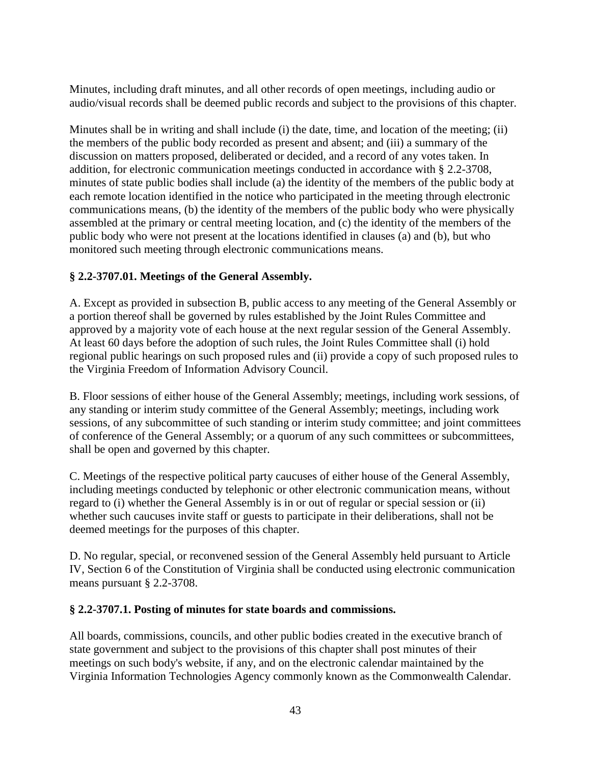Minutes, including draft minutes, and all other records of open meetings, including audio or audio/visual records shall be deemed public records and subject to the provisions of this chapter.

Minutes shall be in writing and shall include (i) the date, time, and location of the meeting; (ii) the members of the public body recorded as present and absent; and (iii) a summary of the discussion on matters proposed, deliberated or decided, and a record of any votes taken. In addition, for electronic communication meetings conducted in accordance with § [2.2-3708,](http://law.lis.virginia.gov/vacode/2.2-3708/) minutes of state public bodies shall include (a) the identity of the members of the public body at each remote location identified in the notice who participated in the meeting through electronic communications means, (b) the identity of the members of the public body who were physically assembled at the primary or central meeting location, and (c) the identity of the members of the public body who were not present at the locations identified in clauses (a) and (b), but who monitored such meeting through electronic communications means.

### **§ 2.2-3707.01. Meetings of the General Assembly.**

A. Except as provided in subsection B, public access to any meeting of the General Assembly or a portion thereof shall be governed by rules established by the Joint Rules Committee and approved by a majority vote of each house at the next regular session of the General Assembly. At least 60 days before the adoption of such rules, the Joint Rules Committee shall (i) hold regional public hearings on such proposed rules and (ii) provide a copy of such proposed rules to the Virginia Freedom of Information Advisory Council.

B. Floor sessions of either house of the General Assembly; meetings, including work sessions, of any standing or interim study committee of the General Assembly; meetings, including work sessions, of any subcommittee of such standing or interim study committee; and joint committees of conference of the General Assembly; or a quorum of any such committees or subcommittees, shall be open and governed by this chapter.

C. Meetings of the respective political party caucuses of either house of the General Assembly, including meetings conducted by telephonic or other electronic communication means, without regard to (i) whether the General Assembly is in or out of regular or special session or (ii) whether such caucuses invite staff or guests to participate in their deliberations, shall not be deemed meetings for the purposes of this chapter.

D. No regular, special, or reconvened session of the General Assembly held pursuant to Article IV, Section 6 of the Constitution of Virginia shall be conducted using electronic communication means pursuant § [2.2-3708.](http://law.lis.virginia.gov/vacode/2.2-3708/)

#### **§ 2.2-3707.1. Posting of minutes for state boards and commissions.**

All boards, commissions, councils, and other public bodies created in the executive branch of state government and subject to the provisions of this chapter shall post minutes of their meetings on such body's website, if any, and on the electronic calendar maintained by the Virginia Information Technologies Agency commonly known as the Commonwealth Calendar.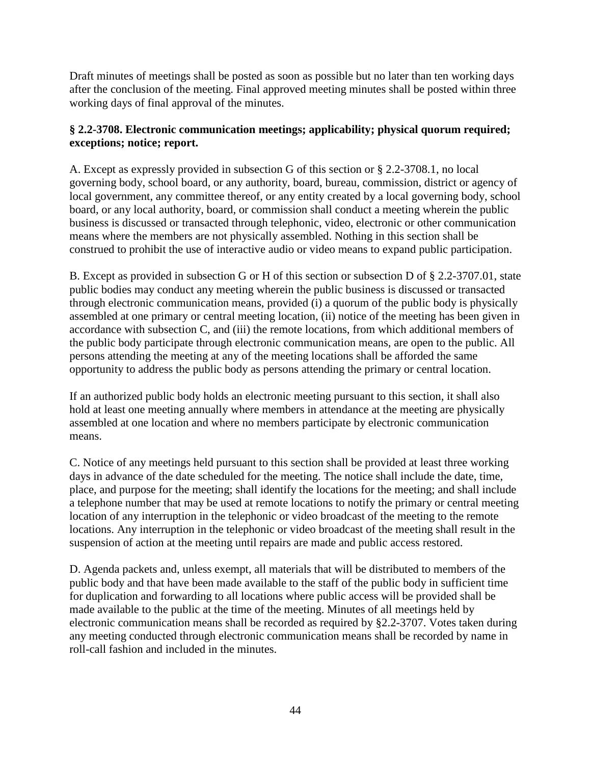Draft minutes of meetings shall be posted as soon as possible but no later than ten working days after the conclusion of the meeting. Final approved meeting minutes shall be posted within three working days of final approval of the minutes.

### **§ 2.2-3708. Electronic communication meetings; applicability; physical quorum required; exceptions; notice; report.**

A. Except as expressly provided in subsection G of this section or § [2.2-3708.1,](http://law.lis.virginia.gov/vacode/2.2-3708.1/) no local governing body, school board, or any authority, board, bureau, commission, district or agency of local government, any committee thereof, or any entity created by a local governing body, school board, or any local authority, board, or commission shall conduct a meeting wherein the public business is discussed or transacted through telephonic, video, electronic or other communication means where the members are not physically assembled. Nothing in this section shall be construed to prohibit the use of interactive audio or video means to expand public participation.

B. Except as provided in subsection G or H of this section or subsection D of § [2.2-3707.01,](http://law.lis.virginia.gov/vacode/2.2-3707.01/) state public bodies may conduct any meeting wherein the public business is discussed or transacted through electronic communication means, provided (i) a quorum of the public body is physically assembled at one primary or central meeting location, (ii) notice of the meeting has been given in accordance with subsection C, and (iii) the remote locations, from which additional members of the public body participate through electronic communication means, are open to the public. All persons attending the meeting at any of the meeting locations shall be afforded the same opportunity to address the public body as persons attending the primary or central location.

If an authorized public body holds an electronic meeting pursuant to this section, it shall also hold at least one meeting annually where members in attendance at the meeting are physically assembled at one location and where no members participate by electronic communication means.

C. Notice of any meetings held pursuant to this section shall be provided at least three working days in advance of the date scheduled for the meeting. The notice shall include the date, time, place, and purpose for the meeting; shall identify the locations for the meeting; and shall include a telephone number that may be used at remote locations to notify the primary or central meeting location of any interruption in the telephonic or video broadcast of the meeting to the remote locations. Any interruption in the telephonic or video broadcast of the meeting shall result in the suspension of action at the meeting until repairs are made and public access restored.

D. Agenda packets and, unless exempt, all materials that will be distributed to members of the public body and that have been made available to the staff of the public body in sufficient time for duplication and forwarding to all locations where public access will be provided shall be made available to the public at the time of the meeting. Minutes of all meetings held by electronic communication means shall be recorded as required by [§2.2-3707.](http://law.lis.virginia.gov/vacode/2.2-3707/) Votes taken during any meeting conducted through electronic communication means shall be recorded by name in roll-call fashion and included in the minutes.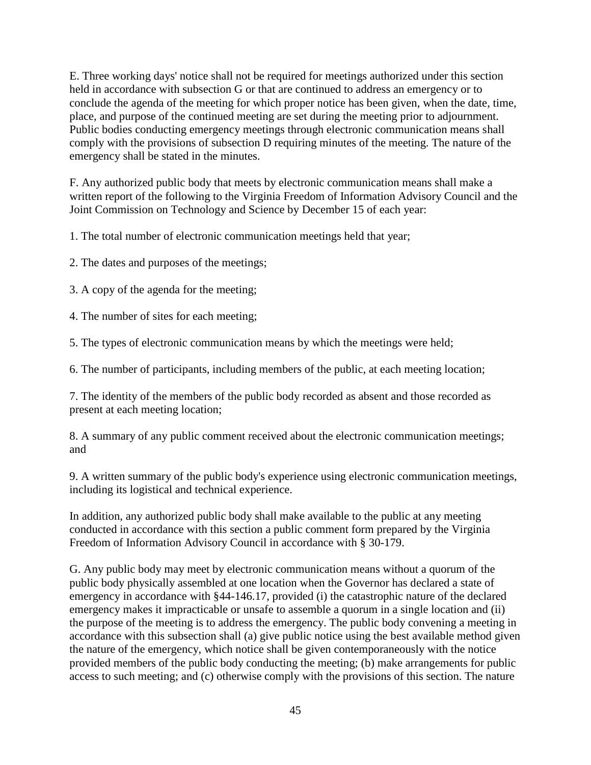E. Three working days' notice shall not be required for meetings authorized under this section held in accordance with subsection G or that are continued to address an emergency or to conclude the agenda of the meeting for which proper notice has been given, when the date, time, place, and purpose of the continued meeting are set during the meeting prior to adjournment. Public bodies conducting emergency meetings through electronic communication means shall comply with the provisions of subsection D requiring minutes of the meeting. The nature of the emergency shall be stated in the minutes.

F. Any authorized public body that meets by electronic communication means shall make a written report of the following to the Virginia Freedom of Information Advisory Council and the Joint Commission on Technology and Science by December 15 of each year:

1. The total number of electronic communication meetings held that year;

2. The dates and purposes of the meetings;

3. A copy of the agenda for the meeting;

4. The number of sites for each meeting;

5. The types of electronic communication means by which the meetings were held;

6. The number of participants, including members of the public, at each meeting location;

7. The identity of the members of the public body recorded as absent and those recorded as present at each meeting location;

8. A summary of any public comment received about the electronic communication meetings; and

9. A written summary of the public body's experience using electronic communication meetings, including its logistical and technical experience.

In addition, any authorized public body shall make available to the public at any meeting conducted in accordance with this section a public comment form prepared by the Virginia Freedom of Information Advisory Council in accordance with § [30-179.](http://law.lis.virginia.gov/vacode/30-179/)

G. Any public body may meet by electronic communication means without a quorum of the public body physically assembled at one location when the Governor has declared a state of emergency in accordance with [§44-146.17,](http://law.lis.virginia.gov/vacode/44-146.17/) provided (i) the catastrophic nature of the declared emergency makes it impracticable or unsafe to assemble a quorum in a single location and (ii) the purpose of the meeting is to address the emergency. The public body convening a meeting in accordance with this subsection shall (a) give public notice using the best available method given the nature of the emergency, which notice shall be given contemporaneously with the notice provided members of the public body conducting the meeting; (b) make arrangements for public access to such meeting; and (c) otherwise comply with the provisions of this section. The nature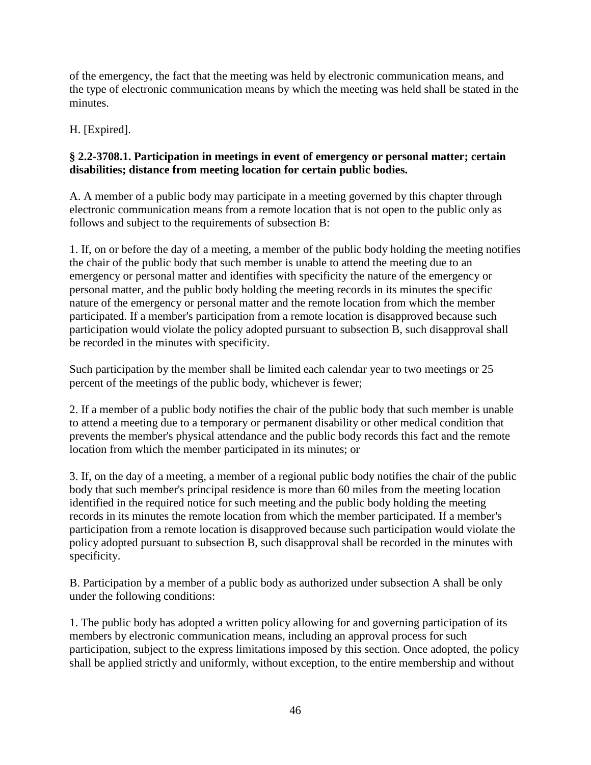of the emergency, the fact that the meeting was held by electronic communication means, and the type of electronic communication means by which the meeting was held shall be stated in the minutes.

H. [Expired].

# **§ 2.2-3708.1. Participation in meetings in event of emergency or personal matter; certain disabilities; distance from meeting location for certain public bodies.**

A. A member of a public body may participate in a meeting governed by this chapter through electronic communication means from a remote location that is not open to the public only as follows and subject to the requirements of subsection B:

1. If, on or before the day of a meeting, a member of the public body holding the meeting notifies the chair of the public body that such member is unable to attend the meeting due to an emergency or personal matter and identifies with specificity the nature of the emergency or personal matter, and the public body holding the meeting records in its minutes the specific nature of the emergency or personal matter and the remote location from which the member participated. If a member's participation from a remote location is disapproved because such participation would violate the policy adopted pursuant to subsection B, such disapproval shall be recorded in the minutes with specificity.

Such participation by the member shall be limited each calendar year to two meetings or 25 percent of the meetings of the public body, whichever is fewer;

2. If a member of a public body notifies the chair of the public body that such member is unable to attend a meeting due to a temporary or permanent disability or other medical condition that prevents the member's physical attendance and the public body records this fact and the remote location from which the member participated in its minutes; or

3. If, on the day of a meeting, a member of a regional public body notifies the chair of the public body that such member's principal residence is more than 60 miles from the meeting location identified in the required notice for such meeting and the public body holding the meeting records in its minutes the remote location from which the member participated. If a member's participation from a remote location is disapproved because such participation would violate the policy adopted pursuant to subsection B, such disapproval shall be recorded in the minutes with specificity.

B. Participation by a member of a public body as authorized under subsection A shall be only under the following conditions:

1. The public body has adopted a written policy allowing for and governing participation of its members by electronic communication means, including an approval process for such participation, subject to the express limitations imposed by this section. Once adopted, the policy shall be applied strictly and uniformly, without exception, to the entire membership and without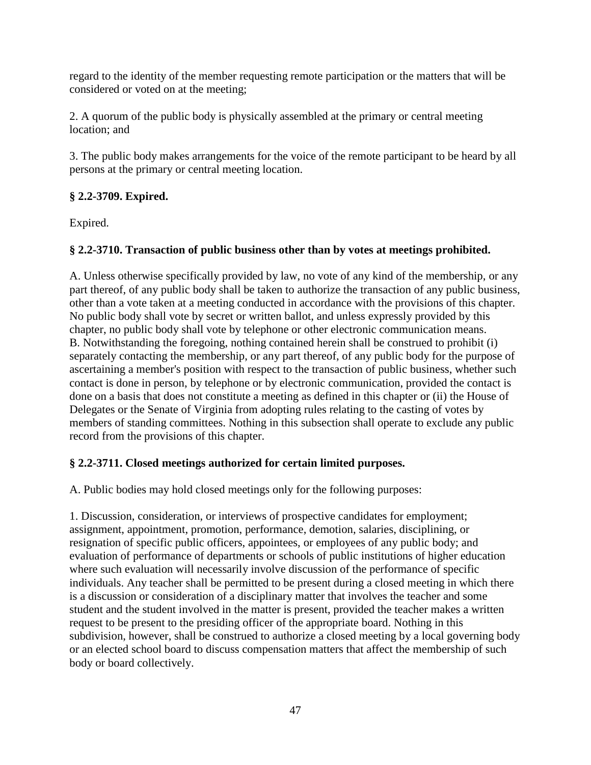regard to the identity of the member requesting remote participation or the matters that will be considered or voted on at the meeting;

2. A quorum of the public body is physically assembled at the primary or central meeting location; and

3. The public body makes arrangements for the voice of the remote participant to be heard by all persons at the primary or central meeting location.

# **§ 2.2-3709. Expired.**

Expired.

# **§ 2.2-3710. Transaction of public business other than by votes at meetings prohibited.**

A. Unless otherwise specifically provided by law, no vote of any kind of the membership, or any part thereof, of any public body shall be taken to authorize the transaction of any public business, other than a vote taken at a meeting conducted in accordance with the provisions of this chapter. No public body shall vote by secret or written ballot, and unless expressly provided by this chapter, no public body shall vote by telephone or other electronic communication means. B. Notwithstanding the foregoing, nothing contained herein shall be construed to prohibit (i) separately contacting the membership, or any part thereof, of any public body for the purpose of ascertaining a member's position with respect to the transaction of public business, whether such contact is done in person, by telephone or by electronic communication, provided the contact is done on a basis that does not constitute a meeting as defined in this chapter or (ii) the House of Delegates or the Senate of Virginia from adopting rules relating to the casting of votes by members of standing committees. Nothing in this subsection shall operate to exclude any public record from the provisions of this chapter.

# **§ 2.2-3711. Closed meetings authorized for certain limited purposes.**

A. Public bodies may hold closed meetings only for the following purposes:

1. Discussion, consideration, or interviews of prospective candidates for employment; assignment, appointment, promotion, performance, demotion, salaries, disciplining, or resignation of specific public officers, appointees, or employees of any public body; and evaluation of performance of departments or schools of public institutions of higher education where such evaluation will necessarily involve discussion of the performance of specific individuals. Any teacher shall be permitted to be present during a closed meeting in which there is a discussion or consideration of a disciplinary matter that involves the teacher and some student and the student involved in the matter is present, provided the teacher makes a written request to be present to the presiding officer of the appropriate board. Nothing in this subdivision, however, shall be construed to authorize a closed meeting by a local governing body or an elected school board to discuss compensation matters that affect the membership of such body or board collectively.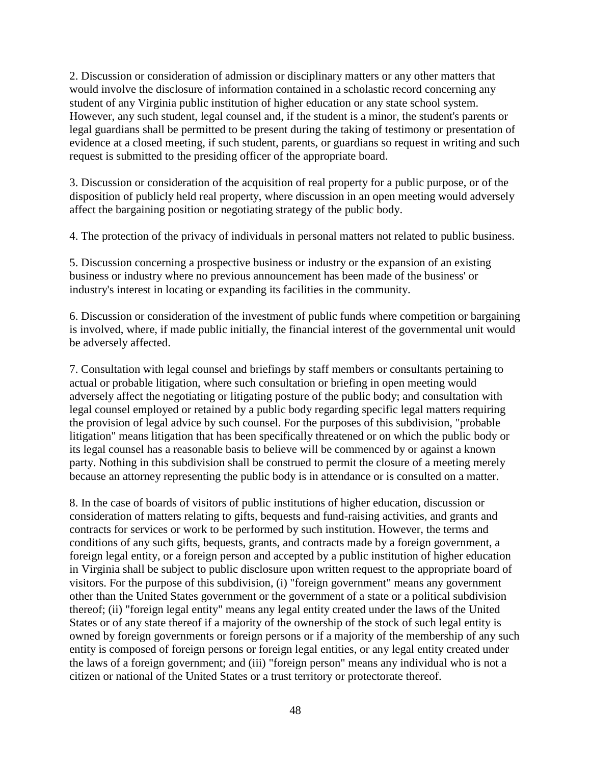2. Discussion or consideration of admission or disciplinary matters or any other matters that would involve the disclosure of information contained in a scholastic record concerning any student of any Virginia public institution of higher education or any state school system. However, any such student, legal counsel and, if the student is a minor, the student's parents or legal guardians shall be permitted to be present during the taking of testimony or presentation of evidence at a closed meeting, if such student, parents, or guardians so request in writing and such request is submitted to the presiding officer of the appropriate board.

3. Discussion or consideration of the acquisition of real property for a public purpose, or of the disposition of publicly held real property, where discussion in an open meeting would adversely affect the bargaining position or negotiating strategy of the public body.

4. The protection of the privacy of individuals in personal matters not related to public business.

5. Discussion concerning a prospective business or industry or the expansion of an existing business or industry where no previous announcement has been made of the business' or industry's interest in locating or expanding its facilities in the community.

6. Discussion or consideration of the investment of public funds where competition or bargaining is involved, where, if made public initially, the financial interest of the governmental unit would be adversely affected.

7. Consultation with legal counsel and briefings by staff members or consultants pertaining to actual or probable litigation, where such consultation or briefing in open meeting would adversely affect the negotiating or litigating posture of the public body; and consultation with legal counsel employed or retained by a public body regarding specific legal matters requiring the provision of legal advice by such counsel. For the purposes of this subdivision, "probable litigation" means litigation that has been specifically threatened or on which the public body or its legal counsel has a reasonable basis to believe will be commenced by or against a known party. Nothing in this subdivision shall be construed to permit the closure of a meeting merely because an attorney representing the public body is in attendance or is consulted on a matter.

8. In the case of boards of visitors of public institutions of higher education, discussion or consideration of matters relating to gifts, bequests and fund-raising activities, and grants and contracts for services or work to be performed by such institution. However, the terms and conditions of any such gifts, bequests, grants, and contracts made by a foreign government, a foreign legal entity, or a foreign person and accepted by a public institution of higher education in Virginia shall be subject to public disclosure upon written request to the appropriate board of visitors. For the purpose of this subdivision, (i) "foreign government" means any government other than the United States government or the government of a state or a political subdivision thereof; (ii) "foreign legal entity" means any legal entity created under the laws of the United States or of any state thereof if a majority of the ownership of the stock of such legal entity is owned by foreign governments or foreign persons or if a majority of the membership of any such entity is composed of foreign persons or foreign legal entities, or any legal entity created under the laws of a foreign government; and (iii) "foreign person" means any individual who is not a citizen or national of the United States or a trust territory or protectorate thereof.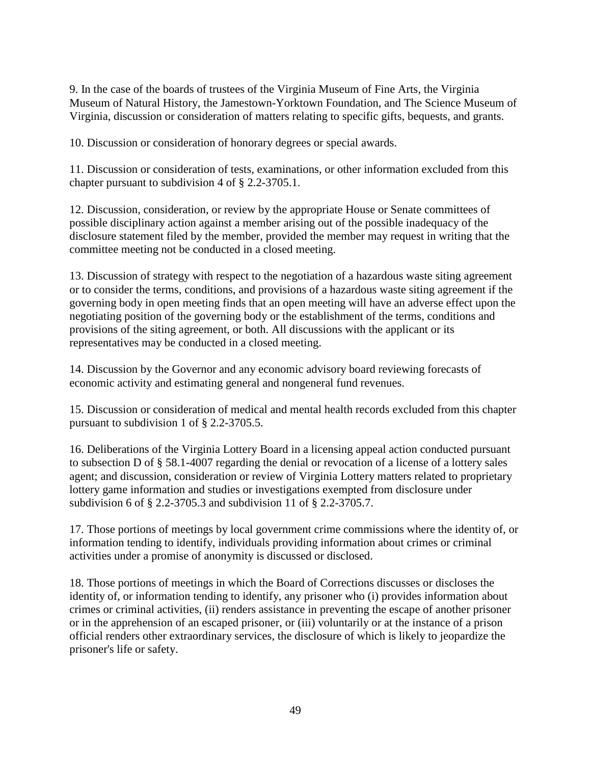9. In the case of the boards of trustees of the Virginia Museum of Fine Arts, the Virginia Museum of Natural History, the Jamestown-Yorktown Foundation, and The Science Museum of Virginia, discussion or consideration of matters relating to specific gifts, bequests, and grants.

10. Discussion or consideration of honorary degrees or special awards.

11. Discussion or consideration of tests, examinations, or other information excluded from this chapter pursuant to subdivision 4 of § [2.2-3705.1.](http://law.lis.virginia.gov/vacode/2.2-3705.1/)

12. Discussion, consideration, or review by the appropriate House or Senate committees of possible disciplinary action against a member arising out of the possible inadequacy of the disclosure statement filed by the member, provided the member may request in writing that the committee meeting not be conducted in a closed meeting.

13. Discussion of strategy with respect to the negotiation of a hazardous waste siting agreement or to consider the terms, conditions, and provisions of a hazardous waste siting agreement if the governing body in open meeting finds that an open meeting will have an adverse effect upon the negotiating position of the governing body or the establishment of the terms, conditions and provisions of the siting agreement, or both. All discussions with the applicant or its representatives may be conducted in a closed meeting.

14. Discussion by the Governor and any economic advisory board reviewing forecasts of economic activity and estimating general and nongeneral fund revenues.

15. Discussion or consideration of medical and mental health records excluded from this chapter pursuant to subdivision 1 of § [2.2-3705.5.](http://law.lis.virginia.gov/vacode/2.2-3705.5/)

16. Deliberations of the Virginia Lottery Board in a licensing appeal action conducted pursuant to subsection D of § [58.1-4007](http://law.lis.virginia.gov/vacode/58.1-4007/) regarding the denial or revocation of a license of a lottery sales agent; and discussion, consideration or review of Virginia Lottery matters related to proprietary lottery game information and studies or investigations exempted from disclosure under subdivision 6 of § [2.2-3705.3](http://law.lis.virginia.gov/vacode/2.2-3705.3/) and subdivision 11 of § [2.2-3705.7.](http://law.lis.virginia.gov/vacode/2.2-3705.7/)

17. Those portions of meetings by local government crime commissions where the identity of, or information tending to identify, individuals providing information about crimes or criminal activities under a promise of anonymity is discussed or disclosed.

18. Those portions of meetings in which the Board of Corrections discusses or discloses the identity of, or information tending to identify, any prisoner who (i) provides information about crimes or criminal activities, (ii) renders assistance in preventing the escape of another prisoner or in the apprehension of an escaped prisoner, or (iii) voluntarily or at the instance of a prison official renders other extraordinary services, the disclosure of which is likely to jeopardize the prisoner's life or safety.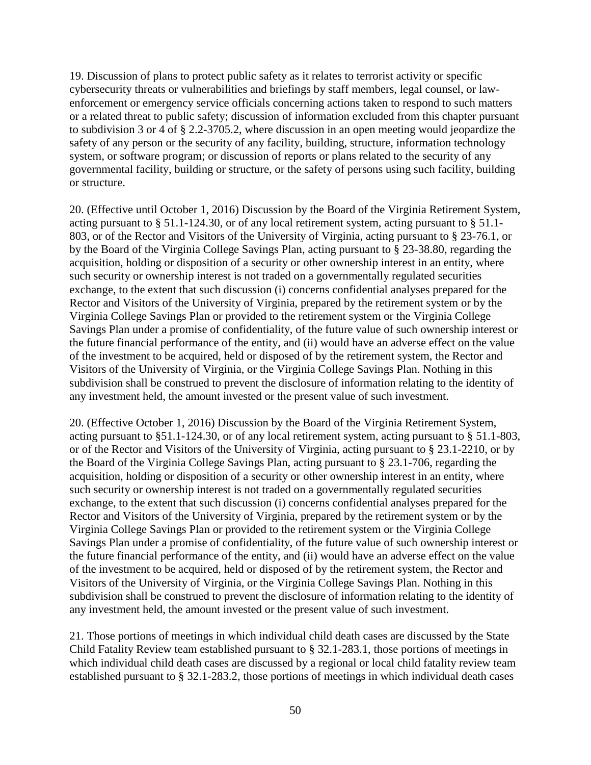19. Discussion of plans to protect public safety as it relates to terrorist activity or specific cybersecurity threats or vulnerabilities and briefings by staff members, legal counsel, or lawenforcement or emergency service officials concerning actions taken to respond to such matters or a related threat to public safety; discussion of information excluded from this chapter pursuant to subdivision 3 or 4 of § [2.2-3705.2,](http://law.lis.virginia.gov/vacode/2.2-3705.2/) where discussion in an open meeting would jeopardize the safety of any person or the security of any facility, building, structure, information technology system, or software program; or discussion of reports or plans related to the security of any governmental facility, building or structure, or the safety of persons using such facility, building or structure.

20. (Effective until October 1, 2016) Discussion by the Board of the Virginia Retirement System, acting pursuant to § [51.1-124.30,](http://law.lis.virginia.gov/vacode/51.1-124.30/) or of any local retirement system, acting pursuant to § [51.1-](http://law.lis.virginia.gov/vacode/51.1-803/) [803,](http://law.lis.virginia.gov/vacode/51.1-803/) or of the Rector and Visitors of the University of Virginia, acting pursuant to § [23-76.1,](http://law.lis.virginia.gov/vacode/23-76.1/) or by the Board of the Virginia College Savings Plan, acting pursuant to § [23-38.80,](http://law.lis.virginia.gov/vacode/23-38.80/) regarding the acquisition, holding or disposition of a security or other ownership interest in an entity, where such security or ownership interest is not traded on a governmentally regulated securities exchange, to the extent that such discussion (i) concerns confidential analyses prepared for the Rector and Visitors of the University of Virginia, prepared by the retirement system or by the Virginia College Savings Plan or provided to the retirement system or the Virginia College Savings Plan under a promise of confidentiality, of the future value of such ownership interest or the future financial performance of the entity, and (ii) would have an adverse effect on the value of the investment to be acquired, held or disposed of by the retirement system, the Rector and Visitors of the University of Virginia, or the Virginia College Savings Plan. Nothing in this subdivision shall be construed to prevent the disclosure of information relating to the identity of any investment held, the amount invested or the present value of such investment.

20. (Effective October 1, 2016) Discussion by the Board of the Virginia Retirement System, acting pursuant to [§51.1-124.30,](http://law.lis.virginia.gov/vacode/51.1-124.30/) or of any local retirement system, acting pursuant to § [51.1-803,](http://law.lis.virginia.gov/vacode/51.1-803/) or of the Rector and Visitors of the University of Virginia, acting pursuant to § [23.1-2210,](http://law.lis.virginia.gov/vacode/23.1-2210/) or by the Board of the Virginia College Savings Plan, acting pursuant to § [23.1-706,](http://law.lis.virginia.gov/vacode/23.1-706/) regarding the acquisition, holding or disposition of a security or other ownership interest in an entity, where such security or ownership interest is not traded on a governmentally regulated securities exchange, to the extent that such discussion (i) concerns confidential analyses prepared for the Rector and Visitors of the University of Virginia, prepared by the retirement system or by the Virginia College Savings Plan or provided to the retirement system or the Virginia College Savings Plan under a promise of confidentiality, of the future value of such ownership interest or the future financial performance of the entity, and (ii) would have an adverse effect on the value of the investment to be acquired, held or disposed of by the retirement system, the Rector and Visitors of the University of Virginia, or the Virginia College Savings Plan. Nothing in this subdivision shall be construed to prevent the disclosure of information relating to the identity of any investment held, the amount invested or the present value of such investment.

21. Those portions of meetings in which individual child death cases are discussed by the State Child Fatality Review team established pursuant to § [32.1-283.1,](http://law.lis.virginia.gov/vacode/32.1-283.1/) those portions of meetings in which individual child death cases are discussed by a regional or local child fatality review team established pursuant to § [32.1-283.2,](http://law.lis.virginia.gov/vacode/32.1-283.2/) those portions of meetings in which individual death cases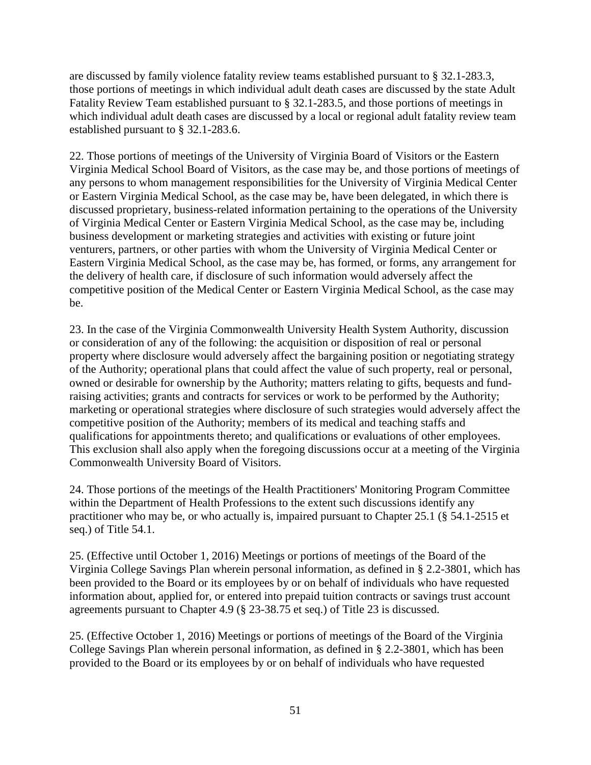are discussed by family violence fatality review teams established pursuant to § [32.1-283.3,](http://law.lis.virginia.gov/vacode/32.1-283.3/) those portions of meetings in which individual adult death cases are discussed by the state Adult Fatality Review Team established pursuant to § [32.1-283.5,](http://law.lis.virginia.gov/vacode/32.1-283.5/) and those portions of meetings in which individual adult death cases are discussed by a local or regional adult fatality review team established pursuant to § [32.1-283.6.](http://law.lis.virginia.gov/vacode/32.1-283.6/)

22. Those portions of meetings of the University of Virginia Board of Visitors or the Eastern Virginia Medical School Board of Visitors, as the case may be, and those portions of meetings of any persons to whom management responsibilities for the University of Virginia Medical Center or Eastern Virginia Medical School, as the case may be, have been delegated, in which there is discussed proprietary, business-related information pertaining to the operations of the University of Virginia Medical Center or Eastern Virginia Medical School, as the case may be, including business development or marketing strategies and activities with existing or future joint venturers, partners, or other parties with whom the University of Virginia Medical Center or Eastern Virginia Medical School, as the case may be, has formed, or forms, any arrangement for the delivery of health care, if disclosure of such information would adversely affect the competitive position of the Medical Center or Eastern Virginia Medical School, as the case may be.

23. In the case of the Virginia Commonwealth University Health System Authority, discussion or consideration of any of the following: the acquisition or disposition of real or personal property where disclosure would adversely affect the bargaining position or negotiating strategy of the Authority; operational plans that could affect the value of such property, real or personal, owned or desirable for ownership by the Authority; matters relating to gifts, bequests and fundraising activities; grants and contracts for services or work to be performed by the Authority; marketing or operational strategies where disclosure of such strategies would adversely affect the competitive position of the Authority; members of its medical and teaching staffs and qualifications for appointments thereto; and qualifications or evaluations of other employees. This exclusion shall also apply when the foregoing discussions occur at a meeting of the Virginia Commonwealth University Board of Visitors.

24. Those portions of the meetings of the Health Practitioners' Monitoring Program Committee within the Department of Health Professions to the extent such discussions identify any practitioner who may be, or who actually is, impaired pursuant to Chapter 25.1 (§ [54.1-2515](http://law.lis.virginia.gov/vacode/54.1-2515/) et seq.) of Title 54.1.

25. (Effective until October 1, 2016) Meetings or portions of meetings of the Board of the Virginia College Savings Plan wherein personal information, as defined in § [2.2-3801,](http://law.lis.virginia.gov/vacode/2.2-3801/) which has been provided to the Board or its employees by or on behalf of individuals who have requested information about, applied for, or entered into prepaid tuition contracts or savings trust account agreements pursuant to Chapter 4.9 (§ [23-38.75](http://law.lis.virginia.gov/vacode/23-38.75/) et seq.) of Title 23 is discussed.

25. (Effective October 1, 2016) Meetings or portions of meetings of the Board of the Virginia College Savings Plan wherein personal information, as defined in § [2.2-3801,](http://law.lis.virginia.gov/vacode/2.2-3801/) which has been provided to the Board or its employees by or on behalf of individuals who have requested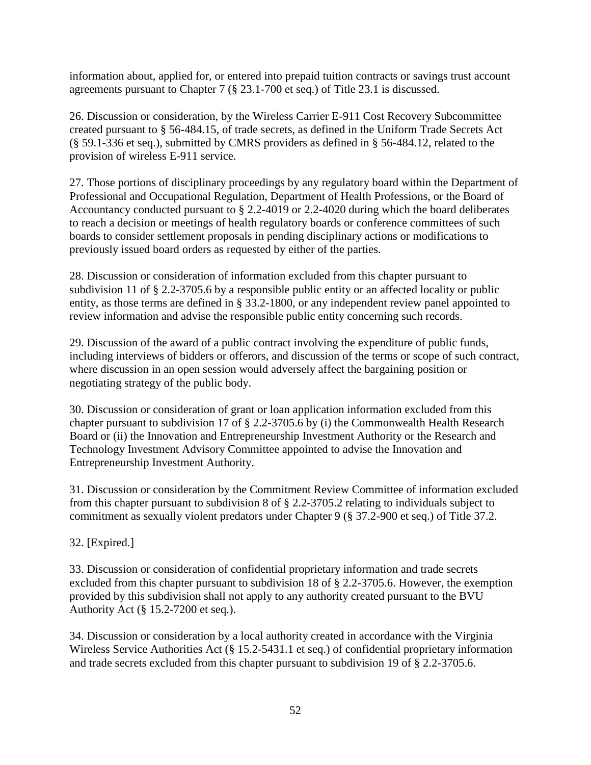information about, applied for, or entered into prepaid tuition contracts or savings trust account agreements pursuant to Chapter 7 (§ [23.1-700](http://law.lis.virginia.gov/vacode/23.1-700/) et seq.) of Title 23.1 is discussed.

26. Discussion or consideration, by the Wireless Carrier E-911 Cost Recovery Subcommittee created pursuant to § [56-484.15,](http://law.lis.virginia.gov/vacode/56-484.15/) of trade secrets, as defined in the Uniform Trade Secrets Act (§ [59.1-336](http://law.lis.virginia.gov/vacode/59.1-336/) et seq.), submitted by CMRS providers as defined in § [56-484.12,](http://law.lis.virginia.gov/vacode/56-484.12/) related to the provision of wireless E-911 service.

27. Those portions of disciplinary proceedings by any regulatory board within the Department of Professional and Occupational Regulation, Department of Health Professions, or the Board of Accountancy conducted pursuant to § [2.2-4019](http://law.lis.virginia.gov/vacode/2.2-4019/) or [2.2-4020](http://law.lis.virginia.gov/vacode/2.2-4020/) during which the board deliberates to reach a decision or meetings of health regulatory boards or conference committees of such boards to consider settlement proposals in pending disciplinary actions or modifications to previously issued board orders as requested by either of the parties.

28. Discussion or consideration of information excluded from this chapter pursuant to subdivision 11 of § [2.2-3705.6](http://law.lis.virginia.gov/vacode/2.2-3705.6/) by a responsible public entity or an affected locality or public entity, as those terms are defined in § [33.2-1800,](http://law.lis.virginia.gov/vacode/33.2-1800/) or any independent review panel appointed to review information and advise the responsible public entity concerning such records.

29. Discussion of the award of a public contract involving the expenditure of public funds, including interviews of bidders or offerors, and discussion of the terms or scope of such contract, where discussion in an open session would adversely affect the bargaining position or negotiating strategy of the public body.

30. Discussion or consideration of grant or loan application information excluded from this chapter pursuant to subdivision 17 of § [2.2-3705.6](http://law.lis.virginia.gov/vacode/2.2-3705.6/) by (i) the Commonwealth Health Research Board or (ii) the Innovation and Entrepreneurship Investment Authority or the Research and Technology Investment Advisory Committee appointed to advise the Innovation and Entrepreneurship Investment Authority.

31. Discussion or consideration by the Commitment Review Committee of information excluded from this chapter pursuant to subdivision 8 of § [2.2-3705.2](http://law.lis.virginia.gov/vacode/2.2-3705.2/) relating to individuals subject to commitment as sexually violent predators under Chapter 9 (§ [37.2-900](http://law.lis.virginia.gov/vacode/37.2-900/) et seq.) of Title 37.2.

32. [Expired.]

33. Discussion or consideration of confidential proprietary information and trade secrets excluded from this chapter pursuant to subdivision 18 of § [2.2-3705.6.](http://law.lis.virginia.gov/vacode/2.2-3705.6/) However, the exemption provided by this subdivision shall not apply to any authority created pursuant to the BVU Authority Act (§ [15.2-7200](http://law.lis.virginia.gov/vacode/15.2-7200/) et seq.).

34. Discussion or consideration by a local authority created in accordance with the Virginia Wireless Service Authorities Act (§ [15.2-5431.1](http://law.lis.virginia.gov/vacode/15.2-5431.1/) et seq.) of confidential proprietary information and trade secrets excluded from this chapter pursuant to subdivision 19 of § [2.2-3705.6.](http://law.lis.virginia.gov/vacode/2.2-3705.6/)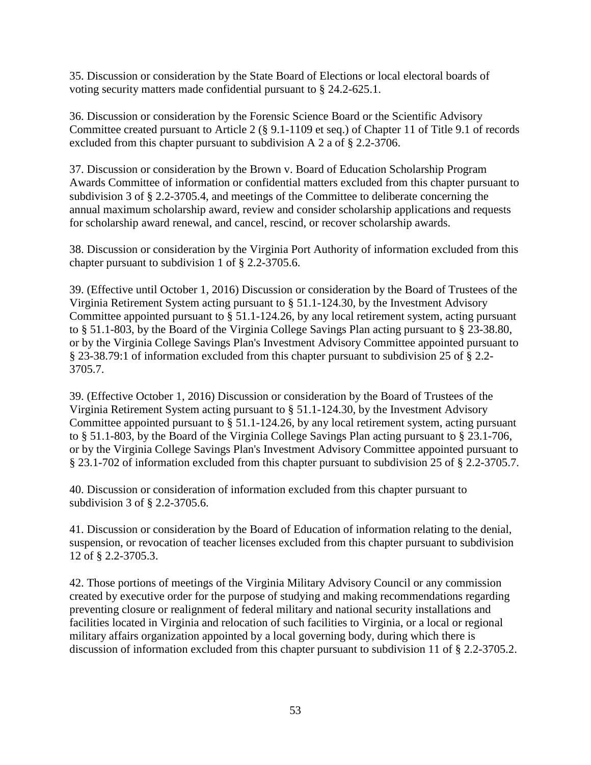35. Discussion or consideration by the State Board of Elections or local electoral boards of voting security matters made confidential pursuant to § [24.2-625.1.](http://law.lis.virginia.gov/vacode/24.2-625.1/)

36. Discussion or consideration by the Forensic Science Board or the Scientific Advisory Committee created pursuant to Article 2 (§ [9.1-1109](http://law.lis.virginia.gov/vacode/9.1-1109/) et seq.) of Chapter 11 of Title 9.1 of records excluded from this chapter pursuant to subdivision A 2 a of § [2.2-3706.](http://law.lis.virginia.gov/vacode/2.2-3706/)

37. Discussion or consideration by the Brown v. Board of Education Scholarship Program Awards Committee of information or confidential matters excluded from this chapter pursuant to subdivision 3 of § [2.2-3705.4,](http://law.lis.virginia.gov/vacode/2.2-3705.4/) and meetings of the Committee to deliberate concerning the annual maximum scholarship award, review and consider scholarship applications and requests for scholarship award renewal, and cancel, rescind, or recover scholarship awards.

38. Discussion or consideration by the Virginia Port Authority of information excluded from this chapter pursuant to subdivision 1 of § [2.2-3705.6.](http://law.lis.virginia.gov/vacode/2.2-3705.6/)

39. (Effective until October 1, 2016) Discussion or consideration by the Board of Trustees of the Virginia Retirement System acting pursuant to § [51.1-124.30,](http://law.lis.virginia.gov/vacode/51.1-124.30/) by the Investment Advisory Committee appointed pursuant to § [51.1-124.26,](http://law.lis.virginia.gov/vacode/51.1-124.26/) by any local retirement system, acting pursuant to § [51.1-803,](http://law.lis.virginia.gov/vacode/51.1-803/) by the Board of the Virginia College Savings Plan acting pursuant to § [23-38.80,](http://law.lis.virginia.gov/vacode/23-38.80/) or by the Virginia College Savings Plan's Investment Advisory Committee appointed pursuant to § [23-38.79:1](http://law.lis.virginia.gov/vacode/23-38.79:1/) of information excluded from this chapter pursuant to subdivision 25 of § [2.2-](http://law.lis.virginia.gov/vacode/2.2-3705.7/) [3705.7.](http://law.lis.virginia.gov/vacode/2.2-3705.7/)

39. (Effective October 1, 2016) Discussion or consideration by the Board of Trustees of the Virginia Retirement System acting pursuant to § [51.1-124.30,](http://law.lis.virginia.gov/vacode/51.1-124.30/) by the Investment Advisory Committee appointed pursuant to § [51.1-124.26,](http://law.lis.virginia.gov/vacode/51.1-124.26/) by any local retirement system, acting pursuant to § [51.1-803,](http://law.lis.virginia.gov/vacode/51.1-803/) by the Board of the Virginia College Savings Plan acting pursuant to § [23.1-706,](http://law.lis.virginia.gov/vacode/23.1-706/) or by the Virginia College Savings Plan's Investment Advisory Committee appointed pursuant to § [23.1-702](http://law.lis.virginia.gov/vacode/23.1-702/) of information excluded from this chapter pursuant to subdivision 25 of § [2.2-3705.7.](http://law.lis.virginia.gov/vacode/2.2-3705.7/)

40. Discussion or consideration of information excluded from this chapter pursuant to subdivision 3 of § [2.2-3705.6.](http://law.lis.virginia.gov/vacode/2.2-3705.6/)

41. Discussion or consideration by the Board of Education of information relating to the denial, suspension, or revocation of teacher licenses excluded from this chapter pursuant to subdivision 12 of § [2.2-3705.3.](http://law.lis.virginia.gov/vacode/2.2-3705.3/)

42. Those portions of meetings of the Virginia Military Advisory Council or any commission created by executive order for the purpose of studying and making recommendations regarding preventing closure or realignment of federal military and national security installations and facilities located in Virginia and relocation of such facilities to Virginia, or a local or regional military affairs organization appointed by a local governing body, during which there is discussion of information excluded from this chapter pursuant to subdivision 11 of § [2.2-3705.2.](http://law.lis.virginia.gov/vacode/2.2-3705.2/)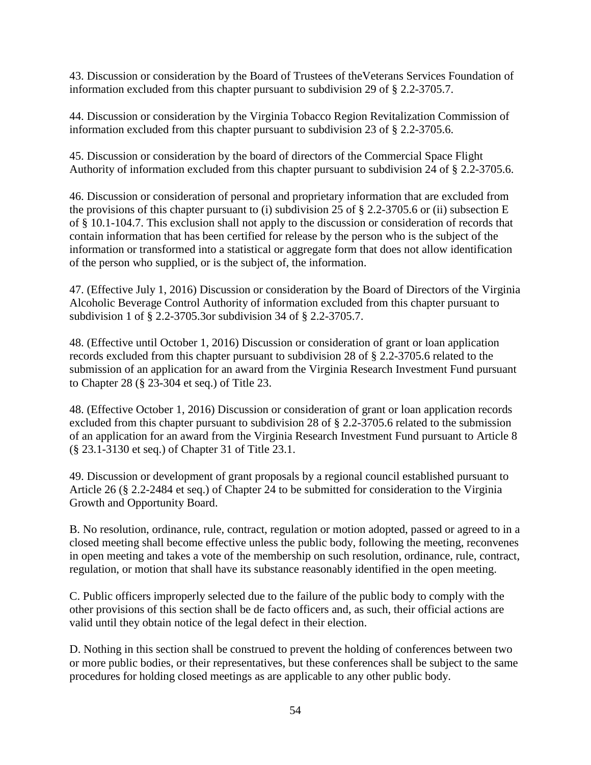43. Discussion or consideration by the Board of Trustees of theVeterans Services Foundation of information excluded from this chapter pursuant to subdivision 29 of § [2.2-3705.7.](http://law.lis.virginia.gov/vacode/2.2-3705.7/)

44. Discussion or consideration by the Virginia Tobacco Region Revitalization Commission of information excluded from this chapter pursuant to subdivision 23 of § [2.2-3705.6.](http://law.lis.virginia.gov/vacode/2.2-3705.6/)

45. Discussion or consideration by the board of directors of the Commercial Space Flight Authority of information excluded from this chapter pursuant to subdivision 24 of § [2.2-3705.6.](http://law.lis.virginia.gov/vacode/2.2-3705.6/)

46. Discussion or consideration of personal and proprietary information that are excluded from the provisions of this chapter pursuant to (i) subdivision 25 of § [2.2-3705.6](http://law.lis.virginia.gov/vacode/2.2-3705.6/) or (ii) subsection E of § [10.1-104.7.](http://law.lis.virginia.gov/vacode/10.1-104.7/) This exclusion shall not apply to the discussion or consideration of records that contain information that has been certified for release by the person who is the subject of the information or transformed into a statistical or aggregate form that does not allow identification of the person who supplied, or is the subject of, the information.

47. (Effective July 1, 2016) Discussion or consideration by the Board of Directors of the Virginia Alcoholic Beverage Control Authority of information excluded from this chapter pursuant to subdivision 1 of § [2.2-3705.3o](http://law.lis.virginia.gov/vacode/2.2-3705.3/)r subdivision 34 of § [2.2-3705.7.](http://law.lis.virginia.gov/vacode/2.2-3705.7/)

48. (Effective until October 1, 2016) Discussion or consideration of grant or loan application records excluded from this chapter pursuant to subdivision 28 of § [2.2-3705.6](http://law.lis.virginia.gov/vacode/2.2-3705.6/) related to the submission of an application for an award from the Virginia Research Investment Fund pursuant to Chapter 28 (§ [23-304](http://law.lis.virginia.gov/vacode/23-304/) et seq.) of Title 23.

48. (Effective October 1, 2016) Discussion or consideration of grant or loan application records excluded from this chapter pursuant to subdivision 28 of § [2.2-3705.6](http://law.lis.virginia.gov/vacode/2.2-3705.6/) related to the submission of an application for an award from the Virginia Research Investment Fund pursuant to Article 8 (§ [23.1-3130](http://law.lis.virginia.gov/vacode/23.1-3130/) et seq.) of Chapter 31 of Title 23.1.

49. Discussion or development of grant proposals by a regional council established pursuant to Article 26 (§ [2.2-2484](http://law.lis.virginia.gov/vacode/2.2-2484/) et seq.) of Chapter 24 to be submitted for consideration to the Virginia Growth and Opportunity Board.

B. No resolution, ordinance, rule, contract, regulation or motion adopted, passed or agreed to in a closed meeting shall become effective unless the public body, following the meeting, reconvenes in open meeting and takes a vote of the membership on such resolution, ordinance, rule, contract, regulation, or motion that shall have its substance reasonably identified in the open meeting.

C. Public officers improperly selected due to the failure of the public body to comply with the other provisions of this section shall be de facto officers and, as such, their official actions are valid until they obtain notice of the legal defect in their election.

D. Nothing in this section shall be construed to prevent the holding of conferences between two or more public bodies, or their representatives, but these conferences shall be subject to the same procedures for holding closed meetings as are applicable to any other public body.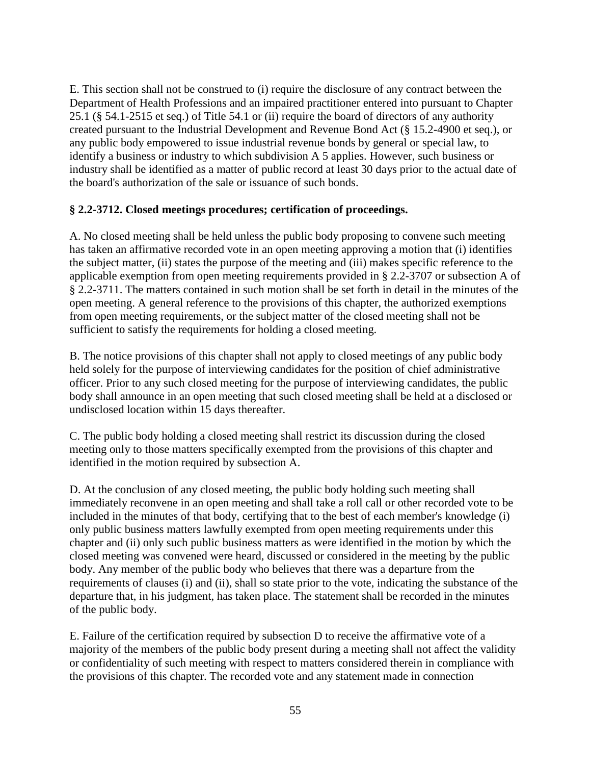E. This section shall not be construed to (i) require the disclosure of any contract between the Department of Health Professions and an impaired practitioner entered into pursuant to Chapter 25.1 (§ [54.1-2515](http://law.lis.virginia.gov/vacode/54.1-2515/) et seq.) of Title 54.1 or (ii) require the board of directors of any authority created pursuant to the Industrial Development and Revenue Bond Act (§ [15.2-4900](http://law.lis.virginia.gov/vacode/15.2-4900/) et seq.), or any public body empowered to issue industrial revenue bonds by general or special law, to identify a business or industry to which subdivision A 5 applies. However, such business or industry shall be identified as a matter of public record at least 30 days prior to the actual date of the board's authorization of the sale or issuance of such bonds.

#### **§ 2.2-3712. Closed meetings procedures; certification of proceedings.**

A. No closed meeting shall be held unless the public body proposing to convene such meeting has taken an affirmative recorded vote in an open meeting approving a motion that (i) identifies the subject matter, (ii) states the purpose of the meeting and (iii) makes specific reference to the applicable exemption from open meeting requirements provided in § [2.2-3707](http://law.lis.virginia.gov/vacode/2.2-3707/) or subsection A of § [2.2-3711.](http://law.lis.virginia.gov/vacode/2.2-3711/) The matters contained in such motion shall be set forth in detail in the minutes of the open meeting. A general reference to the provisions of this chapter, the authorized exemptions from open meeting requirements, or the subject matter of the closed meeting shall not be sufficient to satisfy the requirements for holding a closed meeting.

B. The notice provisions of this chapter shall not apply to closed meetings of any public body held solely for the purpose of interviewing candidates for the position of chief administrative officer. Prior to any such closed meeting for the purpose of interviewing candidates, the public body shall announce in an open meeting that such closed meeting shall be held at a disclosed or undisclosed location within 15 days thereafter.

C. The public body holding a closed meeting shall restrict its discussion during the closed meeting only to those matters specifically exempted from the provisions of this chapter and identified in the motion required by subsection A.

D. At the conclusion of any closed meeting, the public body holding such meeting shall immediately reconvene in an open meeting and shall take a roll call or other recorded vote to be included in the minutes of that body, certifying that to the best of each member's knowledge (i) only public business matters lawfully exempted from open meeting requirements under this chapter and (ii) only such public business matters as were identified in the motion by which the closed meeting was convened were heard, discussed or considered in the meeting by the public body. Any member of the public body who believes that there was a departure from the requirements of clauses (i) and (ii), shall so state prior to the vote, indicating the substance of the departure that, in his judgment, has taken place. The statement shall be recorded in the minutes of the public body.

E. Failure of the certification required by subsection D to receive the affirmative vote of a majority of the members of the public body present during a meeting shall not affect the validity or confidentiality of such meeting with respect to matters considered therein in compliance with the provisions of this chapter. The recorded vote and any statement made in connection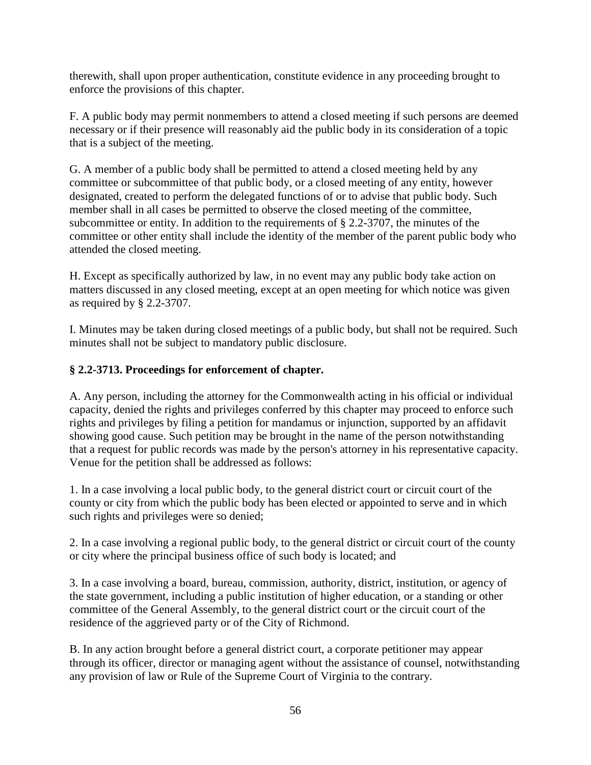therewith, shall upon proper authentication, constitute evidence in any proceeding brought to enforce the provisions of this chapter.

F. A public body may permit nonmembers to attend a closed meeting if such persons are deemed necessary or if their presence will reasonably aid the public body in its consideration of a topic that is a subject of the meeting.

G. A member of a public body shall be permitted to attend a closed meeting held by any committee or subcommittee of that public body, or a closed meeting of any entity, however designated, created to perform the delegated functions of or to advise that public body. Such member shall in all cases be permitted to observe the closed meeting of the committee, subcommittee or entity. In addition to the requirements of § [2.2-3707,](http://law.lis.virginia.gov/vacode/2.2-3707/) the minutes of the committee or other entity shall include the identity of the member of the parent public body who attended the closed meeting.

H. Except as specifically authorized by law, in no event may any public body take action on matters discussed in any closed meeting, except at an open meeting for which notice was given as required by § [2.2-3707.](http://law.lis.virginia.gov/vacode/2.2-3707/)

I. Minutes may be taken during closed meetings of a public body, but shall not be required. Such minutes shall not be subject to mandatory public disclosure.

### **§ 2.2-3713. Proceedings for enforcement of chapter.**

A. Any person, including the attorney for the Commonwealth acting in his official or individual capacity, denied the rights and privileges conferred by this chapter may proceed to enforce such rights and privileges by filing a petition for mandamus or injunction, supported by an affidavit showing good cause. Such petition may be brought in the name of the person notwithstanding that a request for public records was made by the person's attorney in his representative capacity. Venue for the petition shall be addressed as follows:

1. In a case involving a local public body, to the general district court or circuit court of the county or city from which the public body has been elected or appointed to serve and in which such rights and privileges were so denied;

2. In a case involving a regional public body, to the general district or circuit court of the county or city where the principal business office of such body is located; and

3. In a case involving a board, bureau, commission, authority, district, institution, or agency of the state government, including a public institution of higher education, or a standing or other committee of the General Assembly, to the general district court or the circuit court of the residence of the aggrieved party or of the City of Richmond.

B. In any action brought before a general district court, a corporate petitioner may appear through its officer, director or managing agent without the assistance of counsel, notwithstanding any provision of law or Rule of the Supreme Court of Virginia to the contrary.